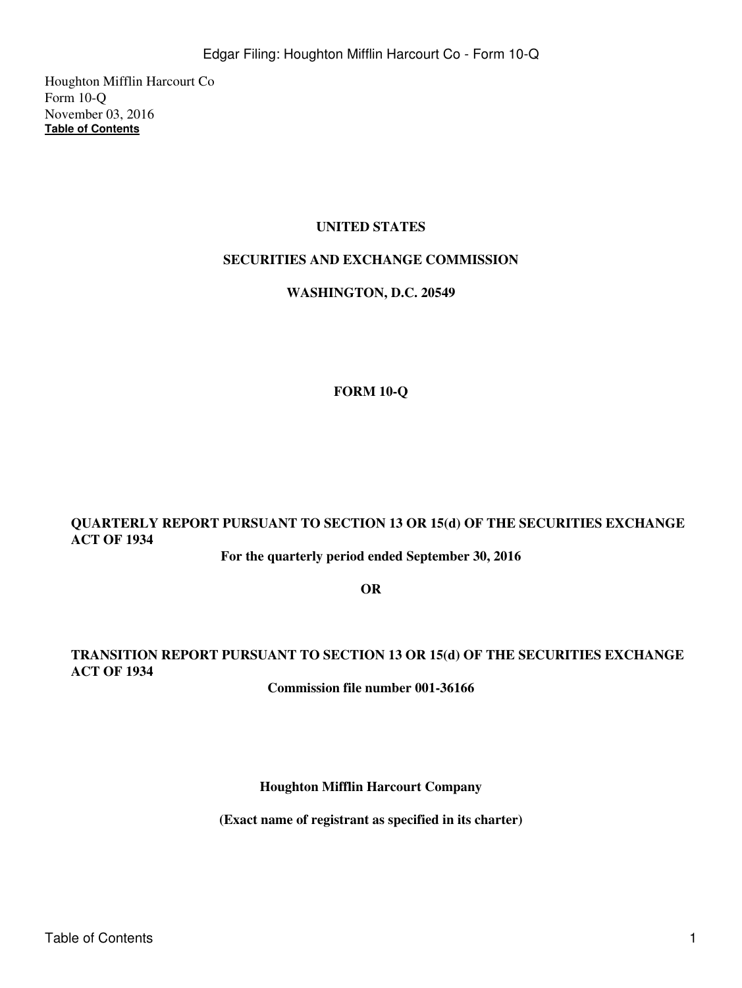Houghton Mifflin Harcourt Co Form 10-Q November 03, 2016 **[Table of Contents](#page-2-0)**

## **UNITED STATES**

## **SECURITIES AND EXCHANGE COMMISSION**

### **WASHINGTON, D.C. 20549**

## **FORM 10-Q**

# **QUARTERLY REPORT PURSUANT TO SECTION 13 OR 15(d) OF THE SECURITIES EXCHANGE ACT OF 1934**

**For the quarterly period ended September 30, 2016**

**OR**

## **TRANSITION REPORT PURSUANT TO SECTION 13 OR 15(d) OF THE SECURITIES EXCHANGE ACT OF 1934**

**Commission file number 001-36166**

**Houghton Mifflin Harcourt Company**

**(Exact name of registrant as specified in its charter)**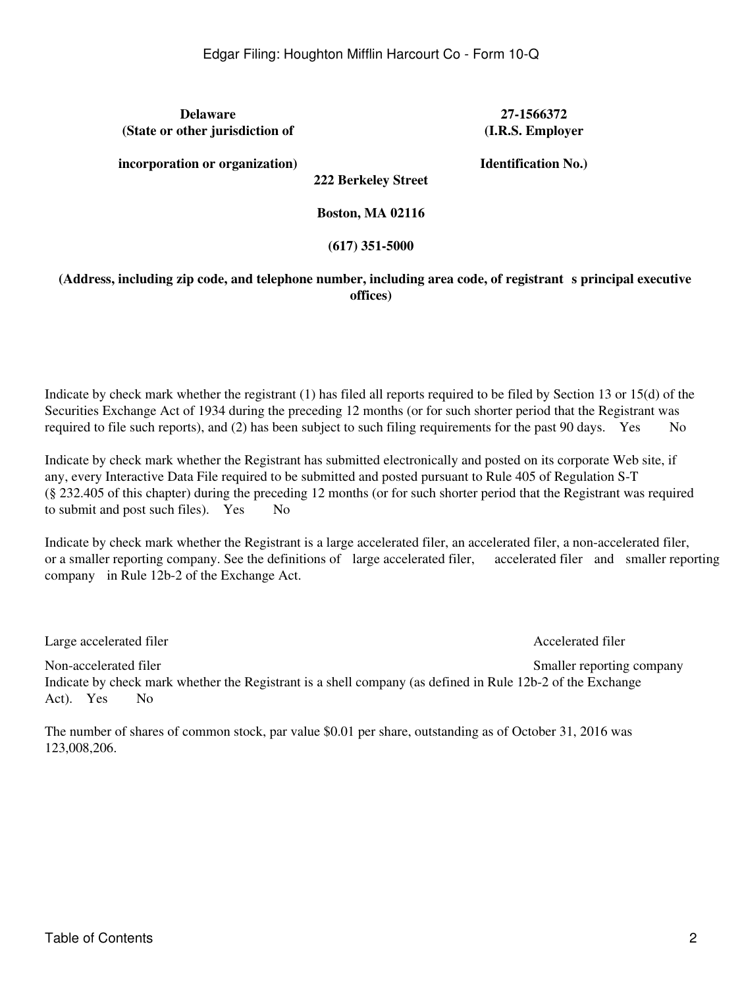**Delaware 27-1566372 (State or other jurisdiction of**

**(I.R.S. Employer**

**incorporation or organization)**

**Identification No.)**

**222 Berkeley Street**

**Boston, MA 02116**

## **(617) 351-5000**

## (Address, including zip code, and telephone number, including area code, of registrant s principal executive **offices)**

Indicate by check mark whether the registrant (1) has filed all reports required to be filed by Section 13 or 15(d) of the Securities Exchange Act of 1934 during the preceding 12 months (or for such shorter period that the Registrant was required to file such reports), and  $(2)$  has been subject to such filing requirements for the past 90 days. Yes No

Indicate by check mark whether the Registrant has submitted electronically and posted on its corporate Web site, if any, every Interactive Data File required to be submitted and posted pursuant to Rule 405 of Regulation S-T (§ 232.405 of this chapter) during the preceding 12 months (or for such shorter period that the Registrant was required to submit and post such files). Yes No

Indicate by check mark whether the Registrant is a large accelerated filer, an accelerated filer, a non-accelerated filer, or a smaller reporting company. See the definitions of large accelerated filer, accelerated filer and smaller reporting company in Rule 12b-2 of the Exchange Act.

Large accelerated filer and the contract of the Accelerated filer and the Accelerated filer

Non-accelerated filer Smaller reporting company Indicate by check mark whether the Registrant is a shell company (as defined in Rule 12b-2 of the Exchange Act). Yes No

The number of shares of common stock, par value \$0.01 per share, outstanding as of October 31, 2016 was 123,008,206.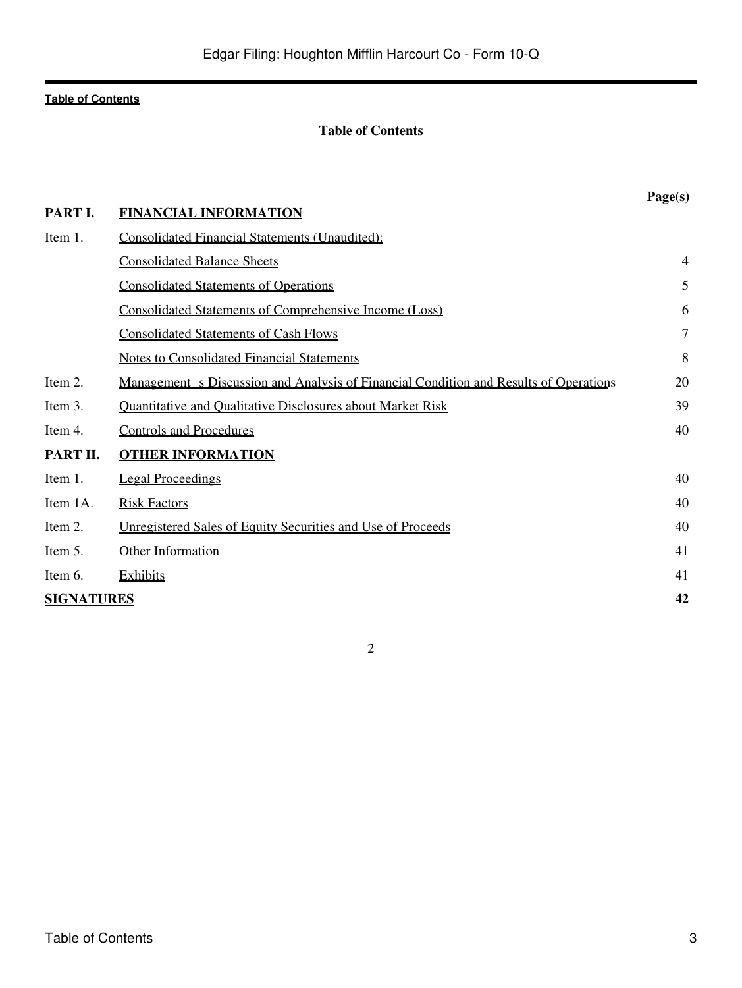## **Table of Contents**

<span id="page-2-0"></span>

|                   |                                                                                              | Page(s) |
|-------------------|----------------------------------------------------------------------------------------------|---------|
| PART I.           | <b>FINANCIAL INFORMATION</b>                                                                 |         |
| Item 1.           | <b>Consolidated Financial Statements (Unaudited):</b>                                        |         |
|                   | <b>Consolidated Balance Sheets</b>                                                           | 4       |
|                   | <b>Consolidated Statements of Operations</b>                                                 | 5       |
|                   | <b>Consolidated Statements of Comprehensive Income (Loss)</b>                                | 6       |
|                   | <b>Consolidated Statements of Cash Flows</b>                                                 | $\tau$  |
|                   | <b>Notes to Consolidated Financial Statements</b>                                            | 8       |
| Item 2.           | <u>Management s Discussion and Analysis of Financial Condition and Results of Operations</u> | 20      |
| Item 3.           | <b>Quantitative and Qualitative Disclosures about Market Risk</b>                            | 39      |
| Item 4.           | <b>Controls and Procedures</b>                                                               | 40      |
| PART II.          | <b>OTHER INFORMATION</b>                                                                     |         |
| Item 1.           | <b>Legal Proceedings</b>                                                                     | 40      |
| Item 1A.          | <b>Risk Factors</b>                                                                          | 40      |
| Item 2.           | <u>Unregistered Sales of Equity Securities and Use of Proceeds</u>                           | 40      |
| Item 5.           | Other Information                                                                            | 41      |
| Item 6.           | <b>Exhibits</b>                                                                              | 41      |
| <b>SIGNATURES</b> |                                                                                              | 42      |
|                   |                                                                                              |         |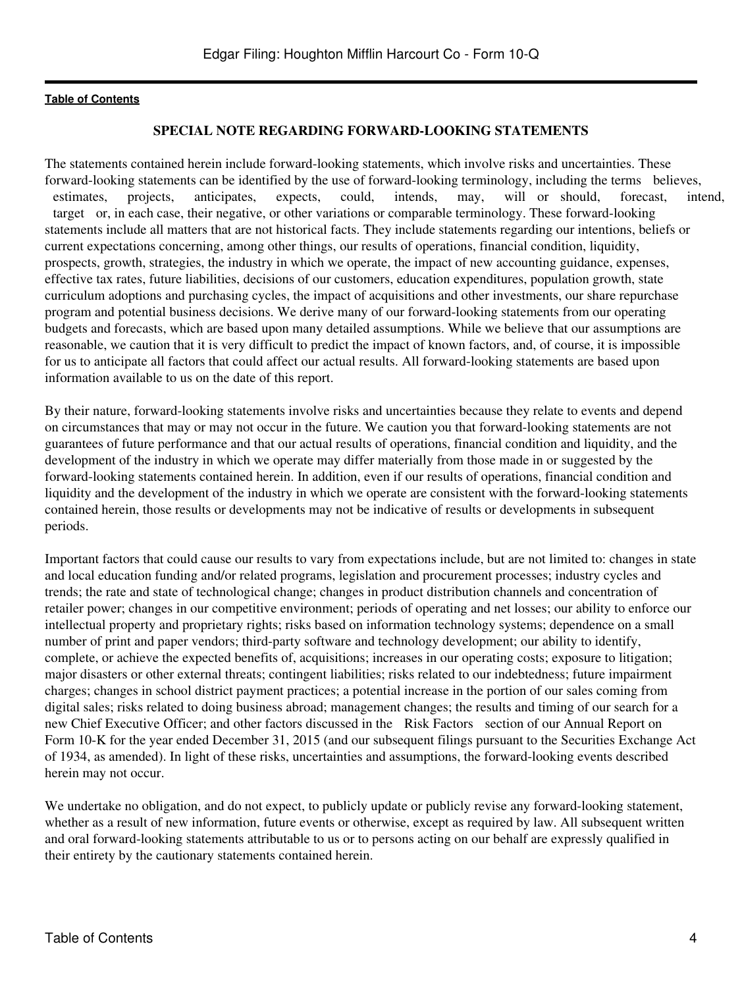#### **SPECIAL NOTE REGARDING FORWARD-LOOKING STATEMENTS**

The statements contained herein include forward-looking statements, which involve risks and uncertainties. These forward-looking statements can be identified by the use of forward-looking terminology, including the terms believes, estimates, projects, anticipates, expects, could, intends, may, will or should, forecast, intend, target or, in each case, their negative, or other variations or comparable terminology. These forward-looking statements include all matters that are not historical facts. They include statements regarding our intentions, beliefs or current expectations concerning, among other things, our results of operations, financial condition, liquidity, prospects, growth, strategies, the industry in which we operate, the impact of new accounting guidance, expenses, effective tax rates, future liabilities, decisions of our customers, education expenditures, population growth, state curriculum adoptions and purchasing cycles, the impact of acquisitions and other investments, our share repurchase program and potential business decisions. We derive many of our forward-looking statements from our operating budgets and forecasts, which are based upon many detailed assumptions. While we believe that our assumptions are reasonable, we caution that it is very difficult to predict the impact of known factors, and, of course, it is impossible for us to anticipate all factors that could affect our actual results. All forward-looking statements are based upon information available to us on the date of this report.

By their nature, forward-looking statements involve risks and uncertainties because they relate to events and depend on circumstances that may or may not occur in the future. We caution you that forward-looking statements are not guarantees of future performance and that our actual results of operations, financial condition and liquidity, and the development of the industry in which we operate may differ materially from those made in or suggested by the forward-looking statements contained herein. In addition, even if our results of operations, financial condition and liquidity and the development of the industry in which we operate are consistent with the forward-looking statements contained herein, those results or developments may not be indicative of results or developments in subsequent periods.

Important factors that could cause our results to vary from expectations include, but are not limited to: changes in state and local education funding and/or related programs, legislation and procurement processes; industry cycles and trends; the rate and state of technological change; changes in product distribution channels and concentration of retailer power; changes in our competitive environment; periods of operating and net losses; our ability to enforce our intellectual property and proprietary rights; risks based on information technology systems; dependence on a small number of print and paper vendors; third-party software and technology development; our ability to identify, complete, or achieve the expected benefits of, acquisitions; increases in our operating costs; exposure to litigation; major disasters or other external threats; contingent liabilities; risks related to our indebtedness; future impairment charges; changes in school district payment practices; a potential increase in the portion of our sales coming from digital sales; risks related to doing business abroad; management changes; the results and timing of our search for a new Chief Executive Officer; and other factors discussed in the Risk Factors section of our Annual Report on Form 10-K for the year ended December 31, 2015 (and our subsequent filings pursuant to the Securities Exchange Act of 1934, as amended). In light of these risks, uncertainties and assumptions, the forward-looking events described herein may not occur.

We undertake no obligation, and do not expect, to publicly update or publicly revise any forward-looking statement, whether as a result of new information, future events or otherwise, except as required by law. All subsequent written and oral forward-looking statements attributable to us or to persons acting on our behalf are expressly qualified in their entirety by the cautionary statements contained herein.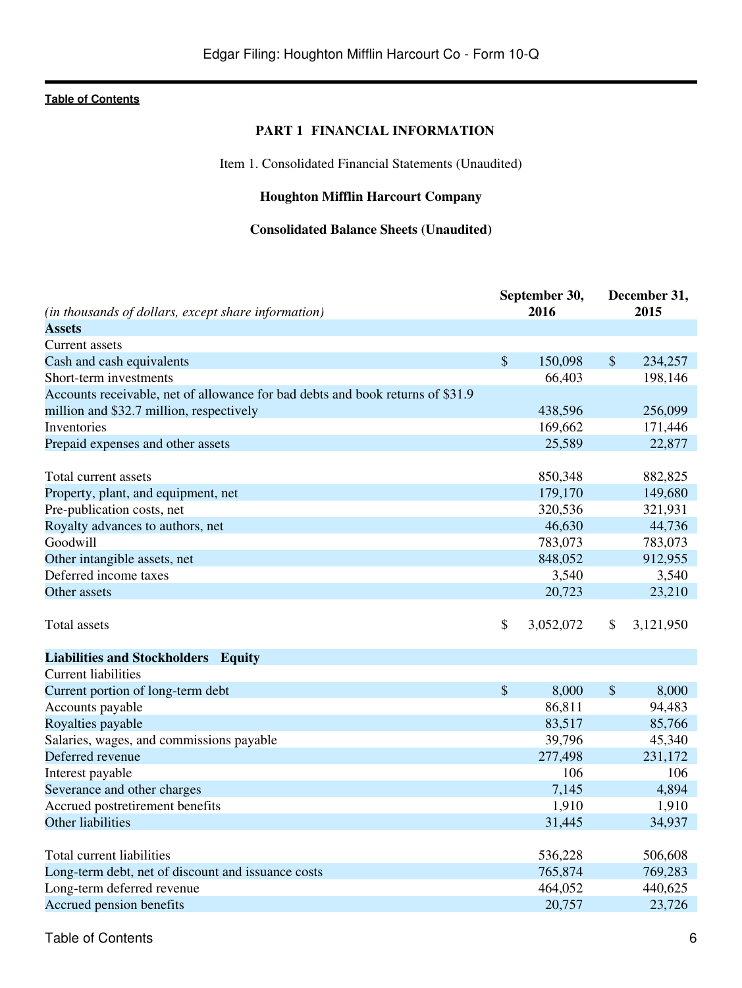## **PART 1 FINANCIAL INFORMATION**

Item 1. Consolidated Financial Statements (Unaudited)

## **Houghton Mifflin Harcourt Company**

## **Consolidated Balance Sheets (Unaudited)**

<span id="page-5-2"></span><span id="page-5-1"></span><span id="page-5-0"></span>

|                                                                                |               | September 30, |               | December 31, |
|--------------------------------------------------------------------------------|---------------|---------------|---------------|--------------|
| (in thousands of dollars, except share information)                            |               | 2016          |               | 2015         |
| <b>Assets</b>                                                                  |               |               |               |              |
| Current assets                                                                 |               |               |               |              |
| Cash and cash equivalents                                                      | $\mathcal{S}$ | 150,098       | $\mathcal{S}$ | 234,257      |
| Short-term investments                                                         |               | 66,403        |               | 198,146      |
| Accounts receivable, net of allowance for bad debts and book returns of \$31.9 |               |               |               |              |
| million and \$32.7 million, respectively                                       |               | 438,596       |               | 256,099      |
| Inventories                                                                    |               | 169,662       |               | 171,446      |
| Prepaid expenses and other assets                                              |               | 25,589        |               | 22,877       |
|                                                                                |               |               |               |              |
| Total current assets                                                           |               | 850,348       |               | 882,825      |
| Property, plant, and equipment, net                                            |               | 179,170       |               | 149,680      |
| Pre-publication costs, net                                                     |               | 320,536       |               | 321,931      |
| Royalty advances to authors, net                                               |               | 46,630        |               | 44,736       |
| Goodwill                                                                       |               | 783,073       |               | 783,073      |
| Other intangible assets, net                                                   |               | 848,052       |               | 912,955      |
| Deferred income taxes                                                          |               | 3,540         |               | 3,540        |
| Other assets                                                                   |               | 20,723        |               | 23,210       |
| Total assets                                                                   | \$            | 3,052,072     | \$            | 3,121,950    |
|                                                                                |               |               |               |              |
| <b>Liabilities and Stockholders Equity</b>                                     |               |               |               |              |
| <b>Current liabilities</b>                                                     |               |               |               |              |
| Current portion of long-term debt                                              | $\mathcal{S}$ | 8,000         | $\$\$         | 8,000        |
| Accounts payable                                                               |               | 86,811        |               | 94,483       |
| Royalties payable                                                              |               | 83,517        |               | 85,766       |
| Salaries, wages, and commissions payable                                       |               | 39,796        |               | 45,340       |
| Deferred revenue                                                               |               | 277,498       |               | 231,172      |
| Interest payable                                                               |               | 106           |               | 106          |
| Severance and other charges                                                    |               | 7,145         |               | 4,894        |
| Accrued postretirement benefits                                                |               | 1,910         |               | 1,910        |
| Other liabilities                                                              |               | 31,445        |               | 34,937       |
|                                                                                |               |               |               |              |
| Total current liabilities                                                      |               | 536,228       |               | 506,608      |
| Long-term debt, net of discount and issuance costs                             |               | 765,874       |               | 769,283      |
| Long-term deferred revenue                                                     |               | 464,052       |               | 440,625      |
| Accrued pension benefits                                                       |               | 20,757        |               | 23,726       |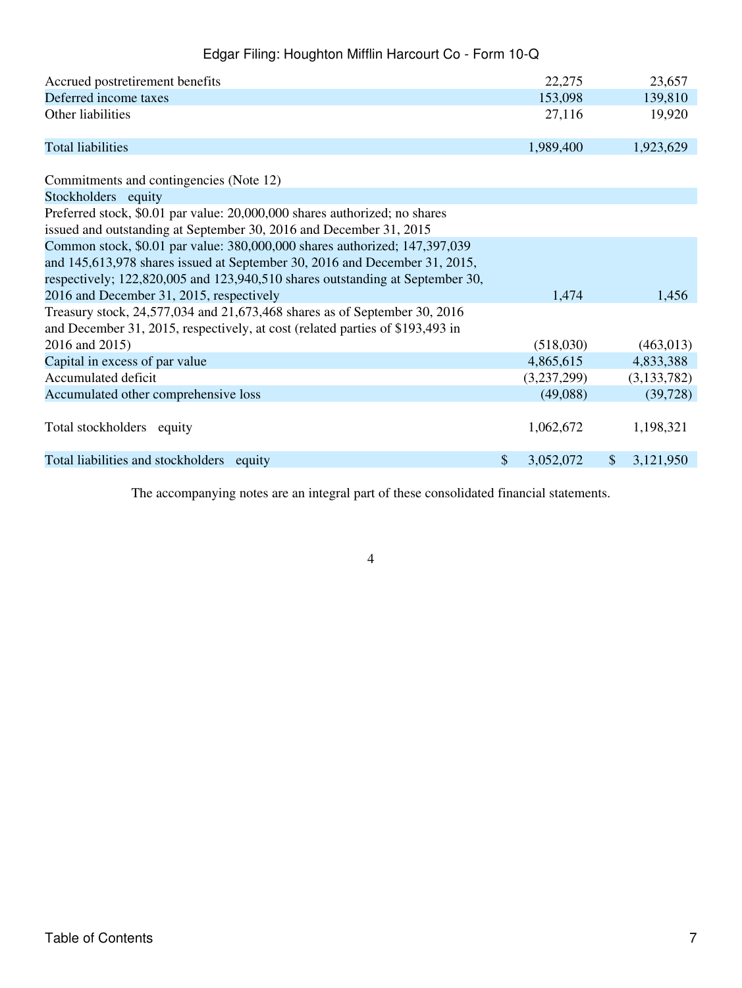| Accrued postretirement benefits                                                                                                                            |                           | 22,275      |              | 23,657        |
|------------------------------------------------------------------------------------------------------------------------------------------------------------|---------------------------|-------------|--------------|---------------|
| Deferred income taxes                                                                                                                                      |                           | 153,098     |              | 139,810       |
| Other liabilities                                                                                                                                          | 27,116                    |             | 19,920       |               |
| <b>Total liabilities</b>                                                                                                                                   |                           | 1,989,400   |              | 1,923,629     |
| Commitments and contingencies (Note 12)                                                                                                                    |                           |             |              |               |
| Stockholders equity                                                                                                                                        |                           |             |              |               |
| Preferred stock, \$0.01 par value: 20,000,000 shares authorized; no shares<br>issued and outstanding at September 30, 2016 and December 31, 2015           |                           |             |              |               |
| Common stock, \$0.01 par value: 380,000,000 shares authorized; 147,397,039                                                                                 |                           |             |              |               |
| and 145,613,978 shares issued at September 30, 2016 and December 31, 2015,                                                                                 |                           |             |              |               |
| respectively; 122,820,005 and 123,940,510 shares outstanding at September 30,                                                                              |                           |             |              |               |
| 2016 and December 31, 2015, respectively                                                                                                                   |                           | 1,474       |              | 1,456         |
| Treasury stock, 24,577,034 and 21,673,468 shares as of September 30, 2016<br>and December 31, 2015, respectively, at cost (related parties of \$193,493 in |                           |             |              |               |
| 2016 and 2015)                                                                                                                                             |                           | (518,030)   |              | (463, 013)    |
| Capital in excess of par value                                                                                                                             |                           | 4,865,615   |              | 4,833,388     |
| Accumulated deficit                                                                                                                                        |                           | (3,237,299) |              | (3, 133, 782) |
| Accumulated other comprehensive loss                                                                                                                       |                           | (49,088)    |              | (39, 728)     |
| Total stockholders equity                                                                                                                                  |                           | 1,062,672   |              | 1,198,321     |
| Total liabilities and stockholders equity                                                                                                                  | $\boldsymbol{\mathsf{S}}$ | 3,052,072   | $\mathbb{S}$ | 3,121,950     |

The accompanying notes are an integral part of these consolidated financial statements.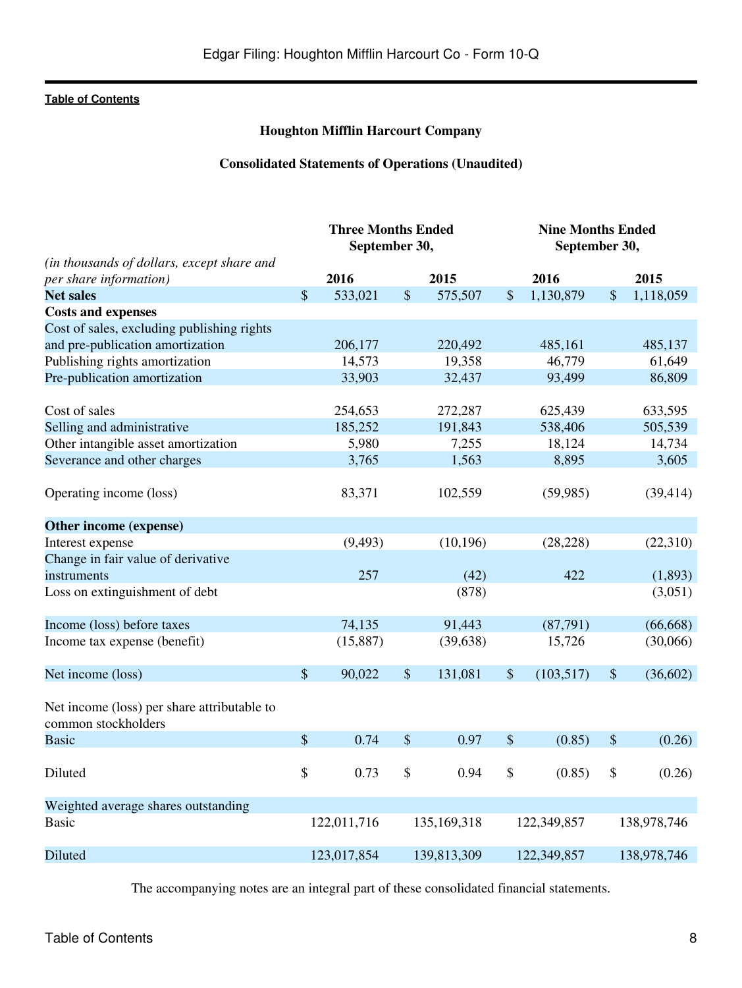## **Houghton Mifflin Harcourt Company**

## **Consolidated Statements of Operations (Unaudited)**

<span id="page-7-0"></span>

|                                                                    | <b>Three Months Ended</b><br>September 30, |                   |                           | <b>Nine Months Ended</b><br>September 30, |    |                   |                           |             |
|--------------------------------------------------------------------|--------------------------------------------|-------------------|---------------------------|-------------------------------------------|----|-------------------|---------------------------|-------------|
| (in thousands of dollars, except share and                         |                                            |                   |                           |                                           |    |                   |                           |             |
| per share information)                                             |                                            | 2016              |                           | 2015                                      |    | 2016              |                           | 2015        |
| <b>Net sales</b>                                                   | $\sqrt{\ }$                                | 533,021           | \$                        | 575,507                                   | \$ | 1,130,879         | \$                        | 1,118,059   |
| <b>Costs and expenses</b>                                          |                                            |                   |                           |                                           |    |                   |                           |             |
| Cost of sales, excluding publishing rights                         |                                            |                   |                           |                                           |    |                   |                           |             |
| and pre-publication amortization                                   |                                            | 206,177<br>14,573 |                           | 220,492<br>19,358                         |    | 485,161<br>46,779 |                           | 485,137     |
| Publishing rights amortization                                     |                                            |                   |                           |                                           |    |                   |                           | 61,649      |
| Pre-publication amortization                                       |                                            | 33,903            |                           | 32,437                                    |    | 93,499            |                           | 86,809      |
| Cost of sales                                                      |                                            | 254,653           |                           | 272,287                                   |    | 625,439           |                           | 633,595     |
| Selling and administrative                                         |                                            | 185,252           |                           | 191,843                                   |    | 538,406           |                           | 505,539     |
| Other intangible asset amortization                                |                                            | 5,980             |                           | 7,255                                     |    | 18,124            |                           | 14,734      |
| Severance and other charges                                        |                                            | 3,765             |                           | 1,563                                     |    | 8,895             |                           | 3,605       |
| Operating income (loss)                                            |                                            | 83,371            |                           | 102,559                                   |    | (59, 985)         |                           | (39, 414)   |
| Other income (expense)                                             |                                            |                   |                           |                                           |    |                   |                           |             |
| Interest expense                                                   |                                            | (9, 493)          |                           | (10, 196)                                 |    | (28, 228)         |                           | (22,310)    |
| Change in fair value of derivative                                 |                                            |                   |                           |                                           |    |                   |                           |             |
| instruments                                                        |                                            | 257               |                           | (42)                                      |    | 422               |                           | (1,893)     |
| Loss on extinguishment of debt                                     |                                            |                   |                           | (878)                                     |    |                   |                           | (3,051)     |
| Income (loss) before taxes                                         |                                            | 74,135            |                           | 91,443                                    |    | (87,791)          |                           | (66, 668)   |
| Income tax expense (benefit)                                       |                                            | (15, 887)         |                           | (39, 638)                                 |    | 15,726            |                           | (30,066)    |
| Net income (loss)                                                  | $\boldsymbol{\mathsf{S}}$                  | 90,022            | $\boldsymbol{\mathsf{S}}$ | 131,081                                   | \$ | (103, 517)        | $\boldsymbol{\mathsf{S}}$ | (36,602)    |
| Net income (loss) per share attributable to<br>common stockholders |                                            |                   |                           |                                           |    |                   |                           |             |
| <b>Basic</b>                                                       | $\mathcal{S}$                              | 0.74              | $\boldsymbol{\mathsf{S}}$ | 0.97                                      | \$ | (0.85)            | \$                        | (0.26)      |
| Diluted                                                            | \$                                         | 0.73              | \$                        | 0.94                                      | \$ | (0.85)            | \$                        | (0.26)      |
| Weighted average shares outstanding                                |                                            |                   |                           |                                           |    |                   |                           |             |
| <b>Basic</b>                                                       |                                            | 122,011,716       |                           | 135,169,318                               |    | 122,349,857       |                           | 138,978,746 |
| Diluted                                                            |                                            | 123,017,854       |                           | 139,813,309                               |    | 122,349,857       |                           | 138,978,746 |

The accompanying notes are an integral part of these consolidated financial statements.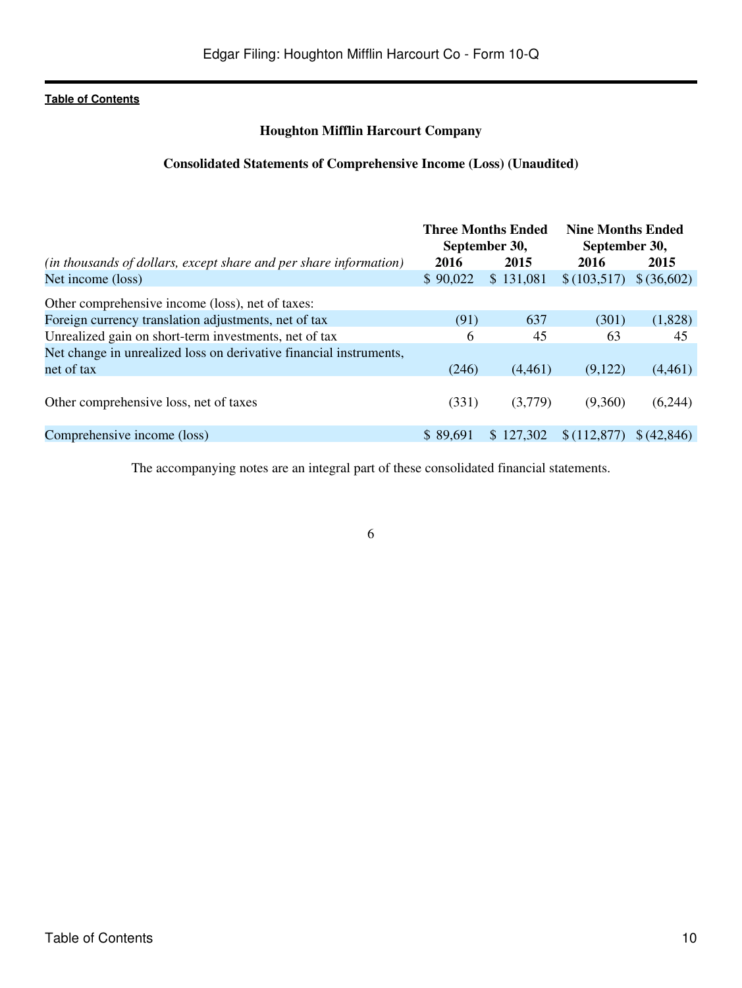## **Houghton Mifflin Harcourt Company**

## **Consolidated Statements of Comprehensive Income (Loss) (Unaudited)**

<span id="page-9-0"></span>

|                                                                    | <b>Three Months Ended</b><br>September 30, |           | <b>Nine Months Ended</b><br>September 30, |             |
|--------------------------------------------------------------------|--------------------------------------------|-----------|-------------------------------------------|-------------|
| (in thousands of dollars, except share and per share information)  | 2016                                       | 2015      | 2016                                      | 2015        |
| Net income (loss)                                                  | \$90,022                                   | \$131,081 | \$(103,517)                               | \$ (36,602) |
| Other comprehensive income (loss), net of taxes:                   |                                            |           |                                           |             |
| Foreign currency translation adjustments, net of tax               | (91)                                       | 637       | (301)                                     | (1,828)     |
| Unrealized gain on short-term investments, net of tax              | 6                                          | 45        | 63                                        | 45          |
| Net change in unrealized loss on derivative financial instruments, |                                            |           |                                           |             |
| net of tax                                                         | (246)                                      | (4,461)   | (9,122)                                   | (4,461)     |
| Other comprehensive loss, net of taxes                             | (331)                                      | (3,779)   | (9,360)                                   | (6,244)     |
| Comprehensive income (loss)                                        | \$89,691                                   | \$127,302 | \$(112,877)                               | \$ (42.846) |

The accompanying notes are an integral part of these consolidated financial statements.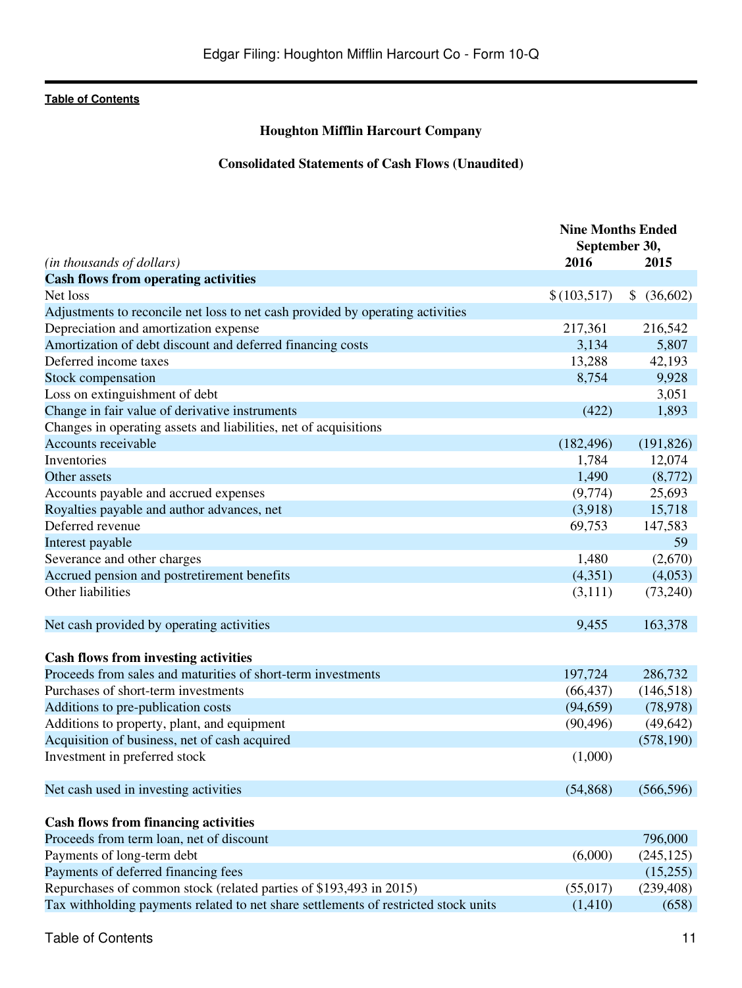## **Houghton Mifflin Harcourt Company**

## **Consolidated Statements of Cash Flows (Unaudited)**

<span id="page-10-0"></span>

| (in thousands of dollars)                                                           | <b>Nine Months Ended</b><br>September 30,<br>2016 | 2015                      |
|-------------------------------------------------------------------------------------|---------------------------------------------------|---------------------------|
| <b>Cash flows from operating activities</b>                                         |                                                   |                           |
| Net loss                                                                            | \$(103,517)                                       | $\mathcal{L}$<br>(36,602) |
| Adjustments to reconcile net loss to net cash provided by operating activities      |                                                   |                           |
| Depreciation and amortization expense                                               | 217,361                                           | 216,542                   |
| Amortization of debt discount and deferred financing costs                          | 3,134                                             | 5,807                     |
| Deferred income taxes                                                               | 13,288                                            | 42,193                    |
| Stock compensation                                                                  | 8,754                                             | 9,928                     |
| Loss on extinguishment of debt                                                      |                                                   | 3,051                     |
| Change in fair value of derivative instruments                                      | (422)                                             | 1,893                     |
| Changes in operating assets and liabilities, net of acquisitions                    |                                                   |                           |
| Accounts receivable                                                                 | (182, 496)                                        | (191, 826)                |
| Inventories                                                                         | 1,784                                             | 12,074                    |
| Other assets                                                                        | 1,490                                             | (8,772)                   |
| Accounts payable and accrued expenses                                               | (9,774)                                           | 25,693                    |
| Royalties payable and author advances, net                                          | (3,918)                                           | 15,718                    |
| Deferred revenue                                                                    | 69,753                                            | 147,583                   |
| Interest payable                                                                    |                                                   | 59                        |
| Severance and other charges                                                         | 1,480                                             | (2,670)                   |
| Accrued pension and postretirement benefits                                         | (4,351)                                           | (4,053)                   |
| Other liabilities                                                                   | (3,111)                                           | (73,240)                  |
|                                                                                     |                                                   |                           |
| Net cash provided by operating activities                                           | 9,455                                             | 163,378                   |
| <b>Cash flows from investing activities</b>                                         |                                                   |                           |
| Proceeds from sales and maturities of short-term investments                        | 197,724                                           | 286,732                   |
| Purchases of short-term investments                                                 | (66, 437)                                         | (146,518)                 |
| Additions to pre-publication costs                                                  | (94, 659)                                         | (78, 978)                 |
| Additions to property, plant, and equipment                                         | (90, 496)                                         | (49, 642)                 |
| Acquisition of business, net of cash acquired                                       |                                                   | (578, 190)                |
| Investment in preferred stock                                                       | (1,000)                                           |                           |
|                                                                                     |                                                   |                           |
| Net cash used in investing activities                                               | (54, 868)                                         | (566, 596)                |
| <b>Cash flows from financing activities</b>                                         |                                                   |                           |
| Proceeds from term loan, net of discount                                            |                                                   | 796,000                   |
| Payments of long-term debt                                                          | (6,000)                                           | (245, 125)                |
| Payments of deferred financing fees                                                 |                                                   | (15,255)                  |
| Repurchases of common stock (related parties of \$193,493 in 2015)                  | (55,017)                                          | (239, 408)                |
| Tax withholding payments related to net share settlements of restricted stock units | (1,410)                                           | (658)                     |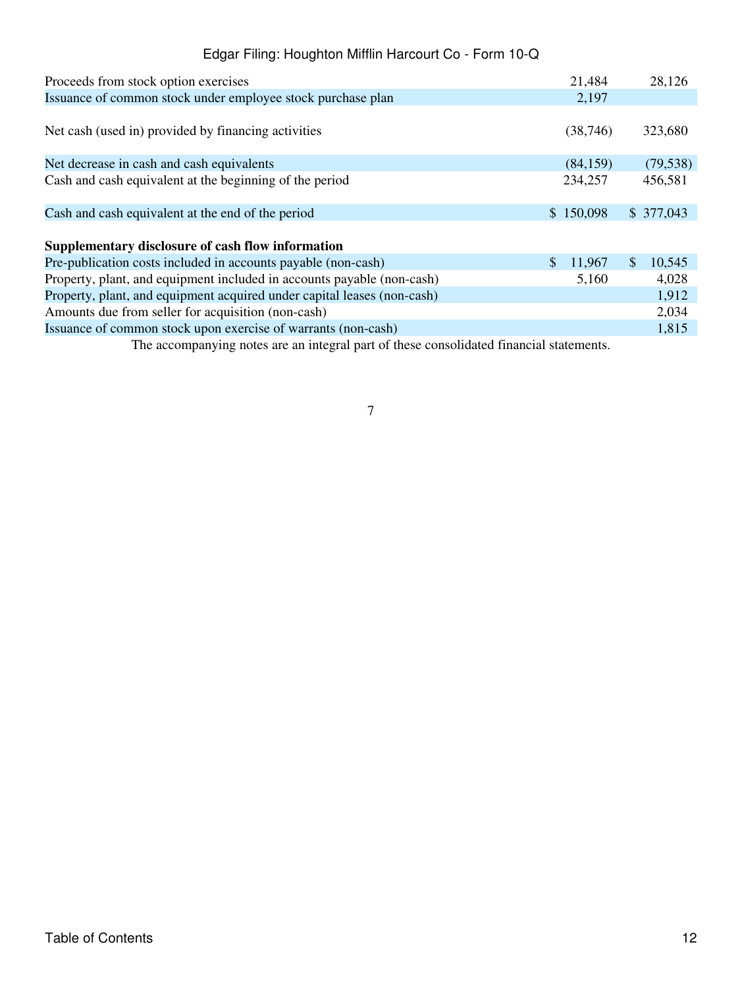| Issuance of common stock under employee stock purchase plan<br>2,197                          | 323,680   |
|-----------------------------------------------------------------------------------------------|-----------|
|                                                                                               |           |
| Net cash (used in) provided by financing activities<br>(38, 746)                              |           |
| Net decrease in cash and cash equivalents<br>(84, 159)                                        | (79, 538) |
| Cash and cash equivalent at the beginning of the period<br>234,257                            | 456,581   |
| \$150,098<br>\$377,043<br>Cash and cash equivalent at the end of the period                   |           |
| Supplementary disclosure of cash flow information                                             |           |
| Pre-publication costs included in accounts payable (non-cash)<br>$\mathbb{S}$<br>11,967<br>S. | 10,545    |
| Property, plant, and equipment included in accounts payable (non-cash)<br>5,160               | 4,028     |
| Property, plant, and equipment acquired under capital leases (non-cash)                       | 1,912     |
| Amounts due from seller for acquisition (non-cash)                                            | 2,034     |
| Issuance of common stock upon exercise of warrants (non-cash)                                 | 1,815     |

The accompanying notes are an integral part of these consolidated financial statements.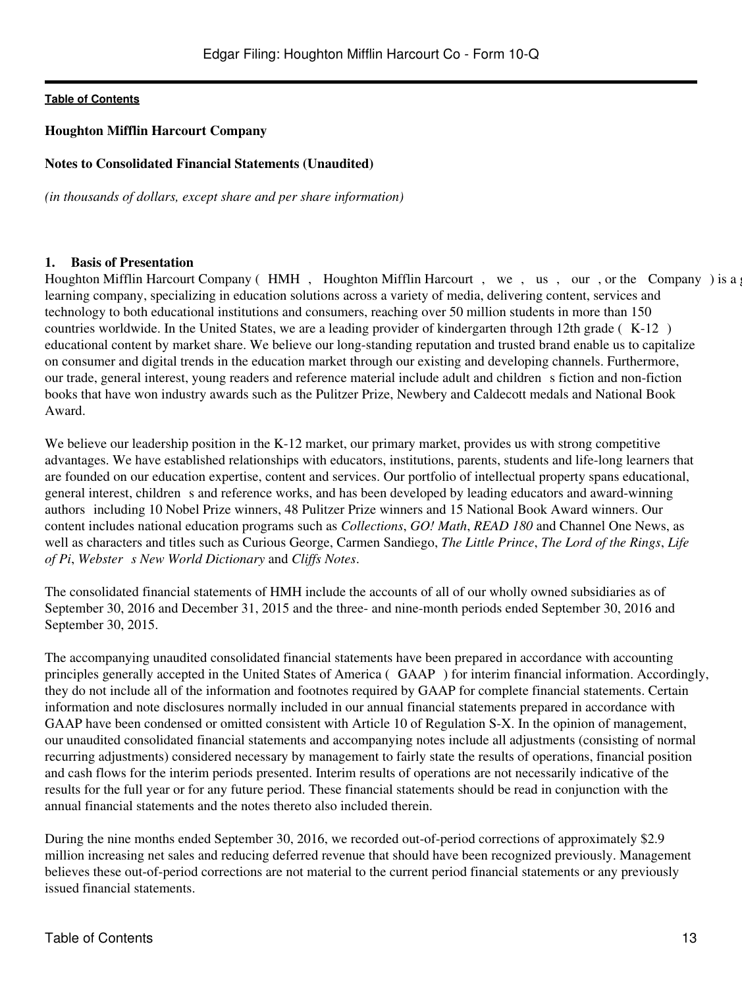## <span id="page-12-0"></span>**Houghton Mifflin Harcourt Company**

## **Notes to Consolidated Financial Statements (Unaudited)**

*(in thousands of dollars, except share and per share information)*

#### **1. Basis of Presentation**

Houghton Mifflin Harcourt Company (HMH, Houghton Mifflin Harcourt, we, us, our, or the Company) is a learning company, specializing in education solutions across a variety of media, delivering content, services and technology to both educational institutions and consumers, reaching over 50 million students in more than 150 countries worldwide. In the United States, we are a leading provider of kindergarten through 12th grade  $(K-12)$ educational content by market share. We believe our long-standing reputation and trusted brand enable us to capitalize on consumer and digital trends in the education market through our existing and developing channels. Furthermore, our trade, general interest, young readers and reference material include adult and children s fiction and non-fiction books that have won industry awards such as the Pulitzer Prize, Newbery and Caldecott medals and National Book Award.

We believe our leadership position in the K-12 market, our primary market, provides us with strong competitive advantages. We have established relationships with educators, institutions, parents, students and life-long learners that are founded on our education expertise, content and services. Our portfolio of intellectual property spans educational, general interest, children s and reference works, and has been developed by leading educators and award-winning authorsincluding 10 Nobel Prize winners, 48 Pulitzer Prize winners and 15 National Book Award winners. Our content includes national education programs such as *Collections*, *GO! Math*, *READ 180* and Channel One News, as well as characters and titles such as Curious George, Carmen Sandiego, *The Little Prince*, *The Lord of the Rings*, *Life*  $of Pi$ , Webster s New World Dictionary and Cliffs Notes.

The consolidated financial statements of HMH include the accounts of all of our wholly owned subsidiaries as of September 30, 2016 and December 31, 2015 and the three- and nine-month periods ended September 30, 2016 and September 30, 2015.

The accompanying unaudited consolidated financial statements have been prepared in accordance with accounting principles generally accepted in the United States of America (GAAP) for interim financial information. Accordingly, they do not include all of the information and footnotes required by GAAP for complete financial statements. Certain information and note disclosures normally included in our annual financial statements prepared in accordance with GAAP have been condensed or omitted consistent with Article 10 of Regulation S-X. In the opinion of management, our unaudited consolidated financial statements and accompanying notes include all adjustments (consisting of normal recurring adjustments) considered necessary by management to fairly state the results of operations, financial position and cash flows for the interim periods presented. Interim results of operations are not necessarily indicative of the results for the full year or for any future period. These financial statements should be read in conjunction with the annual financial statements and the notes thereto also included therein.

During the nine months ended September 30, 2016, we recorded out-of-period corrections of approximately \$2.9 million increasing net sales and reducing deferred revenue that should have been recognized previously. Management believes these out-of-period corrections are not material to the current period financial statements or any previously issued financial statements.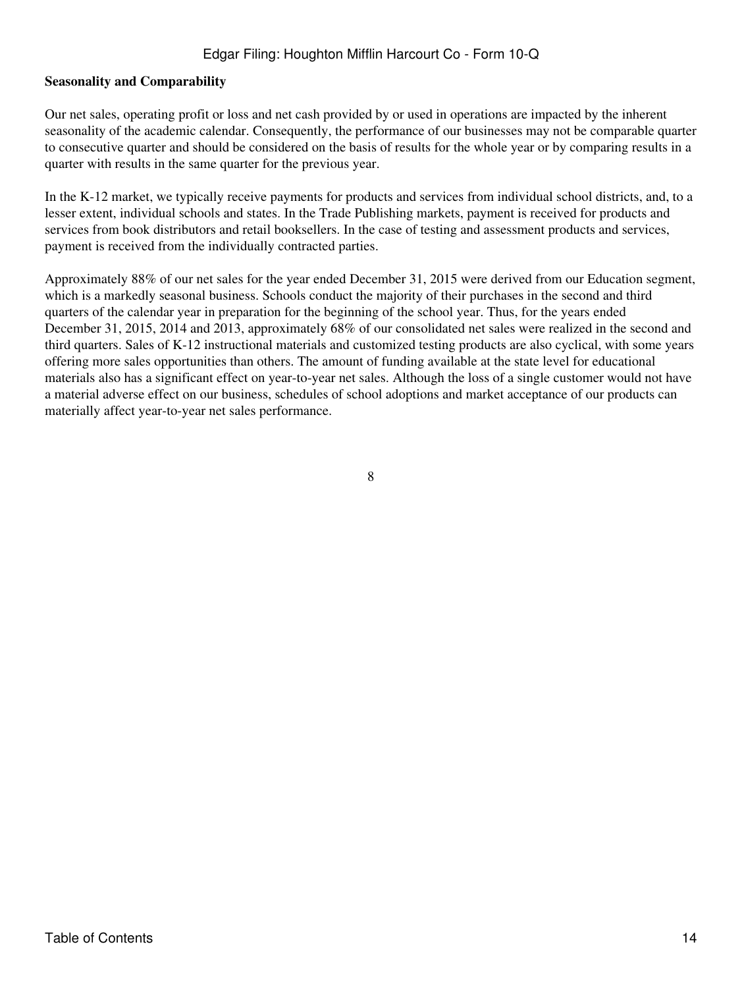### **Seasonality and Comparability**

Our net sales, operating profit or loss and net cash provided by or used in operations are impacted by the inherent seasonality of the academic calendar. Consequently, the performance of our businesses may not be comparable quarter to consecutive quarter and should be considered on the basis of results for the whole year or by comparing results in a quarter with results in the same quarter for the previous year.

In the K-12 market, we typically receive payments for products and services from individual school districts, and, to a lesser extent, individual schools and states. In the Trade Publishing markets, payment is received for products and services from book distributors and retail booksellers. In the case of testing and assessment products and services, payment is received from the individually contracted parties.

Approximately 88% of our net sales for the year ended December 31, 2015 were derived from our Education segment, which is a markedly seasonal business. Schools conduct the majority of their purchases in the second and third quarters of the calendar year in preparation for the beginning of the school year. Thus, for the years ended December 31, 2015, 2014 and 2013, approximately 68% of our consolidated net sales were realized in the second and third quarters. Sales of K-12 instructional materials and customized testing products are also cyclical, with some years offering more sales opportunities than others. The amount of funding available at the state level for educational materials also has a significant effect on year-to-year net sales. Although the loss of a single customer would not have a material adverse effect on our business, schedules of school adoptions and market acceptance of our products can materially affect year-to-year net sales performance.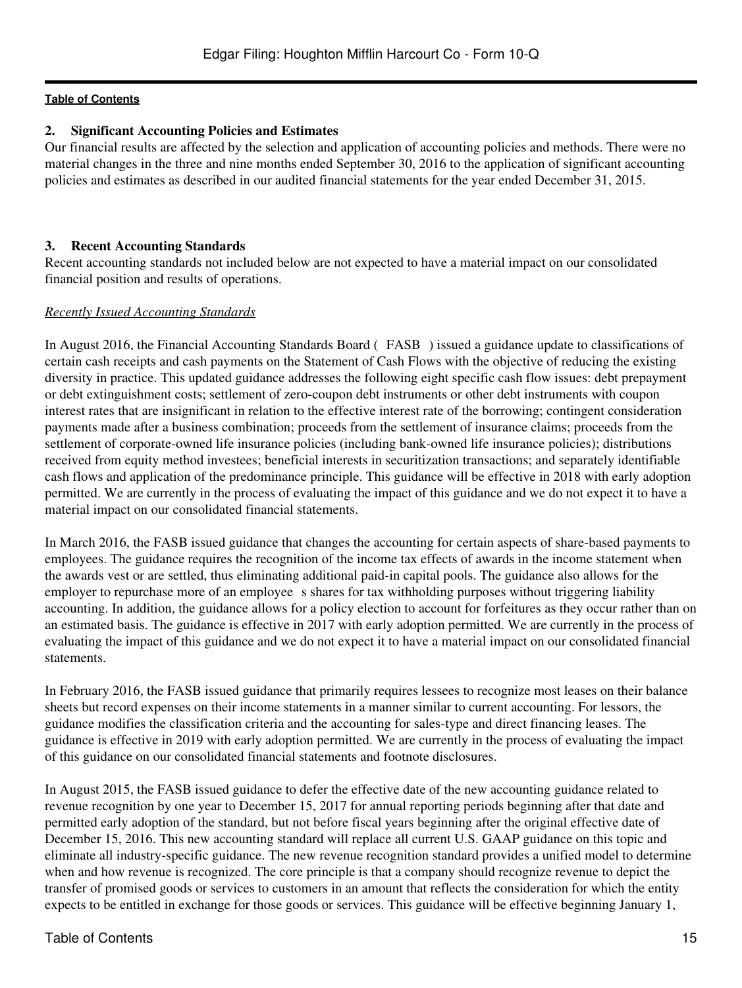## **2. Significant Accounting Policies and Estimates**

Our financial results are affected by the selection and application of accounting policies and methods. There were no material changes in the three and nine months ended September 30, 2016 to the application of significant accounting policies and estimates as described in our audited financial statements for the year ended December 31, 2015.

### **3. Recent Accounting Standards**

Recent accounting standards not included below are not expected to have a material impact on our consolidated financial position and results of operations.

## *Recently Issued Accounting Standards*

In August 2016, the Financial Accounting Standards Board (FASB) issued a guidance update to classifications of certain cash receipts and cash payments on the Statement of Cash Flows with the objective of reducing the existing diversity in practice. This updated guidance addresses the following eight specific cash flow issues: debt prepayment or debt extinguishment costs; settlement of zero-coupon debt instruments or other debt instruments with coupon interest rates that are insignificant in relation to the effective interest rate of the borrowing; contingent consideration payments made after a business combination; proceeds from the settlement of insurance claims; proceeds from the settlement of corporate-owned life insurance policies (including bank-owned life insurance policies); distributions received from equity method investees; beneficial interests in securitization transactions; and separately identifiable cash flows and application of the predominance principle. This guidance will be effective in 2018 with early adoption permitted. We are currently in the process of evaluating the impact of this guidance and we do not expect it to have a material impact on our consolidated financial statements.

In March 2016, the FASB issued guidance that changes the accounting for certain aspects of share-based payments to employees. The guidance requires the recognition of the income tax effects of awards in the income statement when the awards vest or are settled, thus eliminating additional paid-in capital pools. The guidance also allows for the employer to repurchase more of an employee s shares for tax withholding purposes without triggering liability accounting. In addition, the guidance allows for a policy election to account for forfeitures as they occur rather than on an estimated basis. The guidance is effective in 2017 with early adoption permitted. We are currently in the process of evaluating the impact of this guidance and we do not expect it to have a material impact on our consolidated financial statements.

In February 2016, the FASB issued guidance that primarily requires lessees to recognize most leases on their balance sheets but record expenses on their income statements in a manner similar to current accounting. For lessors, the guidance modifies the classification criteria and the accounting for sales-type and direct financing leases. The guidance is effective in 2019 with early adoption permitted. We are currently in the process of evaluating the impact of this guidance on our consolidated financial statements and footnote disclosures.

In August 2015, the FASB issued guidance to defer the effective date of the new accounting guidance related to revenue recognition by one year to December 15, 2017 for annual reporting periods beginning after that date and permitted early adoption of the standard, but not before fiscal years beginning after the original effective date of December 15, 2016. This new accounting standard will replace all current U.S. GAAP guidance on this topic and eliminate all industry-specific guidance. The new revenue recognition standard provides a unified model to determine when and how revenue is recognized. The core principle is that a company should recognize revenue to depict the transfer of promised goods or services to customers in an amount that reflects the consideration for which the entity expects to be entitled in exchange for those goods or services. This guidance will be effective beginning January 1,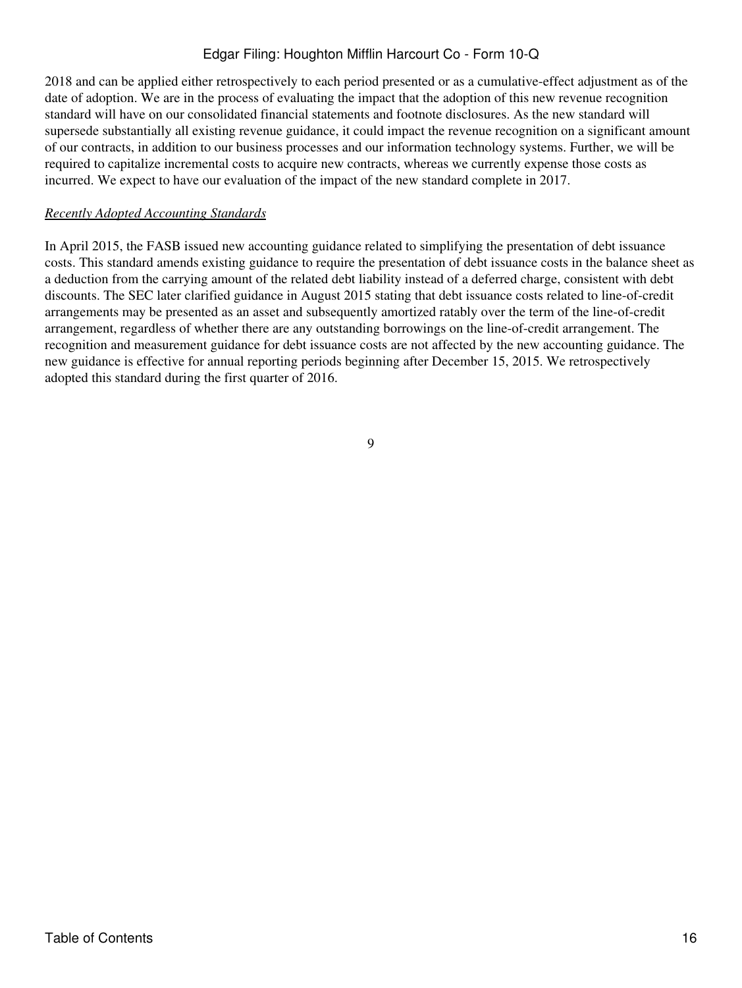2018 and can be applied either retrospectively to each period presented or as a cumulative-effect adjustment as of the date of adoption. We are in the process of evaluating the impact that the adoption of this new revenue recognition standard will have on our consolidated financial statements and footnote disclosures. As the new standard will supersede substantially all existing revenue guidance, it could impact the revenue recognition on a significant amount of our contracts, in addition to our business processes and our information technology systems. Further, we will be required to capitalize incremental costs to acquire new contracts, whereas we currently expense those costs as incurred. We expect to have our evaluation of the impact of the new standard complete in 2017.

#### *Recently Adopted Accounting Standards*

In April 2015, the FASB issued new accounting guidance related to simplifying the presentation of debt issuance costs. This standard amends existing guidance to require the presentation of debt issuance costs in the balance sheet as a deduction from the carrying amount of the related debt liability instead of a deferred charge, consistent with debt discounts. The SEC later clarified guidance in August 2015 stating that debt issuance costs related to line-of-credit arrangements may be presented as an asset and subsequently amortized ratably over the term of the line-of-credit arrangement, regardless of whether there are any outstanding borrowings on the line-of-credit arrangement. The recognition and measurement guidance for debt issuance costs are not affected by the new accounting guidance. The new guidance is effective for annual reporting periods beginning after December 15, 2015. We retrospectively adopted this standard during the first quarter of 2016.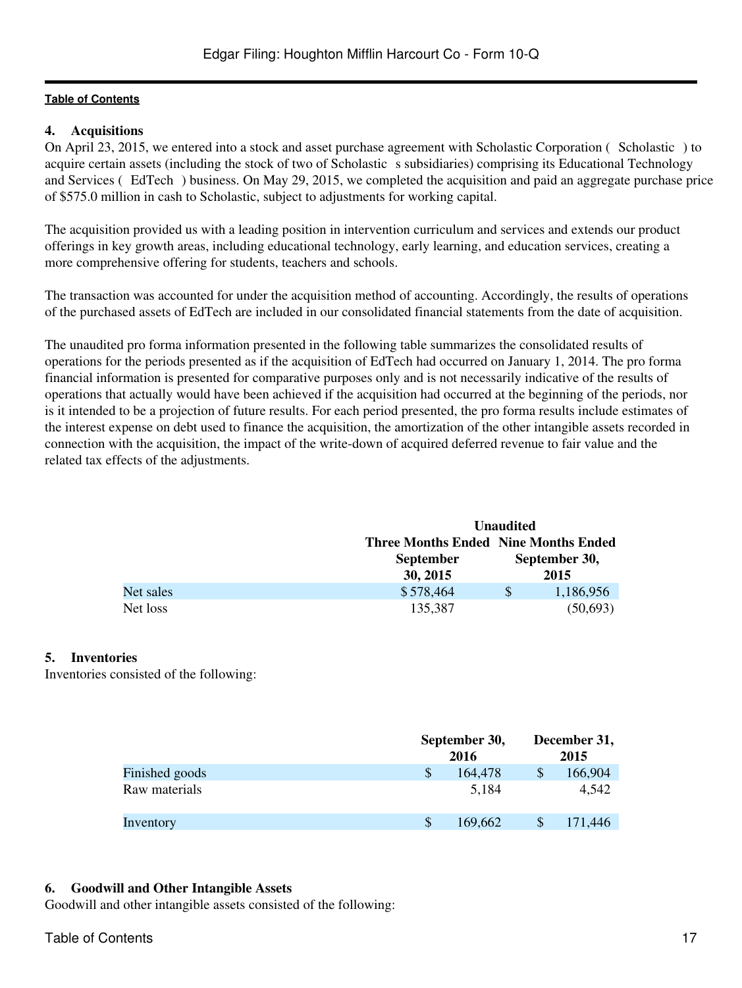## **4. Acquisitions**

On April 23, 2015, we entered into a stock and asset purchase agreement with Scholastic Corporation (Scholastic) to acquire certain assets (including the stock of two of Scholastic s subsidiaries) comprising its Educational Technology and Services (EdTech) business. On May 29, 2015, we completed the acquisition and paid an aggregate purchase price of \$575.0 million in cash to Scholastic, subject to adjustments for working capital.

The acquisition provided us with a leading position in intervention curriculum and services and extends our product offerings in key growth areas, including educational technology, early learning, and education services, creating a more comprehensive offering for students, teachers and schools.

The transaction was accounted for under the acquisition method of accounting. Accordingly, the results of operations of the purchased assets of EdTech are included in our consolidated financial statements from the date of acquisition.

The unaudited pro forma information presented in the following table summarizes the consolidated results of operations for the periods presented as if the acquisition of EdTech had occurred on January 1, 2014. The pro forma financial information is presented for comparative purposes only and is not necessarily indicative of the results of operations that actually would have been achieved if the acquisition had occurred at the beginning of the periods, nor is it intended to be a projection of future results. For each period presented, the pro forma results include estimates of the interest expense on debt used to finance the acquisition, the amortization of the other intangible assets recorded in connection with the acquisition, the impact of the write-down of acquired deferred revenue to fair value and the related tax effects of the adjustments.

|           |                                             | <b>Unaudited</b> |           |  |
|-----------|---------------------------------------------|------------------|-----------|--|
|           | <b>Three Months Ended Nine Months Ended</b> |                  |           |  |
|           | <b>September</b>                            | September 30,    |           |  |
|           | 30, 2015                                    |                  | 2015      |  |
| Net sales | \$578,464                                   | \$.              | 1,186,956 |  |
| Net loss  | 135,387                                     |                  | (50,693)  |  |

#### **5. Inventories**

Inventories consisted of the following:

|                | September 30,<br>2016 |         |   | December 31,<br>2015 |
|----------------|-----------------------|---------|---|----------------------|
| Finished goods | \$                    | 164,478 | S | 166,904              |
| Raw materials  |                       | 5.184   |   | 4,542                |
| Inventory      |                       | 169.662 |   | 171,446              |

#### **6. Goodwill and Other Intangible Assets**

Goodwill and other intangible assets consisted of the following: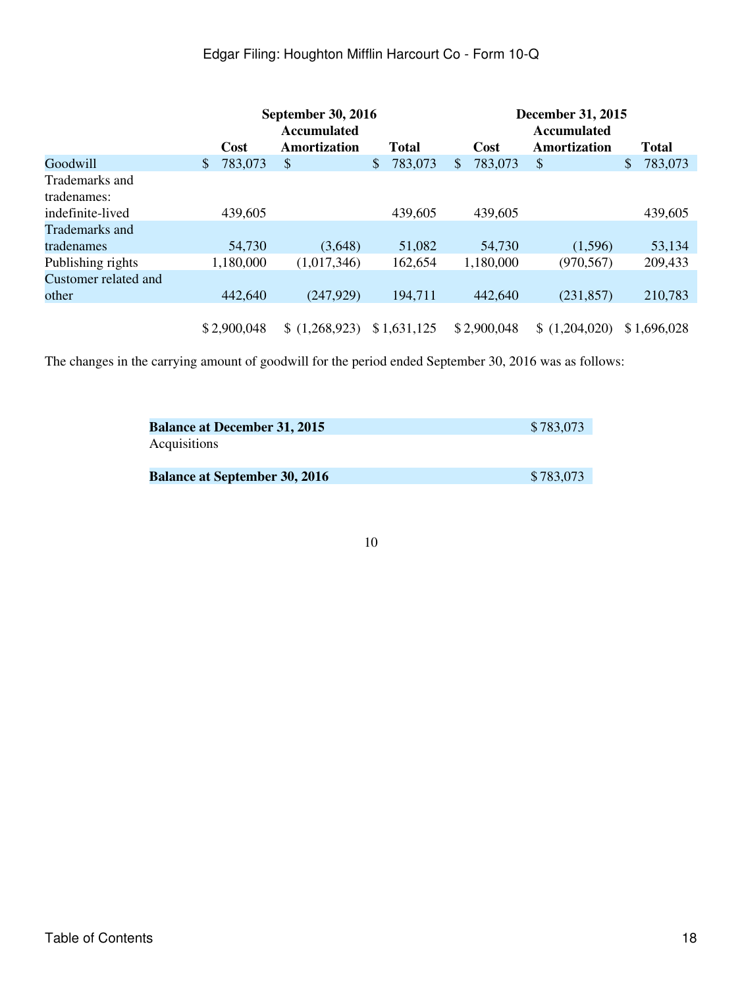|                      |               | <b>September 30, 2016</b> |                          |               | <b>December 31, 2015</b> |               |  |  |
|----------------------|---------------|---------------------------|--------------------------|---------------|--------------------------|---------------|--|--|
|                      |               | <b>Accumulated</b>        |                          |               | <b>Accumulated</b>       |               |  |  |
|                      | Cost          | Amortization              | <b>Total</b>             | Cost          | Amortization             | <b>Total</b>  |  |  |
| Goodwill             | 783,073<br>\$ | \$                        | 783,073<br>$\frac{1}{2}$ | 783,073<br>\$ | S                        | 783,073<br>\$ |  |  |
| Trademarks and       |               |                           |                          |               |                          |               |  |  |
| tradenames:          |               |                           |                          |               |                          |               |  |  |
| indefinite-lived     | 439,605       |                           | 439,605                  | 439,605       |                          | 439,605       |  |  |
| Trademarks and       |               |                           |                          |               |                          |               |  |  |
| tradenames           | 54,730        | (3,648)                   | 51,082                   | 54,730        | (1,596)                  | 53,134        |  |  |
| Publishing rights    | 1,180,000     | (1,017,346)               | 162,654                  | 1,180,000     | (970, 567)               | 209,433       |  |  |
| Customer related and |               |                           |                          |               |                          |               |  |  |
| other                | 442,640       | (247,929)                 | 194,711                  | 442,640       | (231, 857)               | 210,783       |  |  |
|                      |               |                           |                          |               |                          |               |  |  |
|                      | \$2,900,048   | \$(1,268,923)             | \$1,631,125              | \$2,900,048   | (1,204,020)              | \$1,696,028   |  |  |

The changes in the carrying amount of goodwill for the period ended September 30, 2016 was as follows:

| <b>Balance at December 31, 2015</b>  | \$783,073 |
|--------------------------------------|-----------|
| Acquisitions                         |           |
| <b>Balance at September 30, 2016</b> | \$783,073 |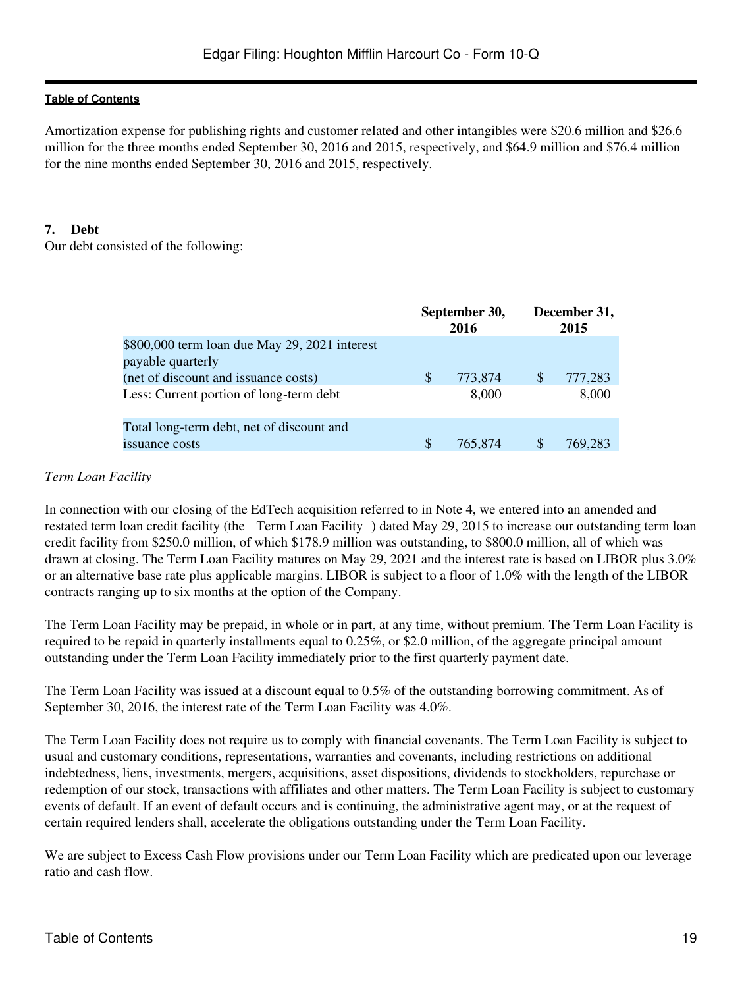Amortization expense for publishing rights and customer related and other intangibles were \$20.6 million and \$26.6 million for the three months ended September 30, 2016 and 2015, respectively, and \$64.9 million and \$76.4 million for the nine months ended September 30, 2016 and 2015, respectively.

### **7. Debt**

Our debt consisted of the following:

|                                                                                                            |    | September 30,<br>2016 |          | December 31,<br>2015 |
|------------------------------------------------------------------------------------------------------------|----|-----------------------|----------|----------------------|
| \$800,000 term loan due May 29, 2021 interest<br>payable quarterly<br>(net of discount and issuance costs) | S  | 773,874               | <b>S</b> | 777,283              |
| Less: Current portion of long-term debt                                                                    |    | 8,000                 |          | 8,000                |
| Total long-term debt, net of discount and<br>issuance costs                                                | \$ | 765,874               | \$       | 769,283              |

### *Term Loan Facility*

In connection with our closing of the EdTech acquisition referred to in Note 4, we entered into an amended and restated term loan credit facility (the Term Loan Facility) dated May 29, 2015 to increase our outstanding term loan credit facility from \$250.0 million, of which \$178.9 million was outstanding, to \$800.0 million, all of which was drawn at closing. The Term Loan Facility matures on May 29, 2021 and the interest rate is based on LIBOR plus 3.0% or an alternative base rate plus applicable margins. LIBOR is subject to a floor of 1.0% with the length of the LIBOR contracts ranging up to six months at the option of the Company.

The Term Loan Facility may be prepaid, in whole or in part, at any time, without premium. The Term Loan Facility is required to be repaid in quarterly installments equal to 0.25%, or \$2.0 million, of the aggregate principal amount outstanding under the Term Loan Facility immediately prior to the first quarterly payment date.

The Term Loan Facility was issued at a discount equal to 0.5% of the outstanding borrowing commitment. As of September 30, 2016, the interest rate of the Term Loan Facility was 4.0%.

The Term Loan Facility does not require us to comply with financial covenants. The Term Loan Facility is subject to usual and customary conditions, representations, warranties and covenants, including restrictions on additional indebtedness, liens, investments, mergers, acquisitions, asset dispositions, dividends to stockholders, repurchase or redemption of our stock, transactions with affiliates and other matters. The Term Loan Facility is subject to customary events of default. If an event of default occurs and is continuing, the administrative agent may, or at the request of certain required lenders shall, accelerate the obligations outstanding under the Term Loan Facility.

We are subject to Excess Cash Flow provisions under our Term Loan Facility which are predicated upon our leverage ratio and cash flow.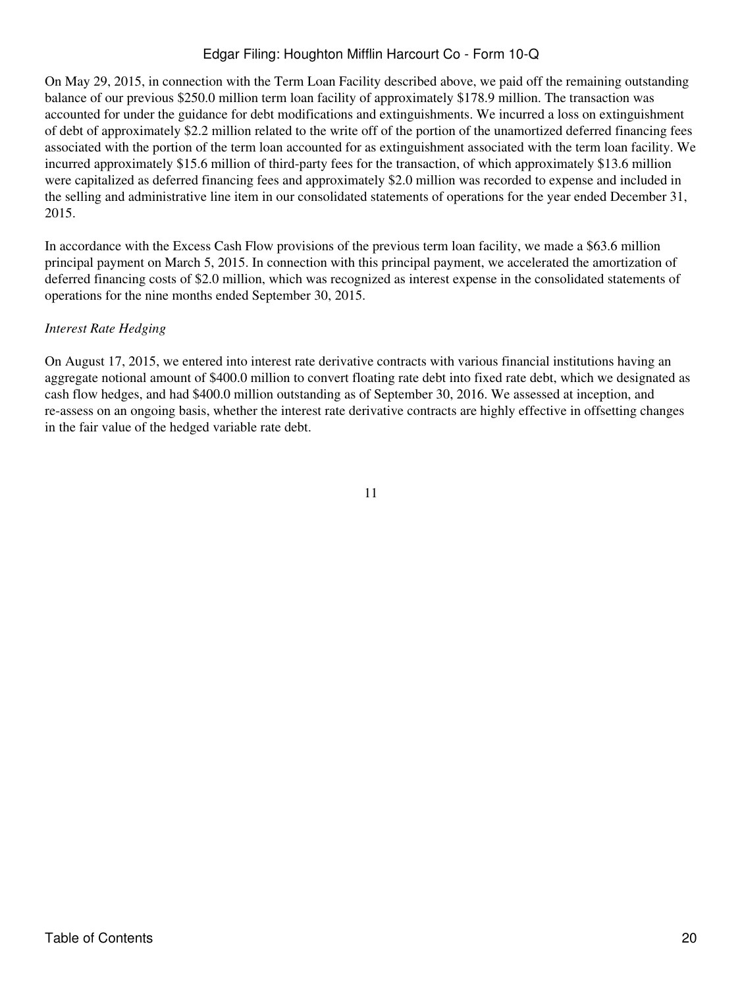On May 29, 2015, in connection with the Term Loan Facility described above, we paid off the remaining outstanding balance of our previous \$250.0 million term loan facility of approximately \$178.9 million. The transaction was accounted for under the guidance for debt modifications and extinguishments. We incurred a loss on extinguishment of debt of approximately \$2.2 million related to the write off of the portion of the unamortized deferred financing fees associated with the portion of the term loan accounted for as extinguishment associated with the term loan facility. We incurred approximately \$15.6 million of third-party fees for the transaction, of which approximately \$13.6 million were capitalized as deferred financing fees and approximately \$2.0 million was recorded to expense and included in the selling and administrative line item in our consolidated statements of operations for the year ended December 31, 2015.

In accordance with the Excess Cash Flow provisions of the previous term loan facility, we made a \$63.6 million principal payment on March 5, 2015. In connection with this principal payment, we accelerated the amortization of deferred financing costs of \$2.0 million, which was recognized as interest expense in the consolidated statements of operations for the nine months ended September 30, 2015.

## *Interest Rate Hedging*

On August 17, 2015, we entered into interest rate derivative contracts with various financial institutions having an aggregate notional amount of \$400.0 million to convert floating rate debt into fixed rate debt, which we designated as cash flow hedges, and had \$400.0 million outstanding as of September 30, 2016. We assessed at inception, and re-assess on an ongoing basis, whether the interest rate derivative contracts are highly effective in offsetting changes in the fair value of the hedged variable rate debt.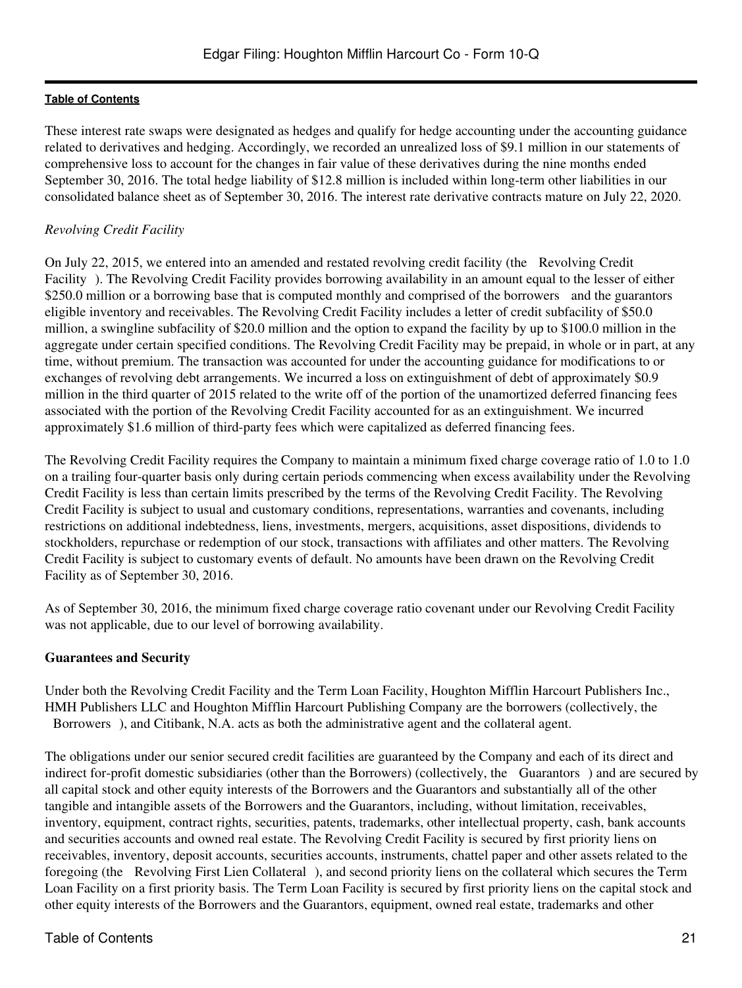These interest rate swaps were designated as hedges and qualify for hedge accounting under the accounting guidance related to derivatives and hedging. Accordingly, we recorded an unrealized loss of \$9.1 million in our statements of comprehensive loss to account for the changes in fair value of these derivatives during the nine months ended September 30, 2016. The total hedge liability of \$12.8 million is included within long-term other liabilities in our consolidated balance sheet as of September 30, 2016. The interest rate derivative contracts mature on July 22, 2020.

## *Revolving Credit Facility*

On July 22, 2015, we entered into an amended and restated revolving credit facility (the Revolving Credit Facility). The Revolving Credit Facility provides borrowing availability in an amount equal to the lesser of either \$250.0 million or a borrowing base that is computed monthly and comprised of the borrowers and the guarantors eligible inventory and receivables. The Revolving Credit Facility includes a letter of credit subfacility of \$50.0 million, a swingline subfacility of \$20.0 million and the option to expand the facility by up to \$100.0 million in the aggregate under certain specified conditions. The Revolving Credit Facility may be prepaid, in whole or in part, at any time, without premium. The transaction was accounted for under the accounting guidance for modifications to or exchanges of revolving debt arrangements. We incurred a loss on extinguishment of debt of approximately \$0.9 million in the third quarter of 2015 related to the write off of the portion of the unamortized deferred financing fees associated with the portion of the Revolving Credit Facility accounted for as an extinguishment. We incurred approximately \$1.6 million of third-party fees which were capitalized as deferred financing fees.

The Revolving Credit Facility requires the Company to maintain a minimum fixed charge coverage ratio of 1.0 to 1.0 on a trailing four-quarter basis only during certain periods commencing when excess availability under the Revolving Credit Facility is less than certain limits prescribed by the terms of the Revolving Credit Facility. The Revolving Credit Facility is subject to usual and customary conditions, representations, warranties and covenants, including restrictions on additional indebtedness, liens, investments, mergers, acquisitions, asset dispositions, dividends to stockholders, repurchase or redemption of our stock, transactions with affiliates and other matters. The Revolving Credit Facility is subject to customary events of default. No amounts have been drawn on the Revolving Credit Facility as of September 30, 2016.

As of September 30, 2016, the minimum fixed charge coverage ratio covenant under our Revolving Credit Facility was not applicable, due to our level of borrowing availability.

## **Guarantees and Security**

Under both the Revolving Credit Facility and the Term Loan Facility, Houghton Mifflin Harcourt Publishers Inc., HMH Publishers LLC and Houghton Mifflin Harcourt Publishing Company are the borrowers (collectively, the Borrowers), and Citibank, N.A. acts as both the administrative agent and the collateral agent.

The obligations under our senior secured credit facilities are guaranteed by the Company and each of its direct and indirect for-profit domestic subsidiaries (other than the Borrowers) (collectively, the Guarantors) and are secured by all capital stock and other equity interests of the Borrowers and the Guarantors and substantially all of the other tangible and intangible assets of the Borrowers and the Guarantors, including, without limitation, receivables, inventory, equipment, contract rights, securities, patents, trademarks, other intellectual property, cash, bank accounts and securities accounts and owned real estate. The Revolving Credit Facility is secured by first priority liens on receivables, inventory, deposit accounts, securities accounts, instruments, chattel paper and other assets related to the foregoing (the Revolving First Lien Collateral), and second priority liens on the collateral which secures the Term Loan Facility on a first priority basis. The Term Loan Facility is secured by first priority liens on the capital stock and other equity interests of the Borrowers and the Guarantors, equipment, owned real estate, trademarks and other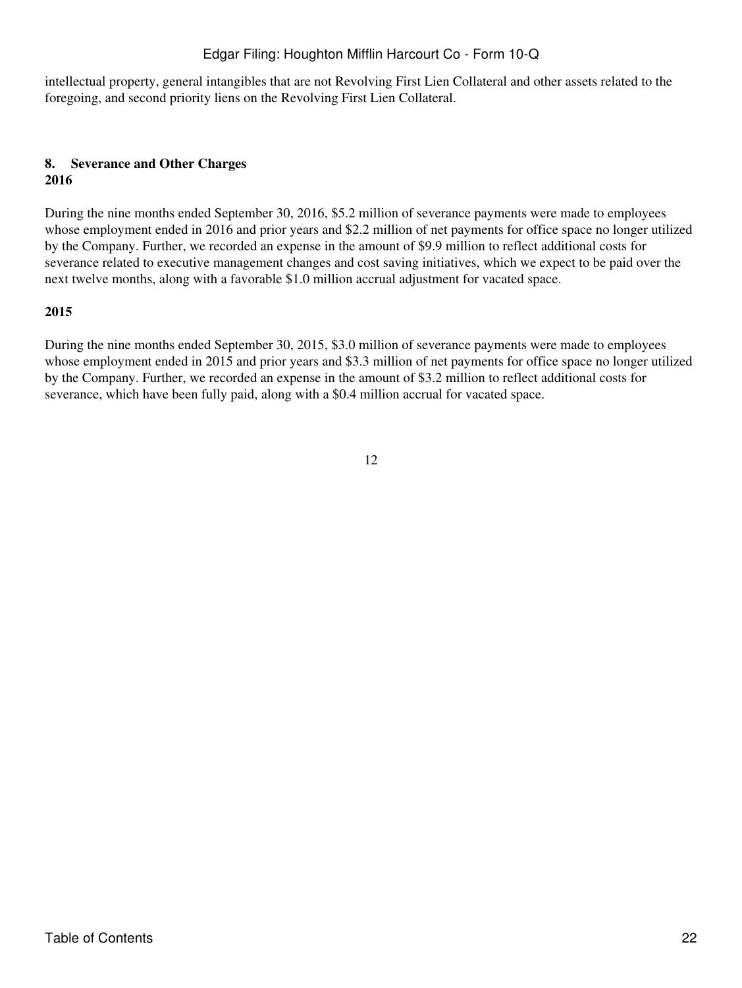intellectual property, general intangibles that are not Revolving First Lien Collateral and other assets related to the foregoing, and second priority liens on the Revolving First Lien Collateral.

#### **8. Severance and Other Charges 2016**

During the nine months ended September 30, 2016, \$5.2 million of severance payments were made to employees whose employment ended in 2016 and prior years and \$2.2 million of net payments for office space no longer utilized by the Company. Further, we recorded an expense in the amount of \$9.9 million to reflect additional costs for severance related to executive management changes and cost saving initiatives, which we expect to be paid over the next twelve months, along with a favorable \$1.0 million accrual adjustment for vacated space.

## **2015**

During the nine months ended September 30, 2015, \$3.0 million of severance payments were made to employees whose employment ended in 2015 and prior years and \$3.3 million of net payments for office space no longer utilized by the Company. Further, we recorded an expense in the amount of \$3.2 million to reflect additional costs for severance, which have been fully paid, along with a \$0.4 million accrual for vacated space.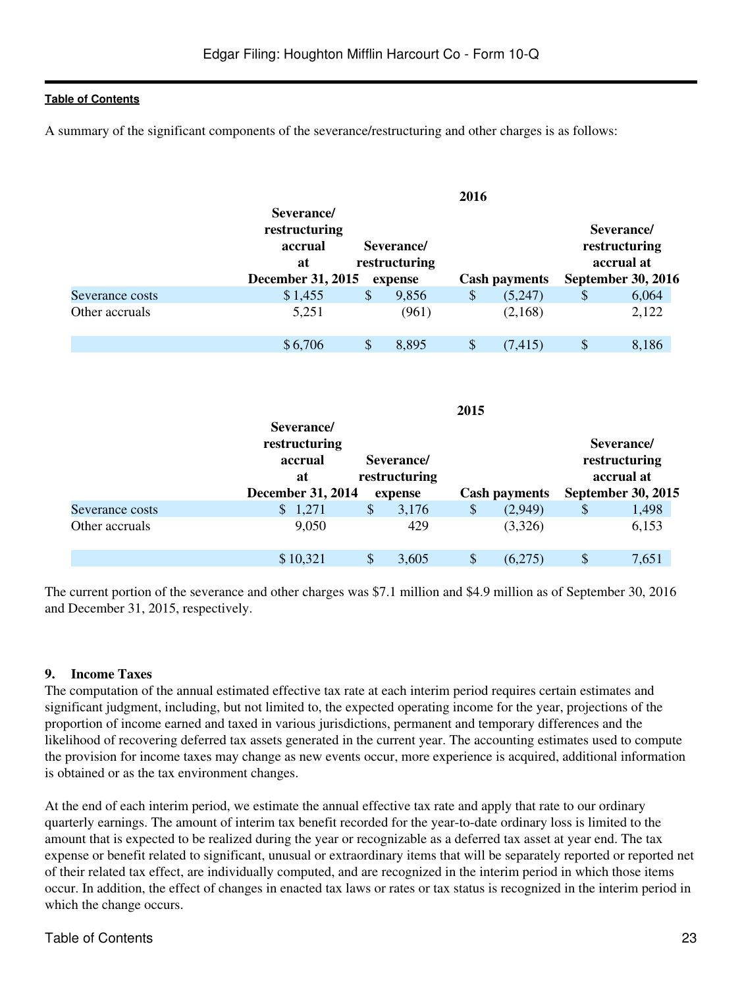A summary of the significant components of the severance/restructuring and other charges is as follows:

|                 | Severance/                     |    |                             | 2016 |                      |                                           |
|-----------------|--------------------------------|----|-----------------------------|------|----------------------|-------------------------------------------|
|                 | restructuring<br>accrual<br>at |    | Severance/<br>restructuring |      |                      | Severance/<br>restructuring<br>accrual at |
|                 | <b>December 31, 2015</b>       |    | expense                     |      | <b>Cash payments</b> | <b>September 30, 2016</b>                 |
| Severance costs | \$1,455                        | \$ | 9,856                       | \$   | (5,247)              | 6,064                                     |
| Other accruals  | 5,251                          |    | (961)                       |      | (2,168)              | 2,122                                     |
|                 | \$6,706                        | S  | 8,895                       | S    | (7, 415)             | 8,186                                     |

|                 | Severance/                                                 |                           |                                        | 2015 |                      |                                                                        |
|-----------------|------------------------------------------------------------|---------------------------|----------------------------------------|------|----------------------|------------------------------------------------------------------------|
|                 | restructuring<br>accrual<br>at<br><b>December 31, 2014</b> |                           | Severance/<br>restructuring<br>expense |      | <b>Cash payments</b> | Severance/<br>restructuring<br>accrual at<br><b>September 30, 2015</b> |
| Severance costs | \$1,271                                                    | $\boldsymbol{\mathsf{S}}$ | 3,176                                  | \$   | (2,949)              | \$<br>1,498                                                            |
| Other accruals  | 9,050                                                      |                           | 429                                    |      | (3,326)              | 6,153                                                                  |
|                 | \$10,321                                                   | S                         | 3,605                                  | S    | (6,275)              | \$<br>7,651                                                            |

The current portion of the severance and other charges was \$7.1 million and \$4.9 million as of September 30, 2016 and December 31, 2015, respectively.

#### **9. Income Taxes**

The computation of the annual estimated effective tax rate at each interim period requires certain estimates and significant judgment, including, but not limited to, the expected operating income for the year, projections of the proportion of income earned and taxed in various jurisdictions, permanent and temporary differences and the likelihood of recovering deferred tax assets generated in the current year. The accounting estimates used to compute the provision for income taxes may change as new events occur, more experience is acquired, additional information is obtained or as the tax environment changes.

At the end of each interim period, we estimate the annual effective tax rate and apply that rate to our ordinary quarterly earnings. The amount of interim tax benefit recorded for the year-to-date ordinary loss is limited to the amount that is expected to be realized during the year or recognizable as a deferred tax asset at year end. The tax expense or benefit related to significant, unusual or extraordinary items that will be separately reported or reported net of their related tax effect, are individually computed, and are recognized in the interim period in which those items occur. In addition, the effect of changes in enacted tax laws or rates or tax status is recognized in the interim period in which the change occurs.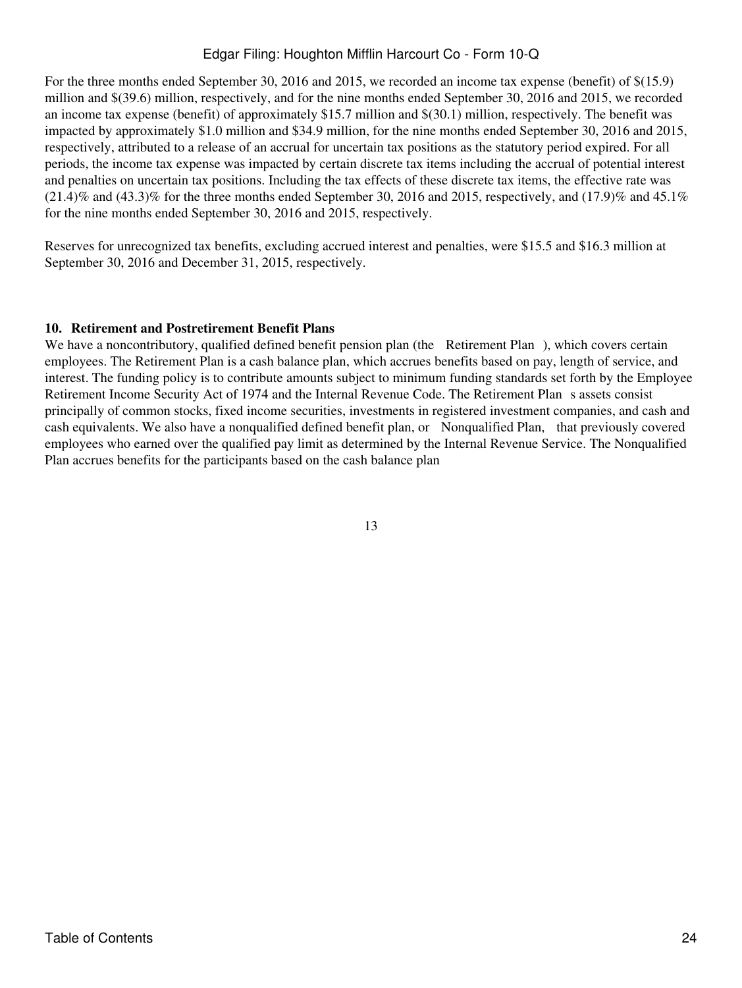For the three months ended September 30, 2016 and 2015, we recorded an income tax expense (benefit) of \$(15.9) million and \$(39.6) million, respectively, and for the nine months ended September 30, 2016 and 2015, we recorded an income tax expense (benefit) of approximately \$15.7 million and \$(30.1) million, respectively. The benefit was impacted by approximately \$1.0 million and \$34.9 million, for the nine months ended September 30, 2016 and 2015, respectively, attributed to a release of an accrual for uncertain tax positions as the statutory period expired. For all periods, the income tax expense was impacted by certain discrete tax items including the accrual of potential interest and penalties on uncertain tax positions. Including the tax effects of these discrete tax items, the effective rate was  $(21.4)\%$  and  $(43.3)\%$  for the three months ended September 30, 2016 and 2015, respectively, and  $(17.9)\%$  and  $45.1\%$ for the nine months ended September 30, 2016 and 2015, respectively.

Reserves for unrecognized tax benefits, excluding accrued interest and penalties, were \$15.5 and \$16.3 million at September 30, 2016 and December 31, 2015, respectively.

#### **10. Retirement and Postretirement Benefit Plans**

We have a noncontributory, qualified defined benefit pension plan (the Retirement Plan), which covers certain employees. The Retirement Plan is a cash balance plan, which accrues benefits based on pay, length of service, and interest. The funding policy is to contribute amounts subject to minimum funding standards set forth by the Employee Retirement Income Security Act of 1974 and the Internal Revenue Code. The Retirement Plan s assets consist principally of common stocks, fixed income securities, investments in registered investment companies, and cash and cash equivalents. We also have a nonqualified defined benefit plan, or Nonqualified Plan, that previously covered employees who earned over the qualified pay limit as determined by the Internal Revenue Service. The Nonqualified Plan accrues benefits for the participants based on the cash balance plan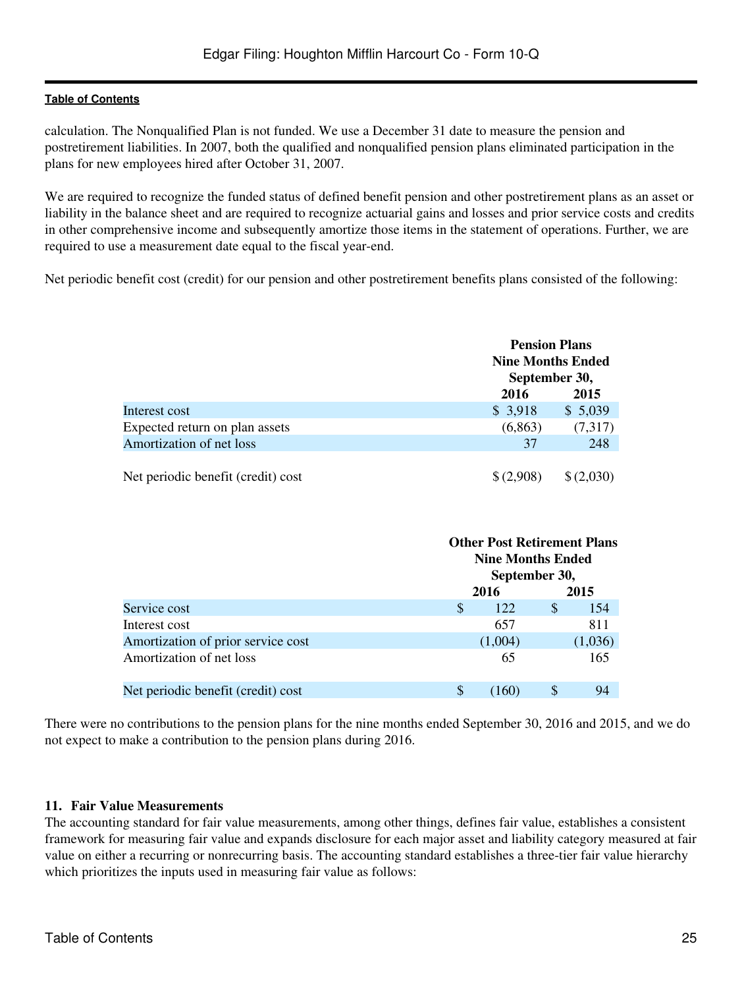calculation. The Nonqualified Plan is not funded. We use a December 31 date to measure the pension and postretirement liabilities. In 2007, both the qualified and nonqualified pension plans eliminated participation in the plans for new employees hired after October 31, 2007.

We are required to recognize the funded status of defined benefit pension and other postretirement plans as an asset or liability in the balance sheet and are required to recognize actuarial gains and losses and prior service costs and credits in other comprehensive income and subsequently amortize those items in the statement of operations. Further, we are required to use a measurement date equal to the fiscal year-end.

Net periodic benefit cost (credit) for our pension and other postretirement benefits plans consisted of the following:

|                                    | <b>Pension Plans</b><br><b>Nine Months Ended</b> |           |
|------------------------------------|--------------------------------------------------|-----------|
|                                    | September 30,                                    |           |
|                                    | 2016                                             | 2015      |
| Interest cost                      | \$3,918                                          | \$5,039   |
| Expected return on plan assets     | (6,863)                                          | (7,317)   |
| Amortization of net loss           | 37                                               | 248       |
|                                    |                                                  |           |
| Net periodic benefit (credit) cost | \$(2,908)                                        | \$(2,030) |

|                                    |             | <b>Other Post Retirement Plans</b><br><b>Nine Months Ended</b><br>September 30, |  |  |  |  |  |
|------------------------------------|-------------|---------------------------------------------------------------------------------|--|--|--|--|--|
|                                    | 2016        | 2015                                                                            |  |  |  |  |  |
| Service cost                       | S<br>122    | S<br>154                                                                        |  |  |  |  |  |
| Interest cost                      | 657         | 811                                                                             |  |  |  |  |  |
| Amortization of prior service cost | (1,004)     | (1,036)                                                                         |  |  |  |  |  |
| Amortization of net loss           | 65          | 165                                                                             |  |  |  |  |  |
| Net periodic benefit (credit) cost | \$<br>(160) | S<br>94                                                                         |  |  |  |  |  |

There were no contributions to the pension plans for the nine months ended September 30, 2016 and 2015, and we do not expect to make a contribution to the pension plans during 2016.

#### **11. Fair Value Measurements**

The accounting standard for fair value measurements, among other things, defines fair value, establishes a consistent framework for measuring fair value and expands disclosure for each major asset and liability category measured at fair value on either a recurring or nonrecurring basis. The accounting standard establishes a three-tier fair value hierarchy which prioritizes the inputs used in measuring fair value as follows: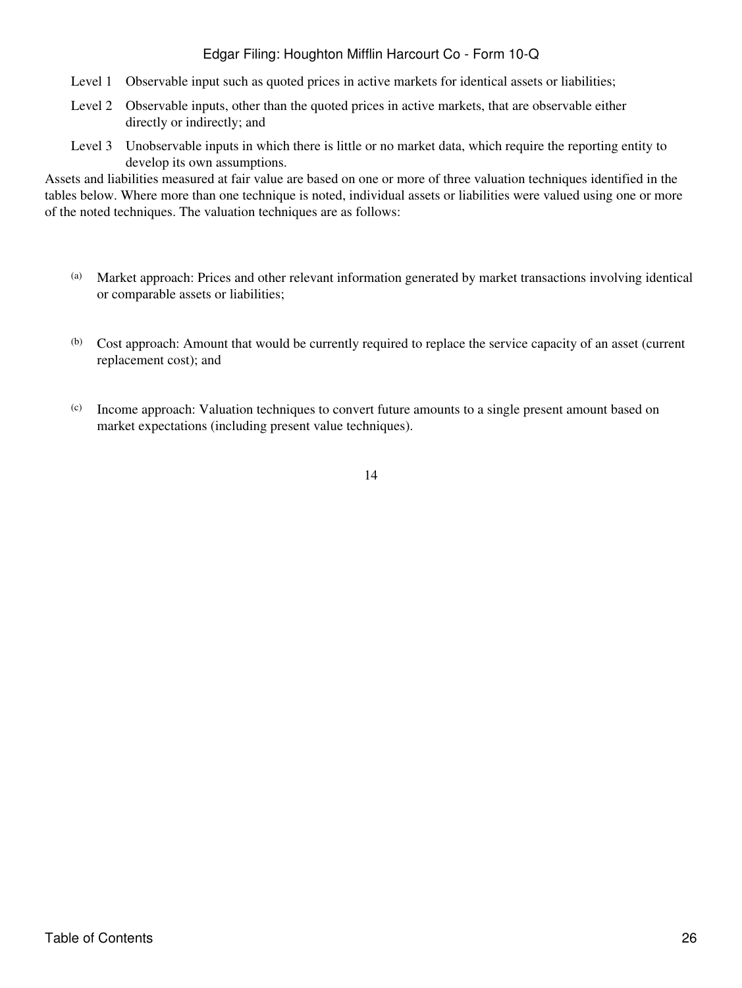- Level 1 Observable input such as quoted prices in active markets for identical assets or liabilities;
- Level 2 Observable inputs, other than the quoted prices in active markets, that are observable either directly or indirectly; and
- Level 3 Unobservable inputs in which there is little or no market data, which require the reporting entity to develop its own assumptions.

Assets and liabilities measured at fair value are based on one or more of three valuation techniques identified in the tables below. Where more than one technique is noted, individual assets or liabilities were valued using one or more of the noted techniques. The valuation techniques are as follows:

- (a) Market approach: Prices and other relevant information generated by market transactions involving identical or comparable assets or liabilities;
- (b) Cost approach: Amount that would be currently required to replace the service capacity of an asset (current replacement cost); and
- (c) Income approach: Valuation techniques to convert future amounts to a single present amount based on market expectations (including present value techniques).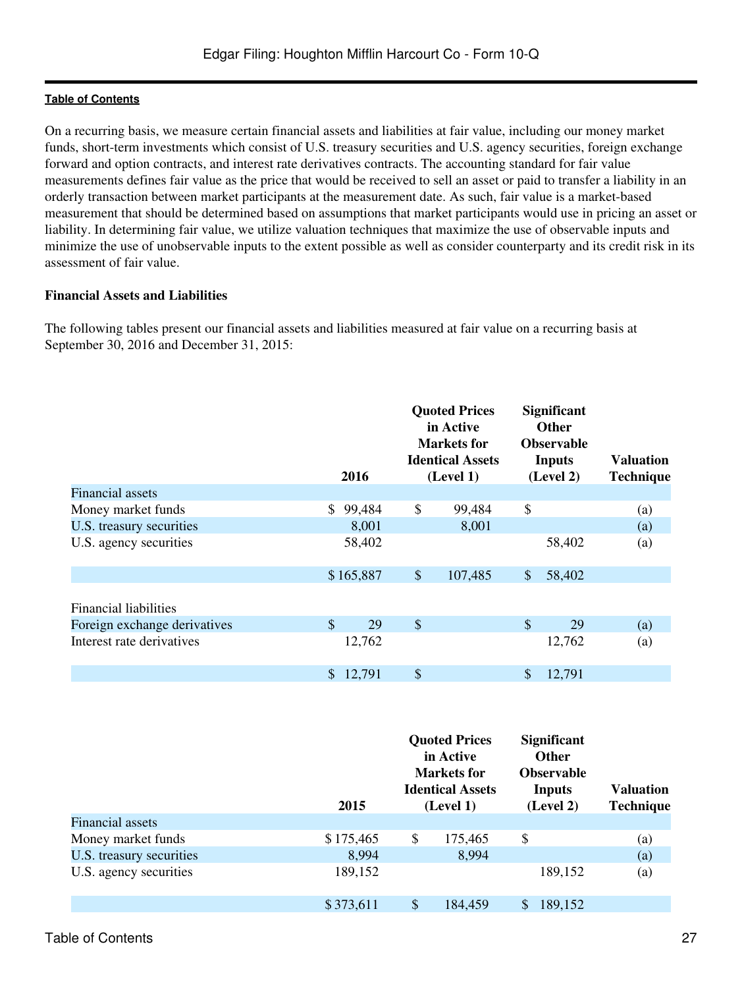On a recurring basis, we measure certain financial assets and liabilities at fair value, including our money market funds, short-term investments which consist of U.S. treasury securities and U.S. agency securities, foreign exchange forward and option contracts, and interest rate derivatives contracts. The accounting standard for fair value measurements defines fair value as the price that would be received to sell an asset or paid to transfer a liability in an orderly transaction between market participants at the measurement date. As such, fair value is a market-based measurement that should be determined based on assumptions that market participants would use in pricing an asset or liability. In determining fair value, we utilize valuation techniques that maximize the use of observable inputs and minimize the use of unobservable inputs to the extent possible as well as consider counterparty and its credit risk in its assessment of fair value.

### **Financial Assets and Liabilities**

The following tables present our financial assets and liabilities measured at fair value on a recurring basis at September 30, 2016 and December 31, 2015:

|                              | 2016                   | <b>Quoted Prices</b><br>in Active<br><b>Markets</b> for<br><b>Identical Assets</b><br>(Level 1) |               | <b>Significant</b><br><b>Other</b><br><b>Observable</b><br><b>Inputs</b><br>(Level 2) | <b>Valuation</b><br><b>Technique</b> |
|------------------------------|------------------------|-------------------------------------------------------------------------------------------------|---------------|---------------------------------------------------------------------------------------|--------------------------------------|
| <b>Financial assets</b>      |                        |                                                                                                 |               |                                                                                       |                                      |
| Money market funds           | 99,484<br>\$           | \$<br>99,484                                                                                    | \$            |                                                                                       | (a)                                  |
| U.S. treasury securities     | 8,001                  | 8,001                                                                                           |               |                                                                                       | (a)                                  |
| U.S. agency securities       | 58,402                 |                                                                                                 |               | 58,402                                                                                | (a)                                  |
|                              | \$165,887              | \$<br>107,485                                                                                   | $\mathcal{S}$ | 58,402                                                                                |                                      |
| Financial liabilities        |                        |                                                                                                 |               |                                                                                       |                                      |
| Foreign exchange derivatives | $\mathbf{\$}$<br>29    | \$                                                                                              | $\mathcal{S}$ | 29                                                                                    | (a)                                  |
| Interest rate derivatives    | 12,762                 |                                                                                                 |               | 12,762                                                                                | (a)                                  |
|                              | 12,791<br>$\mathbb{S}$ | \$                                                                                              |               | 12,791                                                                                |                                      |

|                          | 2015      | <b>Quoted Prices</b><br>in Active<br><b>Markets</b> for<br><b>Identical Assets</b><br>(Level 1) | <b>Significant</b><br><b>Other</b><br><b>Observable</b><br>Inputs<br>(Level 2) | <b>Valuation</b><br><b>Technique</b> |
|--------------------------|-----------|-------------------------------------------------------------------------------------------------|--------------------------------------------------------------------------------|--------------------------------------|
| <b>Financial assets</b>  |           |                                                                                                 |                                                                                |                                      |
| Money market funds       | \$175,465 | \$<br>175,465                                                                                   | \$                                                                             | $\left( \text{a}\right)$             |
| U.S. treasury securities | 8,994     | 8,994                                                                                           |                                                                                | (a)                                  |
| U.S. agency securities   | 189,152   |                                                                                                 | 189,152                                                                        | (a)                                  |
|                          | \$373,611 | \$<br>184,459                                                                                   | \$<br>189,152                                                                  |                                      |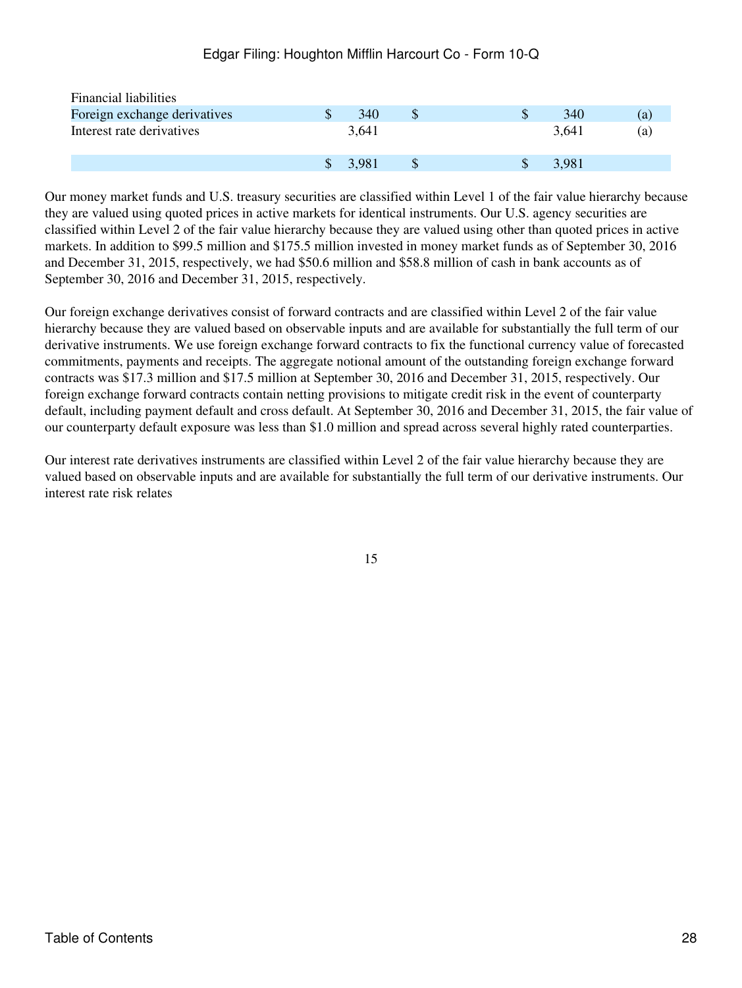| <b>Financial liabilities</b> |               |       |  |       |     |
|------------------------------|---------------|-------|--|-------|-----|
| Foreign exchange derivatives |               | 340   |  | 340   | (a) |
| Interest rate derivatives    |               | 3,641 |  | 3.641 | (a) |
|                              | $\mathcal{S}$ | 3.981 |  | 3,981 |     |

Our money market funds and U.S. treasury securities are classified within Level 1 of the fair value hierarchy because they are valued using quoted prices in active markets for identical instruments. Our U.S. agency securities are classified within Level 2 of the fair value hierarchy because they are valued using other than quoted prices in active markets. In addition to \$99.5 million and \$175.5 million invested in money market funds as of September 30, 2016 and December 31, 2015, respectively, we had \$50.6 million and \$58.8 million of cash in bank accounts as of September 30, 2016 and December 31, 2015, respectively.

Our foreign exchange derivatives consist of forward contracts and are classified within Level 2 of the fair value hierarchy because they are valued based on observable inputs and are available for substantially the full term of our derivative instruments. We use foreign exchange forward contracts to fix the functional currency value of forecasted commitments, payments and receipts. The aggregate notional amount of the outstanding foreign exchange forward contracts was \$17.3 million and \$17.5 million at September 30, 2016 and December 31, 2015, respectively. Our foreign exchange forward contracts contain netting provisions to mitigate credit risk in the event of counterparty default, including payment default and cross default. At September 30, 2016 and December 31, 2015, the fair value of our counterparty default exposure was less than \$1.0 million and spread across several highly rated counterparties.

Our interest rate derivatives instruments are classified within Level 2 of the fair value hierarchy because they are valued based on observable inputs and are available for substantially the full term of our derivative instruments. Our interest rate risk relates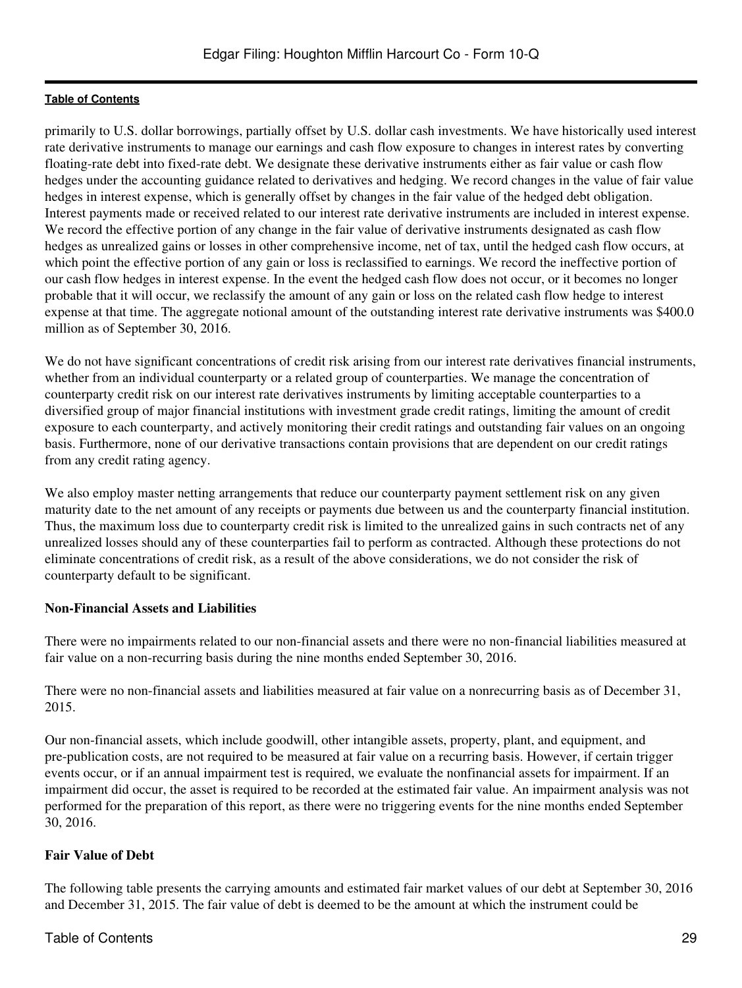primarily to U.S. dollar borrowings, partially offset by U.S. dollar cash investments. We have historically used interest rate derivative instruments to manage our earnings and cash flow exposure to changes in interest rates by converting floating-rate debt into fixed-rate debt. We designate these derivative instruments either as fair value or cash flow hedges under the accounting guidance related to derivatives and hedging. We record changes in the value of fair value hedges in interest expense, which is generally offset by changes in the fair value of the hedged debt obligation. Interest payments made or received related to our interest rate derivative instruments are included in interest expense. We record the effective portion of any change in the fair value of derivative instruments designated as cash flow hedges as unrealized gains or losses in other comprehensive income, net of tax, until the hedged cash flow occurs, at which point the effective portion of any gain or loss is reclassified to earnings. We record the ineffective portion of our cash flow hedges in interest expense. In the event the hedged cash flow does not occur, or it becomes no longer probable that it will occur, we reclassify the amount of any gain or loss on the related cash flow hedge to interest expense at that time. The aggregate notional amount of the outstanding interest rate derivative instruments was \$400.0 million as of September 30, 2016.

We do not have significant concentrations of credit risk arising from our interest rate derivatives financial instruments, whether from an individual counterparty or a related group of counterparties. We manage the concentration of counterparty credit risk on our interest rate derivatives instruments by limiting acceptable counterparties to a diversified group of major financial institutions with investment grade credit ratings, limiting the amount of credit exposure to each counterparty, and actively monitoring their credit ratings and outstanding fair values on an ongoing basis. Furthermore, none of our derivative transactions contain provisions that are dependent on our credit ratings from any credit rating agency.

We also employ master netting arrangements that reduce our counterparty payment settlement risk on any given maturity date to the net amount of any receipts or payments due between us and the counterparty financial institution. Thus, the maximum loss due to counterparty credit risk is limited to the unrealized gains in such contracts net of any unrealized losses should any of these counterparties fail to perform as contracted. Although these protections do not eliminate concentrations of credit risk, as a result of the above considerations, we do not consider the risk of counterparty default to be significant.

## **Non-Financial Assets and Liabilities**

There were no impairments related to our non-financial assets and there were no non-financial liabilities measured at fair value on a non-recurring basis during the nine months ended September 30, 2016.

There were no non-financial assets and liabilities measured at fair value on a nonrecurring basis as of December 31, 2015.

Our non-financial assets, which include goodwill, other intangible assets, property, plant, and equipment, and pre-publication costs, are not required to be measured at fair value on a recurring basis. However, if certain trigger events occur, or if an annual impairment test is required, we evaluate the nonfinancial assets for impairment. If an impairment did occur, the asset is required to be recorded at the estimated fair value. An impairment analysis was not performed for the preparation of this report, as there were no triggering events for the nine months ended September 30, 2016.

## **Fair Value of Debt**

The following table presents the carrying amounts and estimated fair market values of our debt at September 30, 2016 and December 31, 2015. The fair value of debt is deemed to be the amount at which the instrument could be

## Table of Contents 29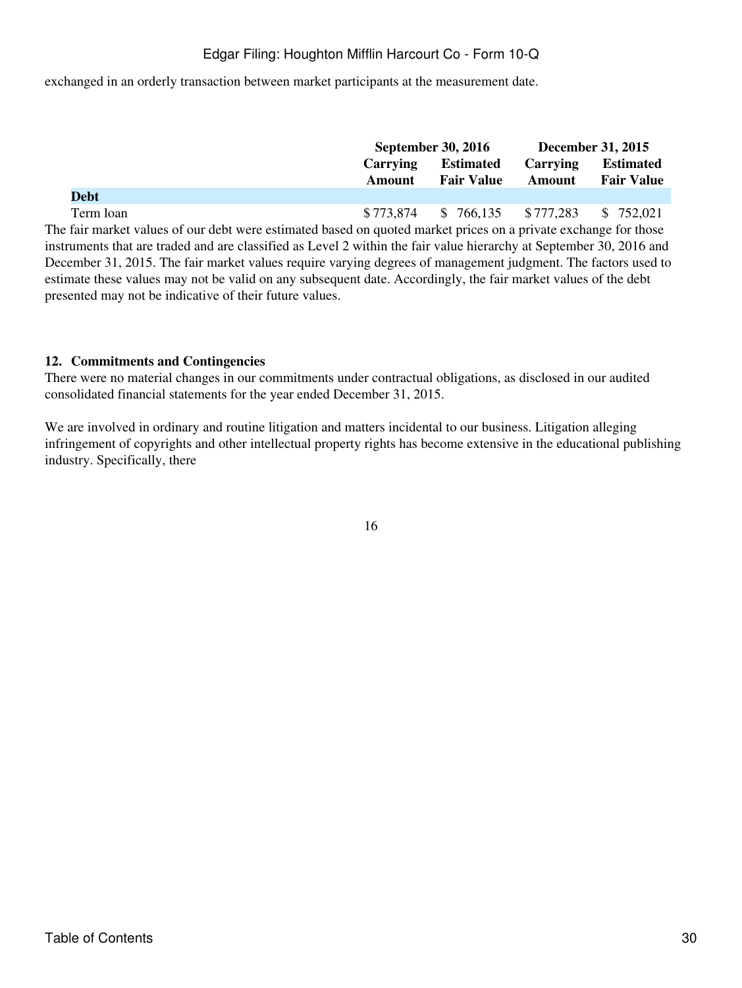exchanged in an orderly transaction between market participants at the measurement date.

|                                                                                                                     |                                     | <b>September 30, 2016</b>        |               | <b>December 31, 2015</b> |
|---------------------------------------------------------------------------------------------------------------------|-------------------------------------|----------------------------------|---------------|--------------------------|
|                                                                                                                     | <b>Carrying</b><br><b>Estimated</b> |                                  | Carrying      | <b>Estimated</b>         |
|                                                                                                                     | Amount                              | <b>Fair Value</b>                | <b>Amount</b> | <b>Fair Value</b>        |
| <b>Debt</b>                                                                                                         |                                     |                                  |               |                          |
| Term loan                                                                                                           |                                     | $$773,874$ $$766,135$ $$777,283$ |               | \$ 752,021               |
| The fair market values of our debt were estimated based on quoted market prices on a private exchange for those     |                                     |                                  |               |                          |
| instruments that are traded and are classified as Level 2 within the fair value hierarchy at September 30, 2016 and |                                     |                                  |               |                          |
| December 31, 2015. The fair market values require varying degrees of management judgment. The factors used to       |                                     |                                  |               |                          |
| estimate these values may not be valid on any subsequent date. Accordingly, the fair market values of the debt      |                                     |                                  |               |                          |

#### **12. Commitments and Contingencies**

presented may not be indicative of their future values.

There were no material changes in our commitments under contractual obligations, as disclosed in our audited consolidated financial statements for the year ended December 31, 2015.

We are involved in ordinary and routine litigation and matters incidental to our business. Litigation alleging infringement of copyrights and other intellectual property rights has become extensive in the educational publishing industry. Specifically, there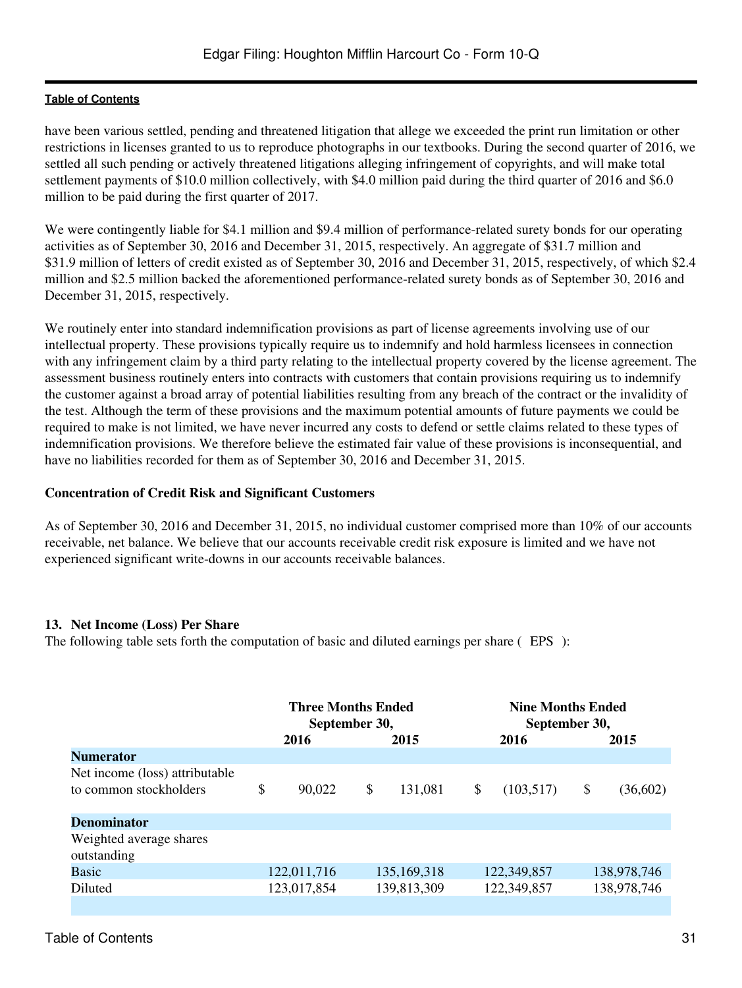have been various settled, pending and threatened litigation that allege we exceeded the print run limitation or other restrictions in licenses granted to us to reproduce photographs in our textbooks. During the second quarter of 2016, we settled all such pending or actively threatened litigations alleging infringement of copyrights, and will make total settlement payments of \$10.0 million collectively, with \$4.0 million paid during the third quarter of 2016 and \$6.0 million to be paid during the first quarter of 2017.

We were contingently liable for \$4.1 million and \$9.4 million of performance-related surety bonds for our operating activities as of September 30, 2016 and December 31, 2015, respectively. An aggregate of \$31.7 million and \$31.9 million of letters of credit existed as of September 30, 2016 and December 31, 2015, respectively, of which \$2.4 million and \$2.5 million backed the aforementioned performance-related surety bonds as of September 30, 2016 and December 31, 2015, respectively.

We routinely enter into standard indemnification provisions as part of license agreements involving use of our intellectual property. These provisions typically require us to indemnify and hold harmless licensees in connection with any infringement claim by a third party relating to the intellectual property covered by the license agreement. The assessment business routinely enters into contracts with customers that contain provisions requiring us to indemnify the customer against a broad array of potential liabilities resulting from any breach of the contract or the invalidity of the test. Although the term of these provisions and the maximum potential amounts of future payments we could be required to make is not limited, we have never incurred any costs to defend or settle claims related to these types of indemnification provisions. We therefore believe the estimated fair value of these provisions is inconsequential, and have no liabilities recorded for them as of September 30, 2016 and December 31, 2015.

### **Concentration of Credit Risk and Significant Customers**

As of September 30, 2016 and December 31, 2015, no individual customer comprised more than 10% of our accounts receivable, net balance. We believe that our accounts receivable credit risk exposure is limited and we have not experienced significant write-downs in our accounts receivable balances.

## **13. Net Income (Loss) Per Share**

The following table sets forth the computation of basic and diluted earnings per share (EPS):

|                                                          | <b>Three Months Ended</b><br>September 30, |    |               |                  | <b>Nine Months Ended</b><br>September 30, |             |
|----------------------------------------------------------|--------------------------------------------|----|---------------|------------------|-------------------------------------------|-------------|
|                                                          | 2016                                       |    | 2015          | 2016             | 2015                                      |             |
| <b>Numerator</b>                                         |                                            |    |               |                  |                                           |             |
| Net income (loss) attributable<br>to common stockholders | \$<br>90.022                               | \$ | 131,081       | \$<br>(103, 517) | \$                                        | (36,602)    |
| <b>Denominator</b>                                       |                                            |    |               |                  |                                           |             |
| Weighted average shares<br>outstanding                   |                                            |    |               |                  |                                           |             |
| <b>Basic</b>                                             | 122,011,716                                |    | 135, 169, 318 | 122,349,857      |                                           | 138,978,746 |
| Diluted                                                  | 123,017,854                                |    | 139,813,309   | 122,349,857      |                                           | 138,978,746 |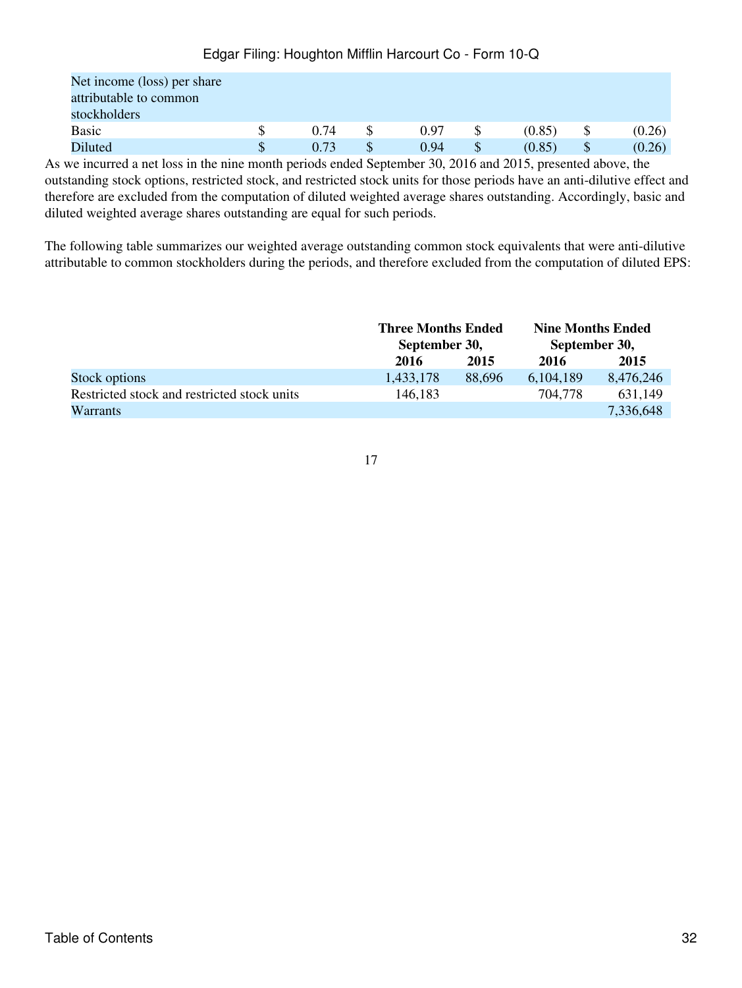| Net income (loss) per share |      |      |        |   |        |
|-----------------------------|------|------|--------|---|--------|
| attributable to common      |      |      |        |   |        |
| stockholders                |      |      |        |   |        |
| <b>Basic</b>                | 0.74 | 0.97 | (0.85) |   | (0.26) |
| Diluted                     | 0.73 | 0.94 | (0.85) | S | (0.26) |

As we incurred a net loss in the nine month periods ended September 30, 2016 and 2015, presented above, the outstanding stock options, restricted stock, and restricted stock units for those periods have an anti-dilutive effect and therefore are excluded from the computation of diluted weighted average shares outstanding. Accordingly, basic and diluted weighted average shares outstanding are equal for such periods.

The following table summarizes our weighted average outstanding common stock equivalents that were anti-dilutive attributable to common stockholders during the periods, and therefore excluded from the computation of diluted EPS:

|                                             | <b>Three Months Ended</b> |        | <b>Nine Months Ended</b> |           |  |
|---------------------------------------------|---------------------------|--------|--------------------------|-----------|--|
|                                             | September 30,             |        | September 30,            |           |  |
|                                             | 2016                      | 2015   | 2016                     | 2015      |  |
| Stock options                               | 1,433,178                 | 88,696 | 6, 104, 189              | 8,476,246 |  |
| Restricted stock and restricted stock units | 146,183                   |        | 704,778                  | 631,149   |  |
| <b>Warrants</b>                             |                           |        |                          | 7,336,648 |  |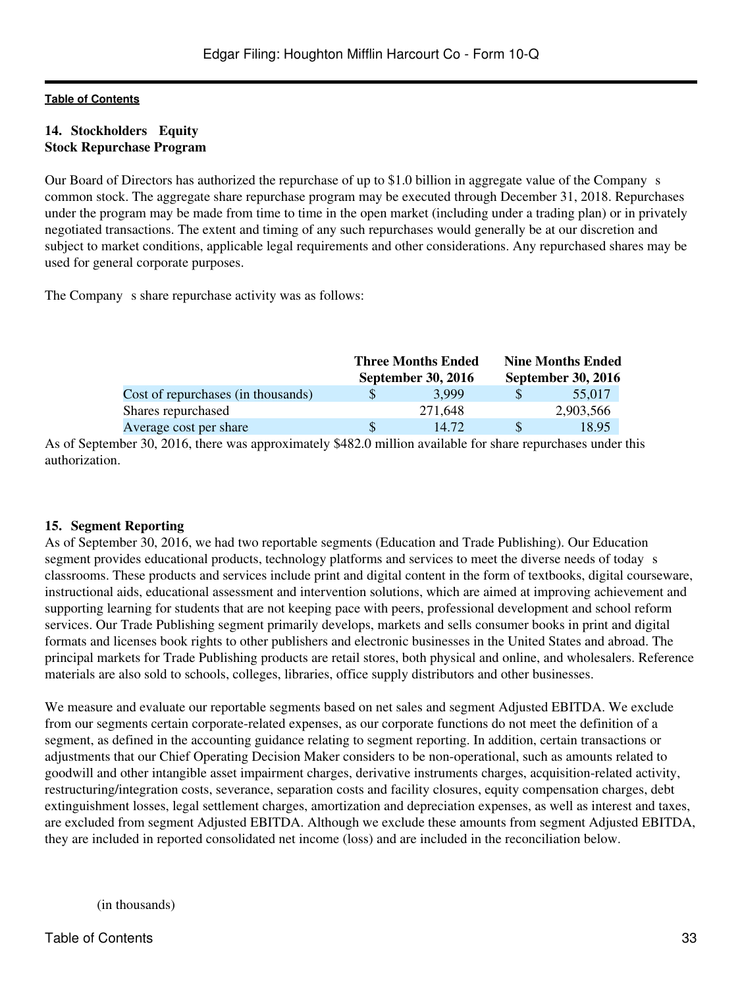#### **14. Stockholders Equity Stock Repurchase Program**

Our Board of Directors has authorized the repurchase of up to \$1.0 billion in aggregate value of the Companys common stock. The aggregate share repurchase program may be executed through December 31, 2018. Repurchases under the program may be made from time to time in the open market (including under a trading plan) or in privately negotiated transactions. The extent and timing of any such repurchases would generally be at our discretion and subject to market conditions, applicable legal requirements and other considerations. Any repurchased shares may be used for general corporate purposes.

The Company s share repurchase activity was as follows:

|                                    | <b>Three Months Ended</b> | <b>Nine Months Ended</b> |                           |  |  |
|------------------------------------|---------------------------|--------------------------|---------------------------|--|--|
|                                    | <b>September 30, 2016</b> |                          | <b>September 30, 2016</b> |  |  |
| Cost of repurchases (in thousands) | 3.999                     |                          | 55,017                    |  |  |
| Shares repurchased                 | 271.648                   |                          | 2,903,566                 |  |  |
| Average cost per share             | 14.72                     |                          | 18.95                     |  |  |

As of September 30, 2016, there was approximately \$482.0 million available for share repurchases under this authorization.

#### **15. Segment Reporting**

As of September 30, 2016, we had two reportable segments (Education and Trade Publishing). Our Education segment provides educational products, technology platforms and services to meet the diverse needs of today s classrooms. These products and services include print and digital content in the form of textbooks, digital courseware, instructional aids, educational assessment and intervention solutions, which are aimed at improving achievement and supporting learning for students that are not keeping pace with peers, professional development and school reform services. Our Trade Publishing segment primarily develops, markets and sells consumer books in print and digital formats and licenses book rights to other publishers and electronic businesses in the United States and abroad. The principal markets for Trade Publishing products are retail stores, both physical and online, and wholesalers. Reference materials are also sold to schools, colleges, libraries, office supply distributors and other businesses.

We measure and evaluate our reportable segments based on net sales and segment Adjusted EBITDA. We exclude from our segments certain corporate-related expenses, as our corporate functions do not meet the definition of a segment, as defined in the accounting guidance relating to segment reporting. In addition, certain transactions or adjustments that our Chief Operating Decision Maker considers to be non-operational, such as amounts related to goodwill and other intangible asset impairment charges, derivative instruments charges, acquisition-related activity, restructuring/integration costs, severance, separation costs and facility closures, equity compensation charges, debt extinguishment losses, legal settlement charges, amortization and depreciation expenses, as well as interest and taxes, are excluded from segment Adjusted EBITDA. Although we exclude these amounts from segment Adjusted EBITDA, they are included in reported consolidated net income (loss) and are included in the reconciliation below.

(in thousands)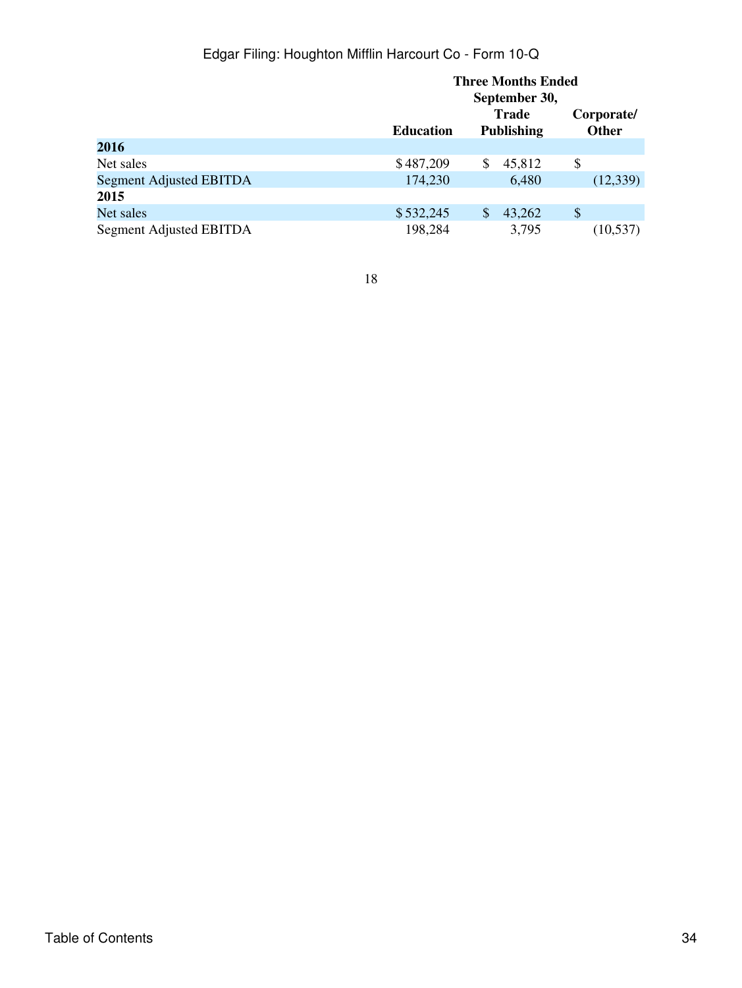|                         | <b>Three Months Ended</b><br>September 30, |                   |                            |  |  |
|-------------------------|--------------------------------------------|-------------------|----------------------------|--|--|
|                         |                                            |                   |                            |  |  |
|                         |                                            | Trade             | Corporate/<br><b>Other</b> |  |  |
|                         | <b>Education</b>                           | <b>Publishing</b> |                            |  |  |
| 2016                    |                                            |                   |                            |  |  |
| Net sales               | \$487,209                                  | 45,812<br>\$      | \$                         |  |  |
| Segment Adjusted EBITDA | 174,230                                    | 6,480             | (12,339)                   |  |  |
| 2015                    |                                            |                   |                            |  |  |
| Net sales               | \$532,245                                  | 43,262<br>\$      | \$                         |  |  |
| Segment Adjusted EBITDA | 198,284                                    | 3,795             | (10, 537)                  |  |  |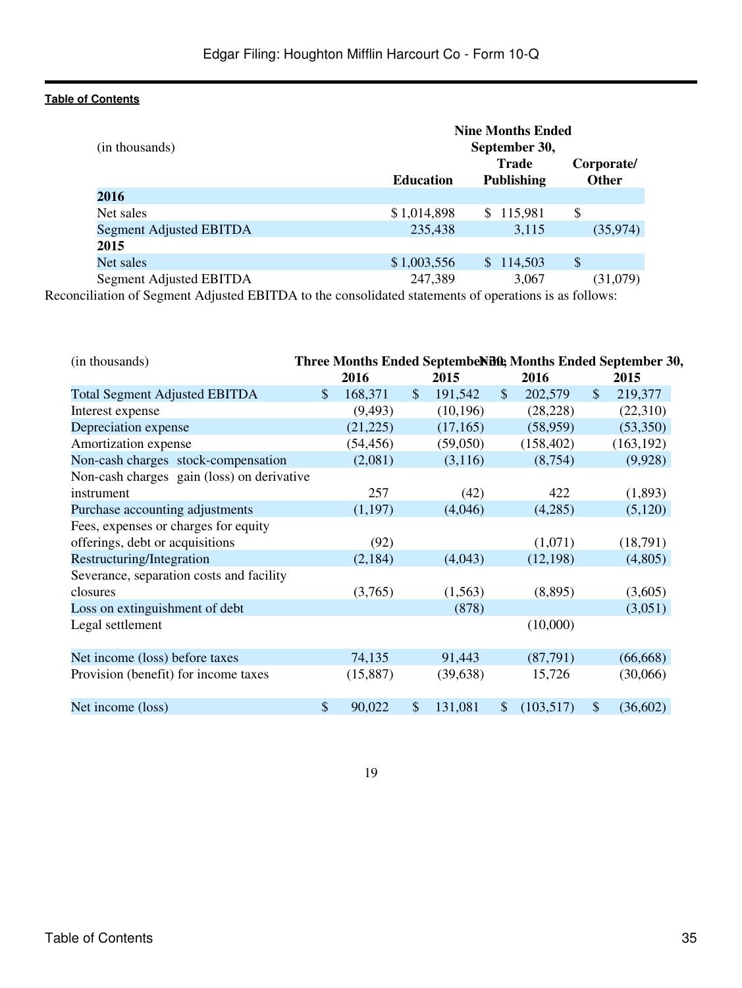|                         | <b>Nine Months Ended</b> |                   |              |  |  |  |
|-------------------------|--------------------------|-------------------|--------------|--|--|--|
| (in thousands)          |                          | September 30,     |              |  |  |  |
|                         |                          | <b>Trade</b>      | Corporate/   |  |  |  |
|                         | <b>Education</b>         | <b>Publishing</b> | <b>Other</b> |  |  |  |
| 2016                    |                          |                   |              |  |  |  |
| Net sales               | \$1,014,898              | \$115,981         | \$           |  |  |  |
| Segment Adjusted EBITDA | 235,438                  | 3,115             | (35,974)     |  |  |  |
| 2015                    |                          |                   |              |  |  |  |
| Net sales               | \$1,003,556              | \$114,503         | \$           |  |  |  |
| Segment Adjusted EBITDA | 247,389                  | 3.067             | (31,079)     |  |  |  |

Reconciliation of Segment Adjusted EBITDA to the consolidated statements of operations is as follows:

| (in thousands)                             | Three Months Ended Septembendifth, Months Ended September 30, |           |                           |           |               |            |               |            |
|--------------------------------------------|---------------------------------------------------------------|-----------|---------------------------|-----------|---------------|------------|---------------|------------|
|                                            |                                                               | 2016      |                           | 2015      |               | 2016       |               | 2015       |
| <b>Total Segment Adjusted EBITDA</b>       | \$                                                            | 168,371   | $\boldsymbol{\mathsf{S}}$ | 191,542   | $\mathcal{S}$ | 202,579    | $\mathcal{S}$ | 219,377    |
| Interest expense                           |                                                               | (9, 493)  |                           | (10, 196) |               | (28, 228)  |               | (22,310)   |
| Depreciation expense                       |                                                               | (21, 225) |                           | (17,165)  |               | (58, 959)  |               | (53,350)   |
| Amortization expense                       |                                                               | (54, 456) |                           | (59,050)  |               | (158, 402) |               | (163, 192) |
| Non-cash charges stock-compensation        |                                                               | (2,081)   |                           | (3,116)   |               | (8,754)    |               | (9,928)    |
| Non-cash charges gain (loss) on derivative |                                                               |           |                           |           |               |            |               |            |
| instrument                                 |                                                               | 257       |                           | (42)      |               | 422        |               | (1,893)    |
| Purchase accounting adjustments            |                                                               | (1,197)   |                           | (4,046)   |               | (4,285)    |               | (5,120)    |
| Fees, expenses or charges for equity       |                                                               |           |                           |           |               |            |               |            |
| offerings, debt or acquisitions            |                                                               | (92)      |                           |           |               | (1,071)    |               | (18,791)   |
| Restructuring/Integration                  |                                                               | (2,184)   |                           | (4,043)   |               | (12, 198)  |               | (4,805)    |
| Severance, separation costs and facility   |                                                               |           |                           |           |               |            |               |            |
| closures                                   |                                                               | (3,765)   |                           | (1,563)   |               | (8,895)    |               | (3,605)    |
| Loss on extinguishment of debt             |                                                               |           |                           | (878)     |               |            |               | (3,051)    |
| Legal settlement                           |                                                               |           |                           |           |               | (10,000)   |               |            |
|                                            |                                                               |           |                           |           |               |            |               |            |
| Net income (loss) before taxes             |                                                               | 74,135    |                           | 91,443    |               | (87,791)   |               | (66, 668)  |
| Provision (benefit) for income taxes       |                                                               | (15,887)  |                           | (39, 638) |               | 15,726     |               | (30,066)   |
|                                            |                                                               |           |                           |           |               |            |               |            |
| Net income (loss)                          | \$                                                            | 90,022    | $\boldsymbol{\mathsf{S}}$ | 131,081   | $\mathbb{S}$  | (103, 517) | $\mathcal{S}$ | (36,602)   |
|                                            |                                                               |           |                           |           |               |            |               |            |

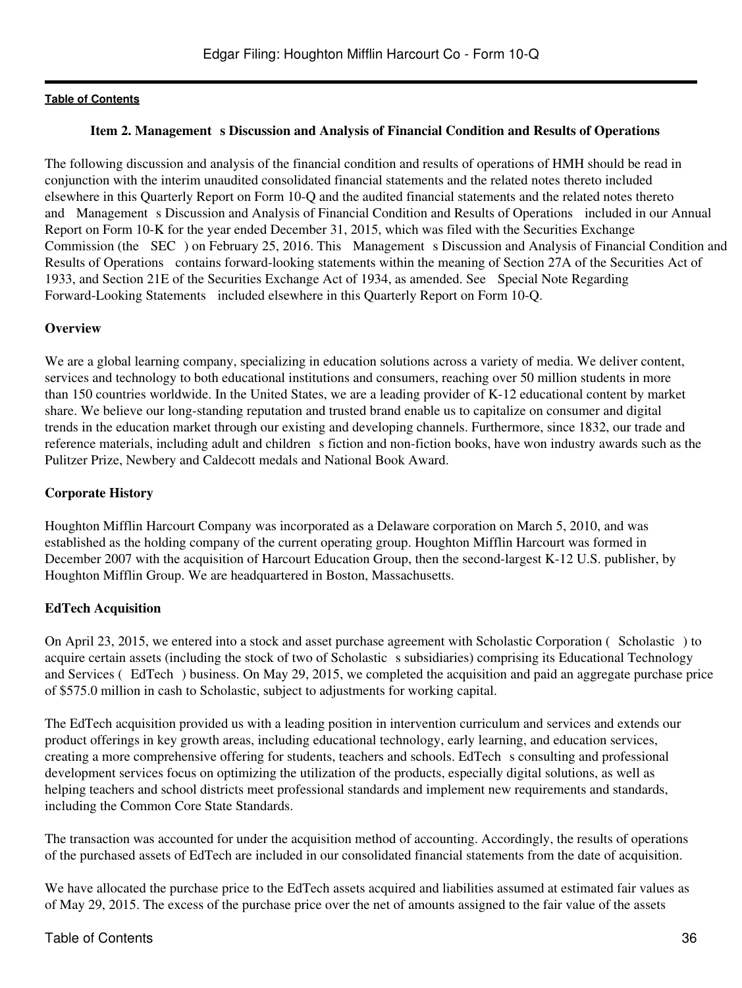### **Item 2. Management s Discussion and Analysis of Financial Condition and Results of Operations**

<span id="page-35-0"></span>The following discussion and analysis of the financial condition and results of operations of HMH should be read in conjunction with the interim unaudited consolidated financial statements and the related notes thereto included elsewhere in this Quarterly Report on Form 10-Q and the audited financial statements and the related notes thereto and Management s Discussion and Analysis of Financial Condition and Results of Operations included in our Annual Report on Form 10-K for the year ended December 31, 2015, which was filed with the Securities Exchange Commission (the SEC) on February 25, 2016. This Management s Discussion and Analysis of Financial Condition and Results of Operations contains forward-looking statements within the meaning of Section 27A of the Securities Act of 1933, and Section 21E of the Securities Exchange Act of 1934, as amended. See Special Note Regarding Forward-Looking Statements included elsewhere in this Quarterly Report on Form 10-Q.

### **Overview**

We are a global learning company, specializing in education solutions across a variety of media. We deliver content, services and technology to both educational institutions and consumers, reaching over 50 million students in more than 150 countries worldwide. In the United States, we are a leading provider of K-12 educational content by market share. We believe our long-standing reputation and trusted brand enable us to capitalize on consumer and digital trends in the education market through our existing and developing channels. Furthermore, since 1832, our trade and reference materials, including adult and children s fiction and non-fiction books, have won industry awards such as the Pulitzer Prize, Newbery and Caldecott medals and National Book Award.

### **Corporate History**

Houghton Mifflin Harcourt Company was incorporated as a Delaware corporation on March 5, 2010, and was established as the holding company of the current operating group. Houghton Mifflin Harcourt was formed in December 2007 with the acquisition of Harcourt Education Group, then the second-largest K-12 U.S. publisher, by Houghton Mifflin Group. We are headquartered in Boston, Massachusetts.

## **EdTech Acquisition**

On April 23, 2015, we entered into a stock and asset purchase agreement with Scholastic Corporation (Scholastic) to acquire certain assets (including the stock of two of Scholastic s subsidiaries) comprising its Educational Technology and Services (EdTech) business. On May 29, 2015, we completed the acquisition and paid an aggregate purchase price of \$575.0 million in cash to Scholastic, subject to adjustments for working capital.

The EdTech acquisition provided us with a leading position in intervention curriculum and services and extends our product offerings in key growth areas, including educational technology, early learning, and education services, creating a more comprehensive offering for students, teachers and schools. EdTech s consulting and professional development services focus on optimizing the utilization of the products, especially digital solutions, as well as helping teachers and school districts meet professional standards and implement new requirements and standards, including the Common Core State Standards.

The transaction was accounted for under the acquisition method of accounting. Accordingly, the results of operations of the purchased assets of EdTech are included in our consolidated financial statements from the date of acquisition.

We have allocated the purchase price to the EdTech assets acquired and liabilities assumed at estimated fair values as of May 29, 2015. The excess of the purchase price over the net of amounts assigned to the fair value of the assets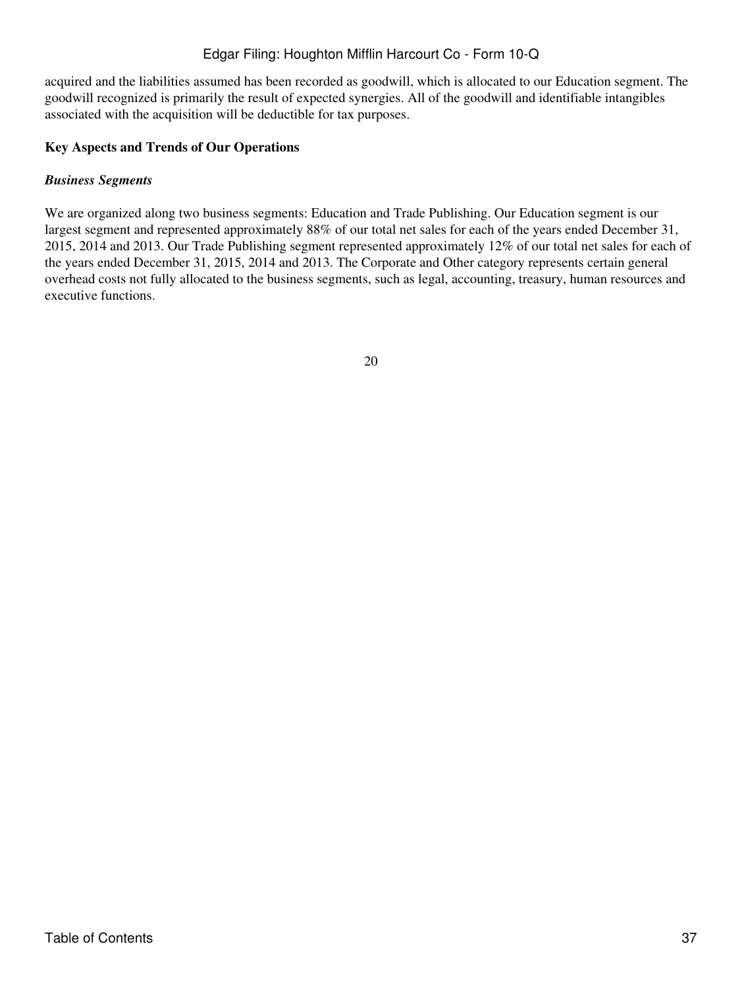acquired and the liabilities assumed has been recorded as goodwill, which is allocated to our Education segment. The goodwill recognized is primarily the result of expected synergies. All of the goodwill and identifiable intangibles associated with the acquisition will be deductible for tax purposes.

#### **Key Aspects and Trends of Our Operations**

#### *Business Segments*

We are organized along two business segments: Education and Trade Publishing. Our Education segment is our largest segment and represented approximately 88% of our total net sales for each of the years ended December 31, 2015, 2014 and 2013. Our Trade Publishing segment represented approximately 12% of our total net sales for each of the years ended December 31, 2015, 2014 and 2013. The Corporate and Other category represents certain general overhead costs not fully allocated to the business segments, such as legal, accounting, treasury, human resources and executive functions.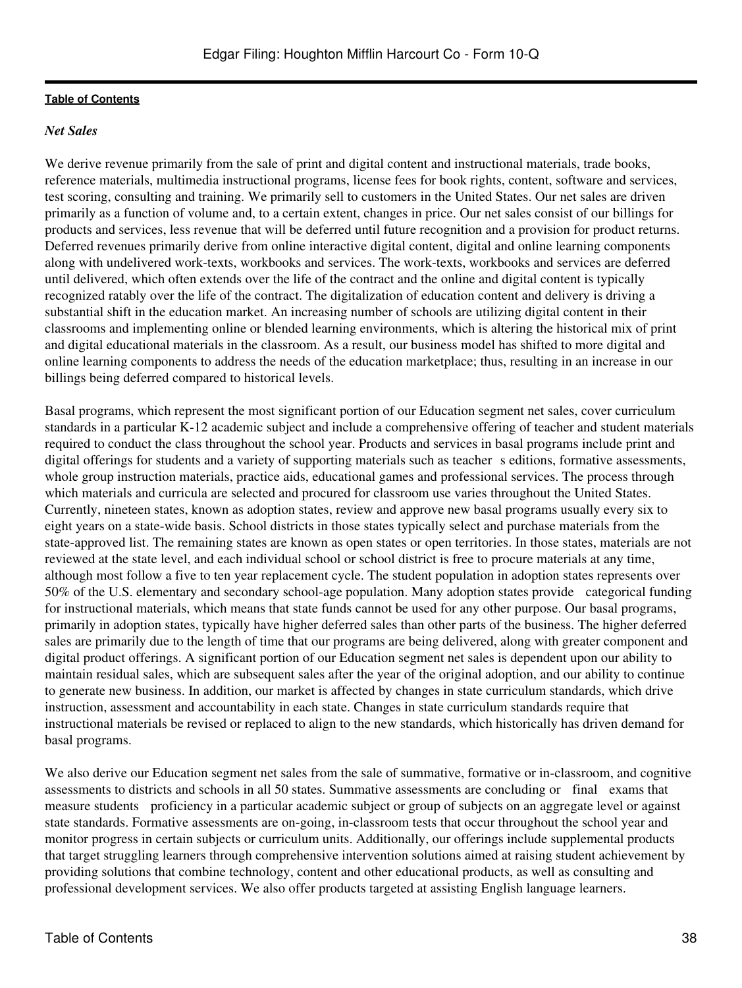### *Net Sales*

We derive revenue primarily from the sale of print and digital content and instructional materials, trade books, reference materials, multimedia instructional programs, license fees for book rights, content, software and services, test scoring, consulting and training. We primarily sell to customers in the United States. Our net sales are driven primarily as a function of volume and, to a certain extent, changes in price. Our net sales consist of our billings for products and services, less revenue that will be deferred until future recognition and a provision for product returns. Deferred revenues primarily derive from online interactive digital content, digital and online learning components along with undelivered work-texts, workbooks and services. The work-texts, workbooks and services are deferred until delivered, which often extends over the life of the contract and the online and digital content is typically recognized ratably over the life of the contract. The digitalization of education content and delivery is driving a substantial shift in the education market. An increasing number of schools are utilizing digital content in their classrooms and implementing online or blended learning environments, which is altering the historical mix of print and digital educational materials in the classroom. As a result, our business model has shifted to more digital and online learning components to address the needs of the education marketplace; thus, resulting in an increase in our billings being deferred compared to historical levels.

Basal programs, which represent the most significant portion of our Education segment net sales, cover curriculum standards in a particular K-12 academic subject and include a comprehensive offering of teacher and student materials required to conduct the class throughout the school year. Products and services in basal programs include print and digital offerings for students and a variety of supporting materials such as teacher s editions, formative assessments, whole group instruction materials, practice aids, educational games and professional services. The process through which materials and curricula are selected and procured for classroom use varies throughout the United States. Currently, nineteen states, known as adoption states, review and approve new basal programs usually every six to eight years on a state-wide basis. School districts in those states typically select and purchase materials from the state-approved list. The remaining states are known as open states or open territories. In those states, materials are not reviewed at the state level, and each individual school or school district is free to procure materials at any time, although most follow a five to ten year replacement cycle. The student population in adoption states represents over 50% of the U.S. elementary and secondary school-age population. Many adoption states provide categorical funding for instructional materials, which means that state funds cannot be used for any other purpose. Our basal programs, primarily in adoption states, typically have higher deferred sales than other parts of the business. The higher deferred sales are primarily due to the length of time that our programs are being delivered, along with greater component and digital product offerings. A significant portion of our Education segment net sales is dependent upon our ability to maintain residual sales, which are subsequent sales after the year of the original adoption, and our ability to continue to generate new business. In addition, our market is affected by changes in state curriculum standards, which drive instruction, assessment and accountability in each state. Changes in state curriculum standards require that instructional materials be revised or replaced to align to the new standards, which historically has driven demand for basal programs.

We also derive our Education segment net sales from the sale of summative, formative or in-classroom, and cognitive assessments to districts and schools in all 50 states. Summative assessments are concluding or final exams that measure students proficiency in a particular academic subject or group of subjects on an aggregate level or against state standards. Formative assessments are on-going, in-classroom tests that occur throughout the school year and monitor progress in certain subjects or curriculum units. Additionally, our offerings include supplemental products that target struggling learners through comprehensive intervention solutions aimed at raising student achievement by providing solutions that combine technology, content and other educational products, as well as consulting and professional development services. We also offer products targeted at assisting English language learners.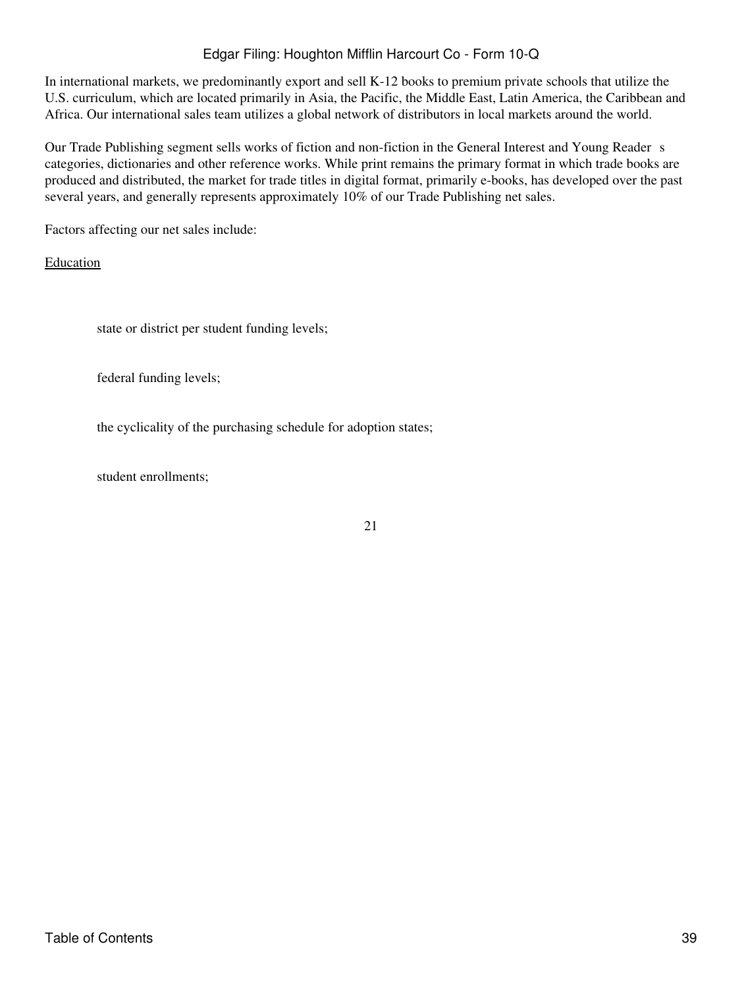In international markets, we predominantly export and sell K-12 books to premium private schools that utilize the U.S. curriculum, which are located primarily in Asia, the Pacific, the Middle East, Latin America, the Caribbean and Africa. Our international sales team utilizes a global network of distributors in local markets around the world.

Our Trade Publishing segment sells works of fiction and non-fiction in the General Interest and Young Reader s categories, dictionaries and other reference works. While print remains the primary format in which trade books are produced and distributed, the market for trade titles in digital format, primarily e-books, has developed over the past several years, and generally represents approximately 10% of our Trade Publishing net sales.

Factors affecting our net sales include:

Education

state or district per student funding levels;

federal funding levels;

the cyclicality of the purchasing schedule for adoption states;

student enrollments;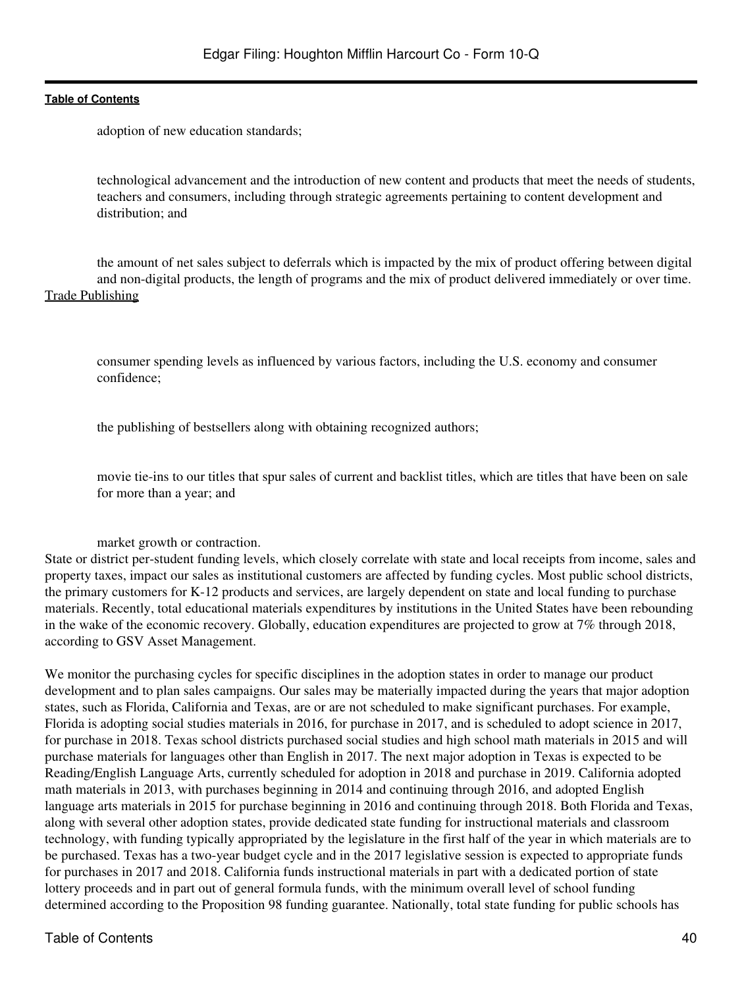adoption of new education standards;

technological advancement and the introduction of new content and products that meet the needs of students, teachers and consumers, including through strategic agreements pertaining to content development and distribution; and

the amount of net sales subject to deferrals which is impacted by the mix of product offering between digital and non-digital products, the length of programs and the mix of product delivered immediately or over time. Trade Publishing

consumer spending levels as influenced by various factors, including the U.S. economy and consumer confidence;

the publishing of bestsellers along with obtaining recognized authors;

movie tie-ins to our titles that spur sales of current and backlist titles, which are titles that have been on sale for more than a year; and

#### market growth or contraction.

State or district per-student funding levels, which closely correlate with state and local receipts from income, sales and property taxes, impact our sales as institutional customers are affected by funding cycles. Most public school districts, the primary customers for K-12 products and services, are largely dependent on state and local funding to purchase materials. Recently, total educational materials expenditures by institutions in the United States have been rebounding in the wake of the economic recovery. Globally, education expenditures are projected to grow at 7% through 2018, according to GSV Asset Management.

We monitor the purchasing cycles for specific disciplines in the adoption states in order to manage our product development and to plan sales campaigns. Our sales may be materially impacted during the years that major adoption states, such as Florida, California and Texas, are or are not scheduled to make significant purchases. For example, Florida is adopting social studies materials in 2016, for purchase in 2017, and is scheduled to adopt science in 2017, for purchase in 2018. Texas school districts purchased social studies and high school math materials in 2015 and will purchase materials for languages other than English in 2017. The next major adoption in Texas is expected to be Reading/English Language Arts, currently scheduled for adoption in 2018 and purchase in 2019. California adopted math materials in 2013, with purchases beginning in 2014 and continuing through 2016, and adopted English language arts materials in 2015 for purchase beginning in 2016 and continuing through 2018. Both Florida and Texas, along with several other adoption states, provide dedicated state funding for instructional materials and classroom technology, with funding typically appropriated by the legislature in the first half of the year in which materials are to be purchased. Texas has a two-year budget cycle and in the 2017 legislative session is expected to appropriate funds for purchases in 2017 and 2018. California funds instructional materials in part with a dedicated portion of state lottery proceeds and in part out of general formula funds, with the minimum overall level of school funding determined according to the Proposition 98 funding guarantee. Nationally, total state funding for public schools has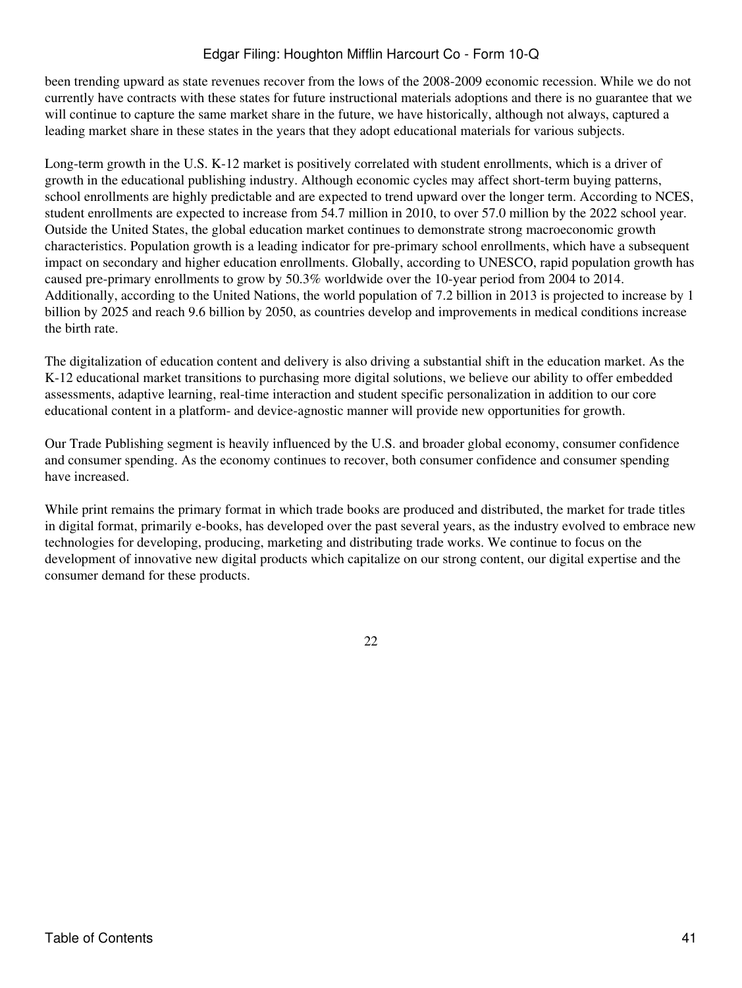been trending upward as state revenues recover from the lows of the 2008-2009 economic recession. While we do not currently have contracts with these states for future instructional materials adoptions and there is no guarantee that we will continue to capture the same market share in the future, we have historically, although not always, captured a leading market share in these states in the years that they adopt educational materials for various subjects.

Long-term growth in the U.S. K-12 market is positively correlated with student enrollments, which is a driver of growth in the educational publishing industry. Although economic cycles may affect short-term buying patterns, school enrollments are highly predictable and are expected to trend upward over the longer term. According to NCES, student enrollments are expected to increase from 54.7 million in 2010, to over 57.0 million by the 2022 school year. Outside the United States, the global education market continues to demonstrate strong macroeconomic growth characteristics. Population growth is a leading indicator for pre-primary school enrollments, which have a subsequent impact on secondary and higher education enrollments. Globally, according to UNESCO, rapid population growth has caused pre-primary enrollments to grow by 50.3% worldwide over the 10-year period from 2004 to 2014. Additionally, according to the United Nations, the world population of 7.2 billion in 2013 is projected to increase by 1 billion by 2025 and reach 9.6 billion by 2050, as countries develop and improvements in medical conditions increase the birth rate.

The digitalization of education content and delivery is also driving a substantial shift in the education market. As the K-12 educational market transitions to purchasing more digital solutions, we believe our ability to offer embedded assessments, adaptive learning, real-time interaction and student specific personalization in addition to our core educational content in a platform- and device-agnostic manner will provide new opportunities for growth.

Our Trade Publishing segment is heavily influenced by the U.S. and broader global economy, consumer confidence and consumer spending. As the economy continues to recover, both consumer confidence and consumer spending have increased.

While print remains the primary format in which trade books are produced and distributed, the market for trade titles in digital format, primarily e-books, has developed over the past several years, as the industry evolved to embrace new technologies for developing, producing, marketing and distributing trade works. We continue to focus on the development of innovative new digital products which capitalize on our strong content, our digital expertise and the consumer demand for these products.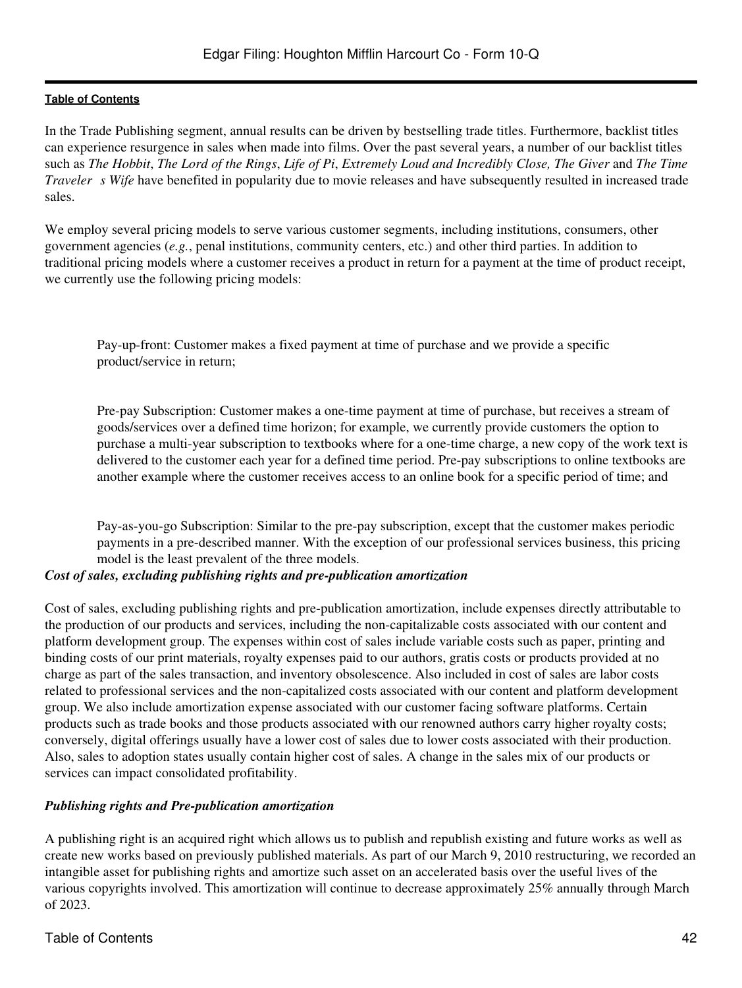In the Trade Publishing segment, annual results can be driven by bestselling trade titles. Furthermore, backlist titles can experience resurgence in sales when made into films. Over the past several years, a number of our backlist titles such as *The Hobbit*, *The Lord of the Rings*, *Life of Pi*, *Extremely Loud and Incredibly Close, The Giver* and *The Time Traveler s Wife* have benefited in popularity due to movie releases and have subsequently resulted in increased trade sales.

We employ several pricing models to serve various customer segments, including institutions, consumers, other government agencies (*e.g.*, penal institutions, community centers, etc.) and other third parties. In addition to traditional pricing models where a customer receives a product in return for a payment at the time of product receipt, we currently use the following pricing models:

Pay-up-front: Customer makes a fixed payment at time of purchase and we provide a specific product/service in return;

Pre-pay Subscription: Customer makes a one-time payment at time of purchase, but receives a stream of goods/services over a defined time horizon; for example, we currently provide customers the option to purchase a multi-year subscription to textbooks where for a one-time charge, a new copy of the work text is delivered to the customer each year for a defined time period. Pre-pay subscriptions to online textbooks are another example where the customer receives access to an online book for a specific period of time; and

Pay-as-you-go Subscription: Similar to the pre-pay subscription, except that the customer makes periodic payments in a pre-described manner. With the exception of our professional services business, this pricing model is the least prevalent of the three models.

# *Cost of sales, excluding publishing rights and pre-publication amortization*

Cost of sales, excluding publishing rights and pre-publication amortization, include expenses directly attributable to the production of our products and services, including the non-capitalizable costs associated with our content and platform development group. The expenses within cost of sales include variable costs such as paper, printing and binding costs of our print materials, royalty expenses paid to our authors, gratis costs or products provided at no charge as part of the sales transaction, and inventory obsolescence. Also included in cost of sales are labor costs related to professional services and the non-capitalized costs associated with our content and platform development group. We also include amortization expense associated with our customer facing software platforms. Certain products such as trade books and those products associated with our renowned authors carry higher royalty costs; conversely, digital offerings usually have a lower cost of sales due to lower costs associated with their production. Also, sales to adoption states usually contain higher cost of sales. A change in the sales mix of our products or services can impact consolidated profitability.

# *Publishing rights and Pre-publication amortization*

A publishing right is an acquired right which allows us to publish and republish existing and future works as well as create new works based on previously published materials. As part of our March 9, 2010 restructuring, we recorded an intangible asset for publishing rights and amortize such asset on an accelerated basis over the useful lives of the various copyrights involved. This amortization will continue to decrease approximately 25% annually through March of 2023.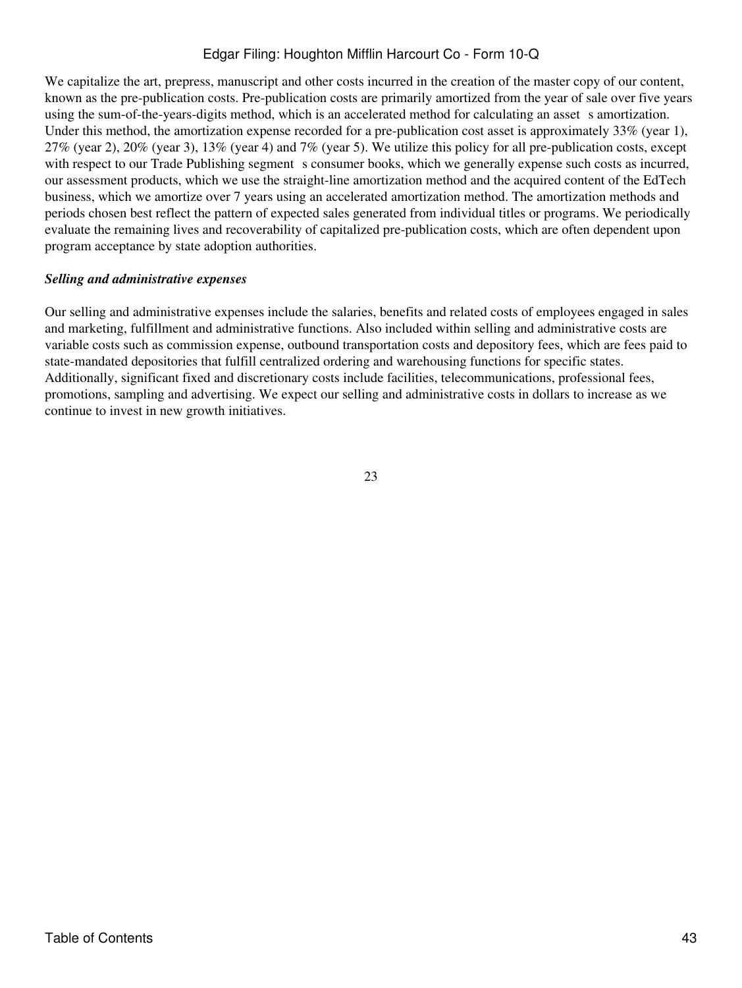We capitalize the art, prepress, manuscript and other costs incurred in the creation of the master copy of our content, known as the pre-publication costs. Pre-publication costs are primarily amortized from the year of sale over five years using the sum-of-the-years-digits method, which is an accelerated method for calculating an asset s amortization. Under this method, the amortization expense recorded for a pre-publication cost asset is approximately 33% (year 1),  $27\%$  (year 2),  $20\%$  (year 3),  $13\%$  (year 4) and 7% (year 5). We utilize this policy for all pre-publication costs, except with respect to our Trade Publishing segment s consumer books, which we generally expense such costs as incurred, our assessment products, which we use the straight-line amortization method and the acquired content of the EdTech business, which we amortize over 7 years using an accelerated amortization method. The amortization methods and periods chosen best reflect the pattern of expected sales generated from individual titles or programs. We periodically evaluate the remaining lives and recoverability of capitalized pre-publication costs, which are often dependent upon program acceptance by state adoption authorities.

# *Selling and administrative expenses*

Our selling and administrative expenses include the salaries, benefits and related costs of employees engaged in sales and marketing, fulfillment and administrative functions. Also included within selling and administrative costs are variable costs such as commission expense, outbound transportation costs and depository fees, which are fees paid to state-mandated depositories that fulfill centralized ordering and warehousing functions for specific states. Additionally, significant fixed and discretionary costs include facilities, telecommunications, professional fees, promotions, sampling and advertising. We expect our selling and administrative costs in dollars to increase as we continue to invest in new growth initiatives.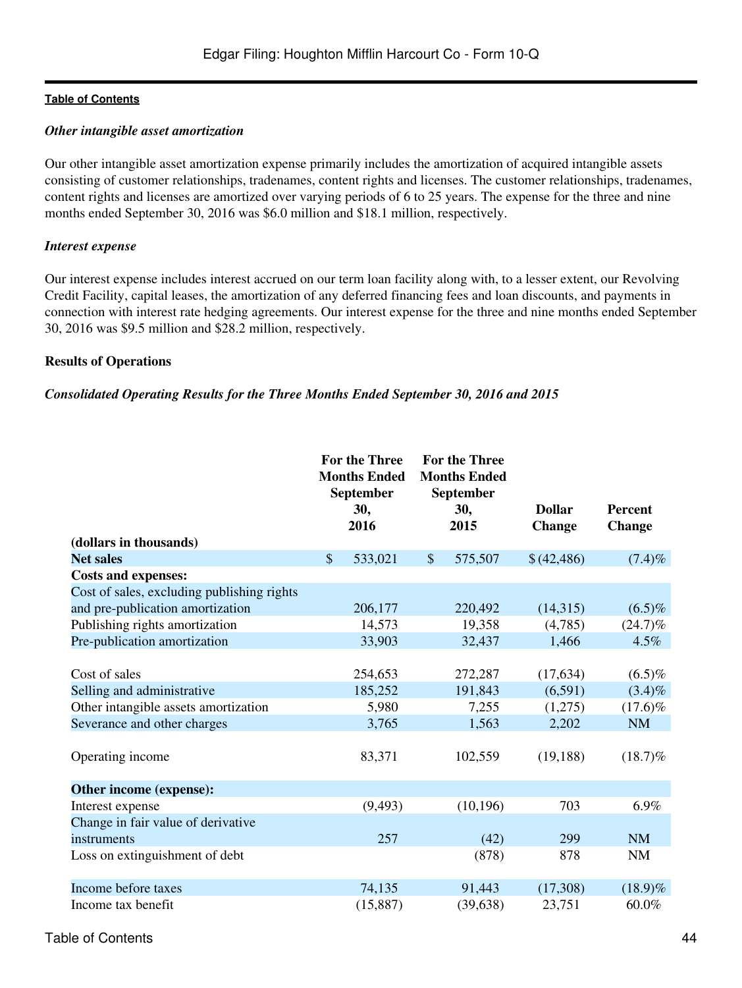#### *Other intangible asset amortization*

Our other intangible asset amortization expense primarily includes the amortization of acquired intangible assets consisting of customer relationships, tradenames, content rights and licenses. The customer relationships, tradenames, content rights and licenses are amortized over varying periods of 6 to 25 years. The expense for the three and nine months ended September 30, 2016 was \$6.0 million and \$18.1 million, respectively.

#### *Interest expense*

Our interest expense includes interest accrued on our term loan facility along with, to a lesser extent, our Revolving Credit Facility, capital leases, the amortization of any deferred financing fees and loan discounts, and payments in connection with interest rate hedging agreements. Our interest expense for the three and nine months ended September 30, 2016 was \$9.5 million and \$28.2 million, respectively.

### **Results of Operations**

### *Consolidated Operating Results for the Three Months Ended September 30, 2016 and 2015*

|                                            | <b>For the Three</b><br><b>Months Ended</b><br>September | <b>For the Three</b><br><b>Months Ended</b><br>September |           |               |                |
|--------------------------------------------|----------------------------------------------------------|----------------------------------------------------------|-----------|---------------|----------------|
|                                            | 30,                                                      |                                                          | 30,       | <b>Dollar</b> | <b>Percent</b> |
|                                            | 2016                                                     |                                                          | 2015      | <b>Change</b> | <b>Change</b>  |
| (dollars in thousands)                     |                                                          |                                                          |           |               |                |
| <b>Net sales</b>                           | \$<br>533,021                                            | $\$\$                                                    | 575,507   | \$(42,486)    | $(7.4)\%$      |
| <b>Costs and expenses:</b>                 |                                                          |                                                          |           |               |                |
| Cost of sales, excluding publishing rights |                                                          |                                                          |           |               |                |
| and pre-publication amortization           | 206,177                                                  |                                                          | 220,492   | (14,315)      | $(6.5)\%$      |
| Publishing rights amortization             | 14,573                                                   |                                                          | 19,358    | (4,785)       | $(24.7)\%$     |
| Pre-publication amortization               | 33,903                                                   |                                                          | 32,437    | 1,466         | 4.5%           |
|                                            |                                                          |                                                          |           |               |                |
| Cost of sales                              | 254,653                                                  |                                                          | 272,287   | (17, 634)     | $(6.5)\%$      |
| Selling and administrative                 | 185,252                                                  |                                                          | 191,843   | (6,591)       | $(3.4)\%$      |
| Other intangible assets amortization       | 5,980                                                    |                                                          | 7,255     | (1,275)       | $(17.6)\%$     |
| Severance and other charges                | 3,765                                                    |                                                          | 1,563     | 2,202         | <b>NM</b>      |
|                                            |                                                          |                                                          |           |               |                |
| Operating income                           | 83,371                                                   |                                                          | 102,559   | (19, 188)     | $(18.7)\%$     |
|                                            |                                                          |                                                          |           |               |                |
| Other income (expense):                    |                                                          |                                                          |           |               |                |
| Interest expense                           | (9, 493)                                                 |                                                          | (10, 196) | 703           | 6.9%           |
| Change in fair value of derivative         |                                                          |                                                          |           |               |                |
| instruments                                | 257                                                      |                                                          | (42)      | 299           | <b>NM</b>      |
| Loss on extinguishment of debt             |                                                          |                                                          | (878)     | 878           | <b>NM</b>      |
|                                            |                                                          |                                                          |           |               |                |
| Income before taxes                        | 74,135                                                   |                                                          | 91,443    | (17,308)      | $(18.9)\%$     |
| Income tax benefit                         | (15, 887)                                                |                                                          | (39, 638) | 23,751        | 60.0%          |
|                                            |                                                          |                                                          |           |               |                |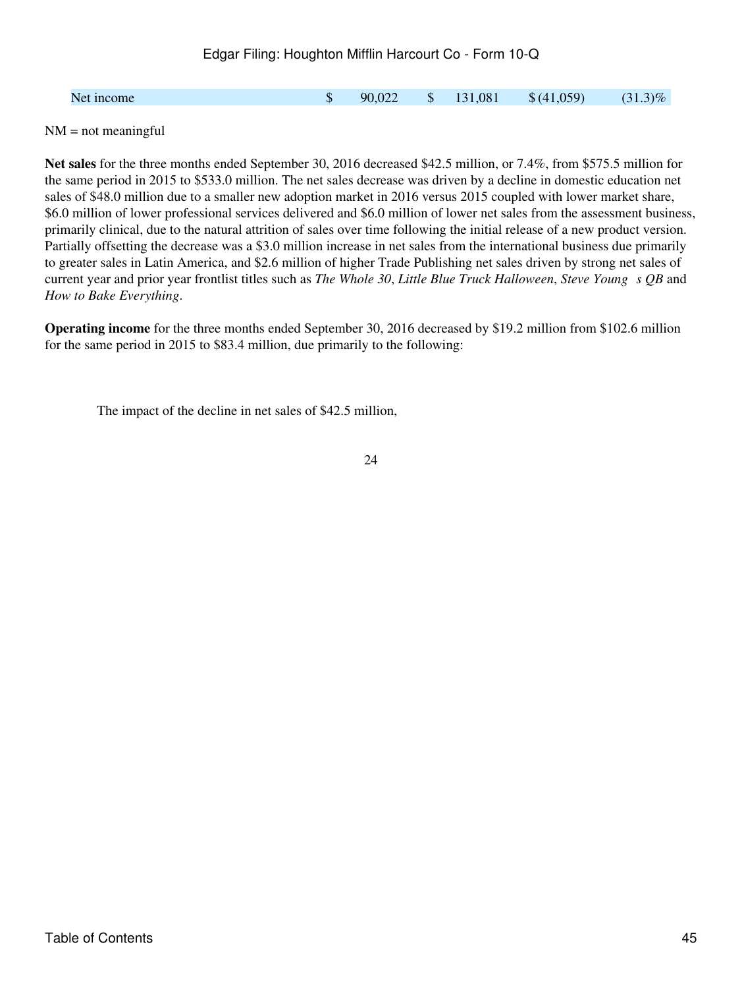|  | Net income | ጥ | 90,022 |  | \$131,081 | \$(41,059) | $(31.3)\%$ |
|--|------------|---|--------|--|-----------|------------|------------|
|--|------------|---|--------|--|-----------|------------|------------|

 $NM = not meaningful$ 

**Net sales** for the three months ended September 30, 2016 decreased \$42.5 million, or 7.4%, from \$575.5 million for the same period in 2015 to \$533.0 million. The net sales decrease was driven by a decline in domestic education net sales of \$48.0 million due to a smaller new adoption market in 2016 versus 2015 coupled with lower market share, \$6.0 million of lower professional services delivered and \$6.0 million of lower net sales from the assessment business, primarily clinical, due to the natural attrition of sales over time following the initial release of a new product version. Partially offsetting the decrease was a \$3.0 million increase in net sales from the international business due primarily to greater sales in Latin America, and \$2.6 million of higher Trade Publishing net sales driven by strong net sales of current year and prior year frontlist titles such as *The Whole 30*, *Little Blue Truck Halloween*, *Steve Youngs QB* and *How to Bake Everything*.

**Operating income** for the three months ended September 30, 2016 decreased by \$19.2 million from \$102.6 million for the same period in 2015 to \$83.4 million, due primarily to the following:

The impact of the decline in net sales of \$42.5 million,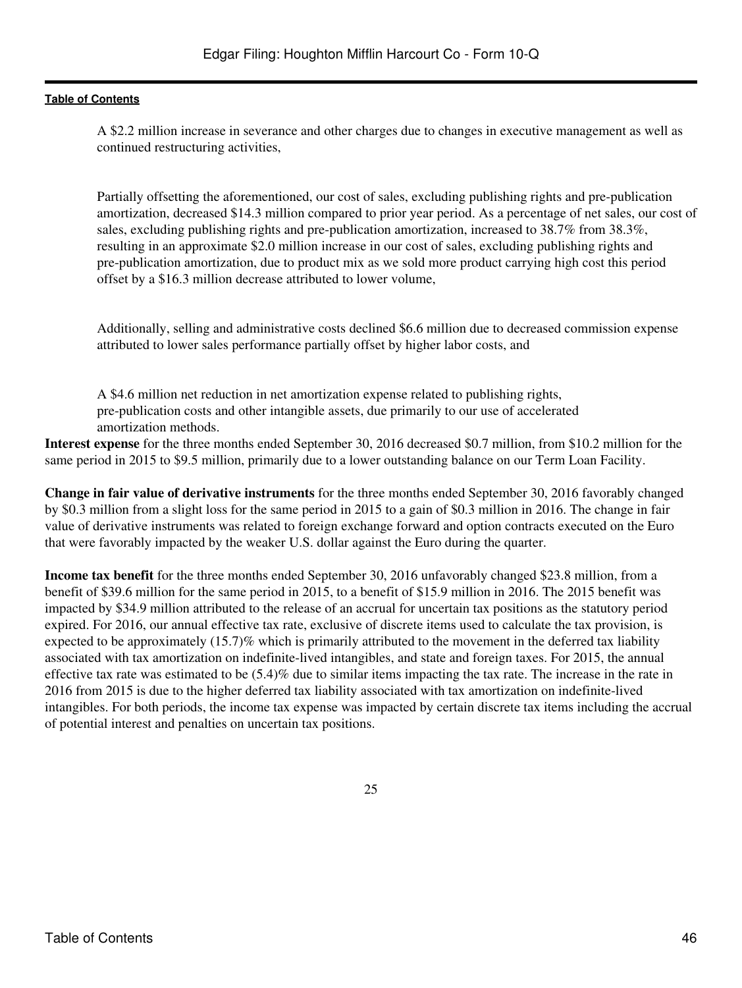A \$2.2 million increase in severance and other charges due to changes in executive management as well as continued restructuring activities,

Partially offsetting the aforementioned, our cost of sales, excluding publishing rights and pre-publication amortization, decreased \$14.3 million compared to prior year period. As a percentage of net sales, our cost of sales, excluding publishing rights and pre-publication amortization, increased to 38.7% from 38.3%, resulting in an approximate \$2.0 million increase in our cost of sales, excluding publishing rights and pre-publication amortization, due to product mix as we sold more product carrying high cost this period offset by a \$16.3 million decrease attributed to lower volume,

Additionally, selling and administrative costs declined \$6.6 million due to decreased commission expense attributed to lower sales performance partially offset by higher labor costs, and

A \$4.6 million net reduction in net amortization expense related to publishing rights, pre-publication costs and other intangible assets, due primarily to our use of accelerated amortization methods.

**Interest expense** for the three months ended September 30, 2016 decreased \$0.7 million, from \$10.2 million for the same period in 2015 to \$9.5 million, primarily due to a lower outstanding balance on our Term Loan Facility.

**Change in fair value of derivative instruments** for the three months ended September 30, 2016 favorably changed by \$0.3 million from a slight loss for the same period in 2015 to a gain of \$0.3 million in 2016. The change in fair value of derivative instruments was related to foreign exchange forward and option contracts executed on the Euro that were favorably impacted by the weaker U.S. dollar against the Euro during the quarter.

**Income tax benefit** for the three months ended September 30, 2016 unfavorably changed \$23.8 million, from a benefit of \$39.6 million for the same period in 2015, to a benefit of \$15.9 million in 2016. The 2015 benefit was impacted by \$34.9 million attributed to the release of an accrual for uncertain tax positions as the statutory period expired. For 2016, our annual effective tax rate, exclusive of discrete items used to calculate the tax provision, is expected to be approximately (15.7)% which is primarily attributed to the movement in the deferred tax liability associated with tax amortization on indefinite-lived intangibles, and state and foreign taxes. For 2015, the annual effective tax rate was estimated to be (5.4)% due to similar items impacting the tax rate. The increase in the rate in 2016 from 2015 is due to the higher deferred tax liability associated with tax amortization on indefinite-lived intangibles. For both periods, the income tax expense was impacted by certain discrete tax items including the accrual of potential interest and penalties on uncertain tax positions.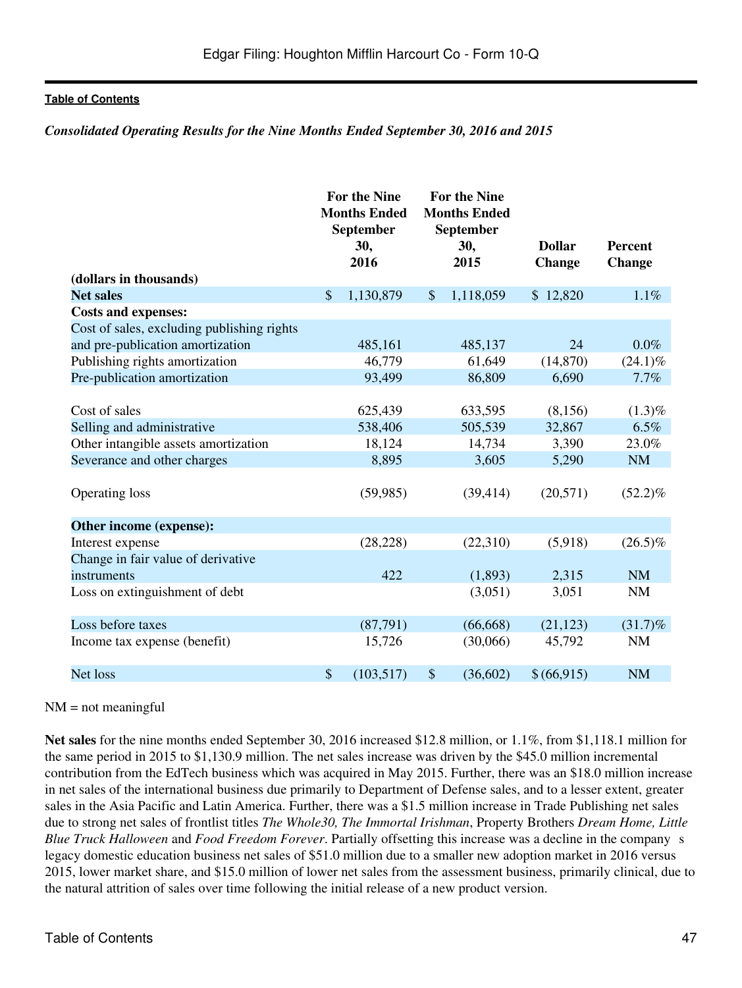#### *Consolidated Operating Results for the Nine Months Ended September 30, 2016 and 2015*

|                                            |               | <b>For the Nine</b><br><b>Months Ended</b><br><b>September</b> | <b>For the Nine</b><br><b>Months Ended</b><br>September |             |                                |                                 |
|--------------------------------------------|---------------|----------------------------------------------------------------|---------------------------------------------------------|-------------|--------------------------------|---------------------------------|
|                                            |               | 30,<br>2016                                                    |                                                         | 30,<br>2015 | <b>Dollar</b><br><b>Change</b> | <b>Percent</b><br><b>Change</b> |
| (dollars in thousands)                     |               |                                                                |                                                         |             |                                |                                 |
| <b>Net sales</b>                           | $\mathsf{\$}$ | 1,130,879                                                      | $\mathcal{S}$                                           | 1,118,059   | \$12,820                       | 1.1%                            |
| <b>Costs and expenses:</b>                 |               |                                                                |                                                         |             |                                |                                 |
| Cost of sales, excluding publishing rights |               |                                                                |                                                         |             |                                |                                 |
| and pre-publication amortization           |               | 485,161                                                        |                                                         | 485,137     | 24                             | $0.0\%$                         |
| Publishing rights amortization             |               | 46,779                                                         |                                                         | 61,649      | (14, 870)                      | $(24.1)\%$                      |
| Pre-publication amortization               |               | 93,499                                                         |                                                         | 86,809      | 6,690                          | 7.7%                            |
|                                            |               |                                                                |                                                         |             |                                |                                 |
| Cost of sales                              |               | 625,439                                                        |                                                         | 633,595     | (8,156)                        | $(1.3)\%$                       |
| Selling and administrative                 |               | 538,406                                                        |                                                         | 505,539     | 32,867                         | 6.5%                            |
| Other intangible assets amortization       |               | 18,124                                                         |                                                         | 14,734      | 3,390                          | 23.0%                           |
| Severance and other charges                |               | 8,895                                                          |                                                         | 3,605       | 5,290                          | <b>NM</b>                       |
| <b>Operating loss</b>                      |               | (59, 985)                                                      |                                                         | (39, 414)   | (20, 571)                      | $(52.2)\%$                      |
| Other income (expense):                    |               |                                                                |                                                         |             |                                |                                 |
| Interest expense                           |               | (28, 228)                                                      |                                                         | (22,310)    | (5,918)                        | $(26.5)\%$                      |
| Change in fair value of derivative         |               |                                                                |                                                         |             |                                |                                 |
| instruments                                |               | 422                                                            |                                                         | (1,893)     | 2,315                          | <b>NM</b>                       |
| Loss on extinguishment of debt             |               |                                                                |                                                         | (3,051)     | 3,051                          | <b>NM</b>                       |
| Loss before taxes                          |               | (87,791)                                                       |                                                         | (66, 668)   | (21, 123)                      | $(31.7)\%$                      |
| Income tax expense (benefit)               |               | 15,726                                                         |                                                         | (30,066)    | 45,792                         | <b>NM</b>                       |
| Net loss                                   | \$            | (103, 517)                                                     | \$                                                      | (36,602)    | \$(66,915)                     | <b>NM</b>                       |

#### $NM = not meaningful$

**Net sales** for the nine months ended September 30, 2016 increased \$12.8 million, or 1.1%, from \$1,118.1 million for the same period in 2015 to \$1,130.9 million. The net sales increase was driven by the \$45.0 million incremental contribution from the EdTech business which was acquired in May 2015. Further, there was an \$18.0 million increase in net sales of the international business due primarily to Department of Defense sales, and to a lesser extent, greater sales in the Asia Pacific and Latin America. Further, there was a \$1.5 million increase in Trade Publishing net sales due to strong net sales of frontlist titles *The Whole30, The Immortal Irishman*, Property Brothers *Dream Home, Little Blue Truck Halloween* and *Food Freedom Forever*. Partially offsetting this increase was a decline in the companys legacy domestic education business net sales of \$51.0 million due to a smaller new adoption market in 2016 versus 2015, lower market share, and \$15.0 million of lower net sales from the assessment business, primarily clinical, due to the natural attrition of sales over time following the initial release of a new product version.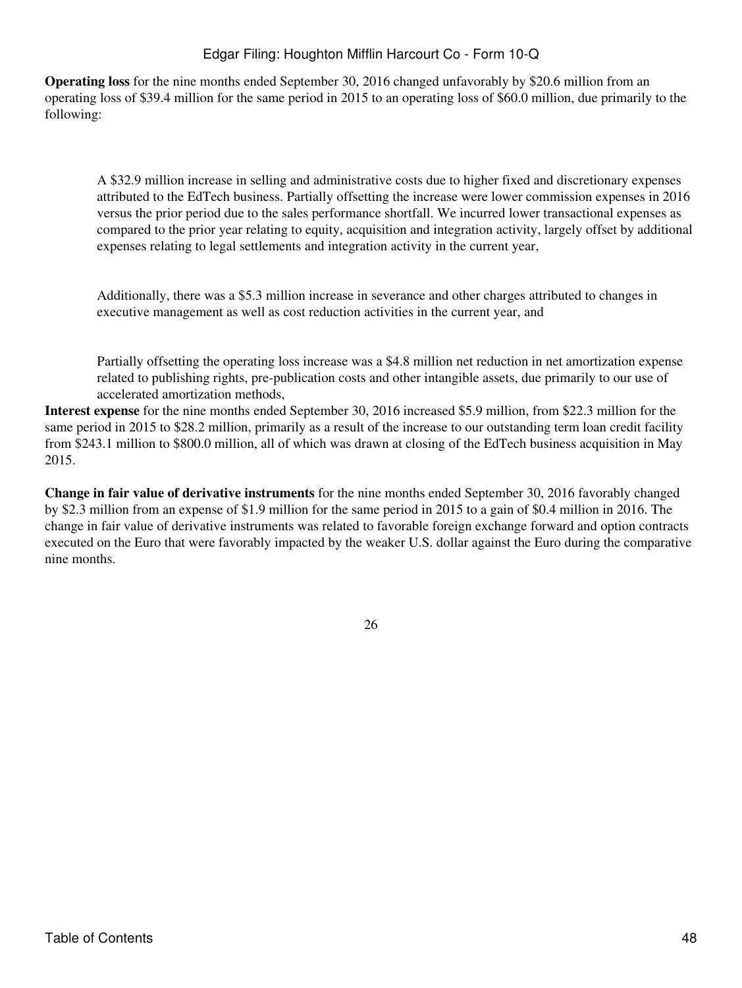**Operating loss** for the nine months ended September 30, 2016 changed unfavorably by \$20.6 million from an operating loss of \$39.4 million for the same period in 2015 to an operating loss of \$60.0 million, due primarily to the following:

A \$32.9 million increase in selling and administrative costs due to higher fixed and discretionary expenses attributed to the EdTech business. Partially offsetting the increase were lower commission expenses in 2016 versus the prior period due to the sales performance shortfall. We incurred lower transactional expenses as compared to the prior year relating to equity, acquisition and integration activity, largely offset by additional expenses relating to legal settlements and integration activity in the current year,

Additionally, there was a \$5.3 million increase in severance and other charges attributed to changes in executive management as well as cost reduction activities in the current year, and

Partially offsetting the operating loss increase was a \$4.8 million net reduction in net amortization expense related to publishing rights, pre-publication costs and other intangible assets, due primarily to our use of accelerated amortization methods,

**Interest expense** for the nine months ended September 30, 2016 increased \$5.9 million, from \$22.3 million for the same period in 2015 to \$28.2 million, primarily as a result of the increase to our outstanding term loan credit facility from \$243.1 million to \$800.0 million, all of which was drawn at closing of the EdTech business acquisition in May 2015.

**Change in fair value of derivative instruments** for the nine months ended September 30, 2016 favorably changed by \$2.3 million from an expense of \$1.9 million for the same period in 2015 to a gain of \$0.4 million in 2016. The change in fair value of derivative instruments was related to favorable foreign exchange forward and option contracts executed on the Euro that were favorably impacted by the weaker U.S. dollar against the Euro during the comparative nine months.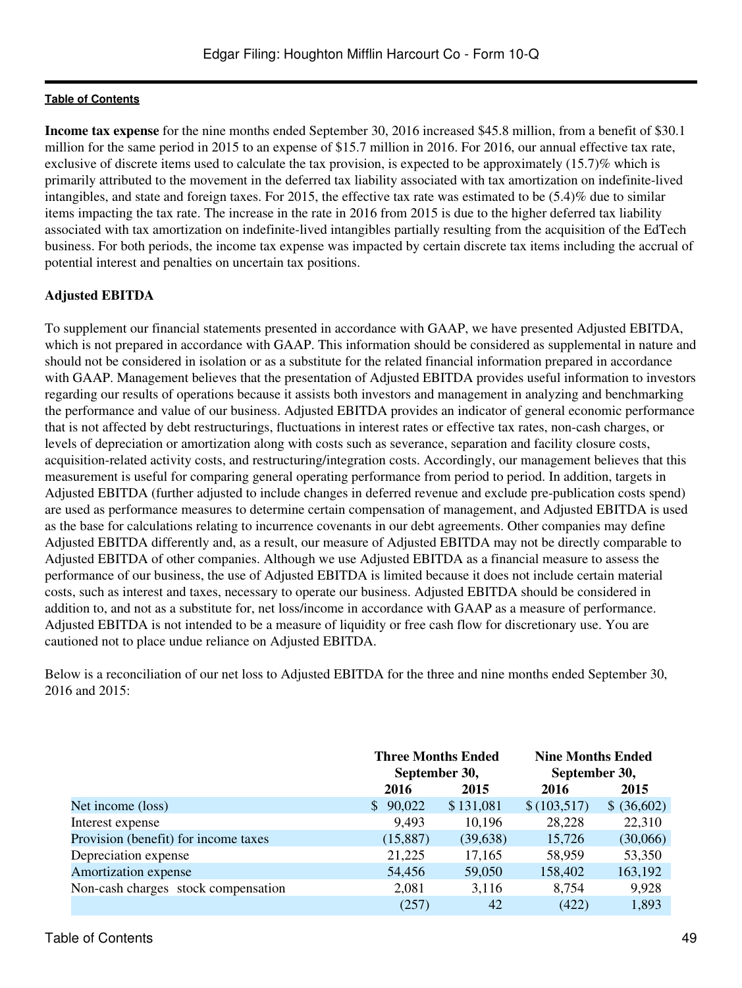**Income tax expense** for the nine months ended September 30, 2016 increased \$45.8 million, from a benefit of \$30.1 million for the same period in 2015 to an expense of \$15.7 million in 2016. For 2016, our annual effective tax rate, exclusive of discrete items used to calculate the tax provision, is expected to be approximately (15.7)% which is primarily attributed to the movement in the deferred tax liability associated with tax amortization on indefinite-lived intangibles, and state and foreign taxes. For 2015, the effective tax rate was estimated to be (5.4)% due to similar items impacting the tax rate. The increase in the rate in 2016 from 2015 is due to the higher deferred tax liability associated with tax amortization on indefinite-lived intangibles partially resulting from the acquisition of the EdTech business. For both periods, the income tax expense was impacted by certain discrete tax items including the accrual of potential interest and penalties on uncertain tax positions.

# **Adjusted EBITDA**

To supplement our financial statements presented in accordance with GAAP, we have presented Adjusted EBITDA, which is not prepared in accordance with GAAP. This information should be considered as supplemental in nature and should not be considered in isolation or as a substitute for the related financial information prepared in accordance with GAAP. Management believes that the presentation of Adjusted EBITDA provides useful information to investors regarding our results of operations because it assists both investors and management in analyzing and benchmarking the performance and value of our business. Adjusted EBITDA provides an indicator of general economic performance that is not affected by debt restructurings, fluctuations in interest rates or effective tax rates, non-cash charges, or levels of depreciation or amortization along with costs such as severance, separation and facility closure costs, acquisition-related activity costs, and restructuring/integration costs. Accordingly, our management believes that this measurement is useful for comparing general operating performance from period to period. In addition, targets in Adjusted EBITDA (further adjusted to include changes in deferred revenue and exclude pre-publication costs spend) are used as performance measures to determine certain compensation of management, and Adjusted EBITDA is used as the base for calculations relating to incurrence covenants in our debt agreements. Other companies may define Adjusted EBITDA differently and, as a result, our measure of Adjusted EBITDA may not be directly comparable to Adjusted EBITDA of other companies. Although we use Adjusted EBITDA as a financial measure to assess the performance of our business, the use of Adjusted EBITDA is limited because it does not include certain material costs, such as interest and taxes, necessary to operate our business. Adjusted EBITDA should be considered in addition to, and not as a substitute for, net loss/income in accordance with GAAP as a measure of performance. Adjusted EBITDA is not intended to be a measure of liquidity or free cash flow for discretionary use. You are cautioned not to place undue reliance on Adjusted EBITDA.

Below is a reconciliation of our net loss to Adjusted EBITDA for the three and nine months ended September 30, 2016 and 2015:

|                                      | <b>Three Months Ended</b><br>September 30, |           | <b>Nine Months Ended</b><br>September 30, |             |
|--------------------------------------|--------------------------------------------|-----------|-------------------------------------------|-------------|
|                                      | 2016                                       | 2015      | 2016                                      | 2015        |
| Net income (loss)                    | 90,022                                     | \$131,081 | \$(103,517)                               | \$ (36,602) |
| Interest expense                     | 9,493                                      | 10,196    | 28,228                                    | 22,310      |
| Provision (benefit) for income taxes | (15,887)                                   | (39, 638) | 15,726                                    | (30,066)    |
| Depreciation expense                 | 21,225                                     | 17,165    | 58,959                                    | 53,350      |
| Amortization expense                 | 54,456                                     | 59,050    | 158,402                                   | 163,192     |
| Non-cash charges stock compensation  | 2,081                                      | 3,116     | 8,754                                     | 9,928       |
|                                      | (257)                                      | 42        | (422)                                     | 1,893       |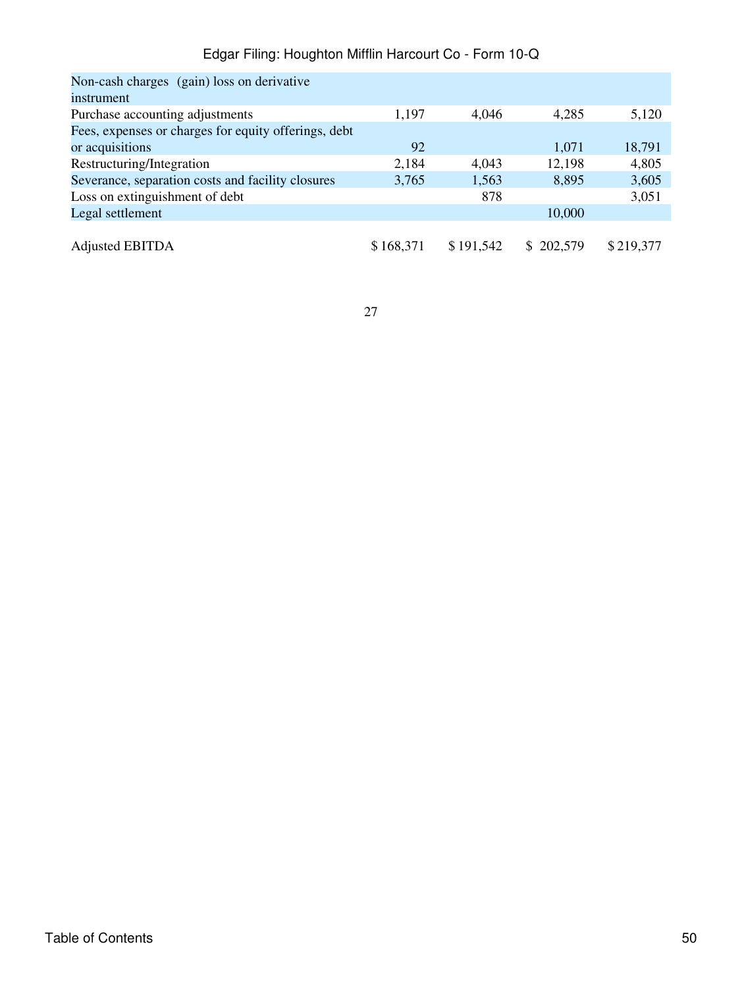| Non-cash charges (gain) loss on derivative           |           |           |           |           |
|------------------------------------------------------|-----------|-----------|-----------|-----------|
| instrument                                           |           |           |           |           |
| Purchase accounting adjustments                      | 1,197     | 4.046     | 4,285     | 5,120     |
| Fees, expenses or charges for equity offerings, debt |           |           |           |           |
| or acquisitions                                      | 92        |           | 1,071     | 18,791    |
| Restructuring/Integration                            | 2,184     | 4,043     | 12,198    | 4,805     |
| Severance, separation costs and facility closures    | 3,765     | 1,563     | 8,895     | 3,605     |
| Loss on extinguishment of debt                       |           | 878       |           | 3,051     |
| Legal settlement                                     |           |           | 10,000    |           |
|                                                      |           |           |           |           |
| <b>Adjusted EBITDA</b>                               | \$168,371 | \$191,542 | \$202,579 | \$219,377 |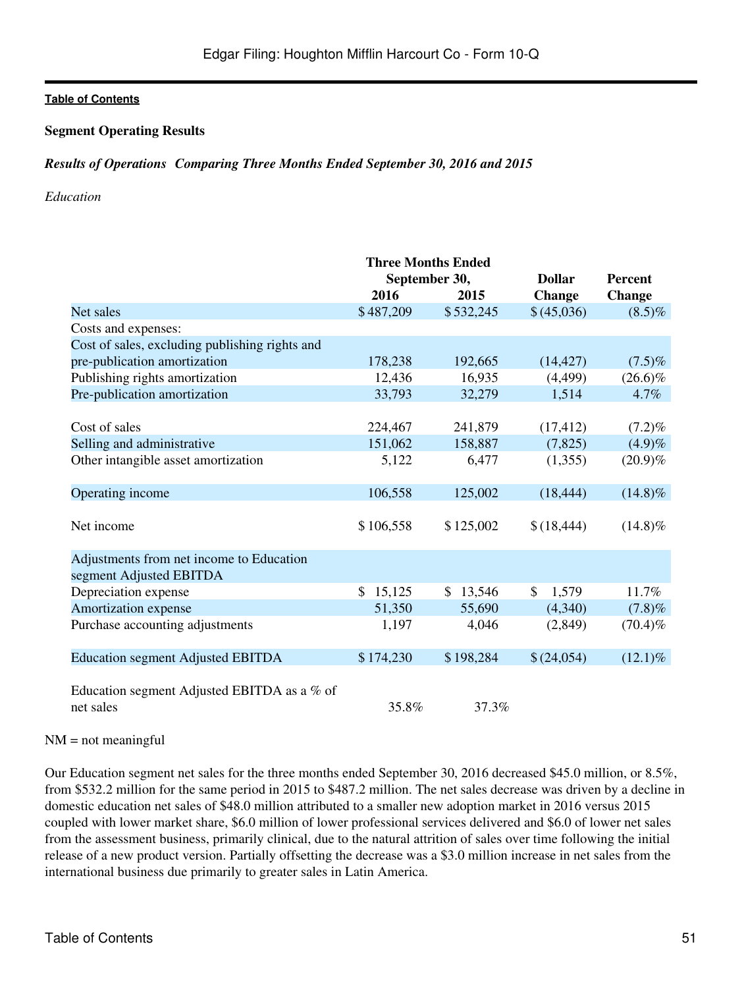### **Segment Operating Results**

### *Results of OperationsComparing Three Months Ended September 30, 2016 and 2015*

#### *Education*

|           |                                      |                                                                                  | <b>Percent</b>                                     |
|-----------|--------------------------------------|----------------------------------------------------------------------------------|----------------------------------------------------|
| 2016      | 2015                                 | <b>Change</b>                                                                    | <b>Change</b>                                      |
| \$487,209 | \$532,245                            | \$(45,036)                                                                       | $(8.5)\%$                                          |
|           |                                      |                                                                                  |                                                    |
|           |                                      |                                                                                  |                                                    |
| 178,238   | 192,665                              | (14, 427)                                                                        | $(7.5)\%$                                          |
| 12,436    | 16,935                               | (4,499)                                                                          | $(26.6)\%$                                         |
| 33,793    | 32,279                               | 1,514                                                                            | 4.7%                                               |
|           |                                      |                                                                                  |                                                    |
| 224,467   | 241,879                              | (17, 412)                                                                        | $(7.2)\%$                                          |
| 151,062   | 158,887                              | (7,825)                                                                          | (4.9)%                                             |
| 5,122     | 6,477                                | (1,355)                                                                          | $(20.9)\%$                                         |
|           |                                      |                                                                                  |                                                    |
| 106,558   | 125,002                              | (18, 444)                                                                        | $(14.8)\%$                                         |
|           |                                      |                                                                                  |                                                    |
|           |                                      | \$(18, 444)                                                                      | $(14.8)\%$                                         |
|           |                                      |                                                                                  |                                                    |
|           |                                      |                                                                                  |                                                    |
|           |                                      |                                                                                  |                                                    |
|           |                                      |                                                                                  | 11.7%                                              |
| 51,350    | 55,690                               |                                                                                  | (7.8)%                                             |
| 1,197     | 4,046                                | (2,849)                                                                          | $(70.4)\%$                                         |
|           |                                      |                                                                                  |                                                    |
| \$174,230 |                                      | \$(24,054)                                                                       | $(12.1)\%$                                         |
| 35.8%     | 37.3%                                |                                                                                  |                                                    |
|           | \$106,558<br>$\mathcal{S}$<br>15,125 | <b>Three Months Ended</b><br>September 30,<br>\$125,002<br>\$13,546<br>\$198,284 | <b>Dollar</b><br>$\mathcal{S}$<br>1,579<br>(4,340) |

#### $NM = not meaningful$

Our Education segment net sales for the three months ended September 30, 2016 decreased \$45.0 million, or 8.5%, from \$532.2 million for the same period in 2015 to \$487.2 million. The net sales decrease was driven by a decline in domestic education net sales of \$48.0 million attributed to a smaller new adoption market in 2016 versus 2015 coupled with lower market share, \$6.0 million of lower professional services delivered and \$6.0 of lower net sales from the assessment business, primarily clinical, due to the natural attrition of sales over time following the initial release of a new product version. Partially offsetting the decrease was a \$3.0 million increase in net sales from the international business due primarily to greater sales in Latin America.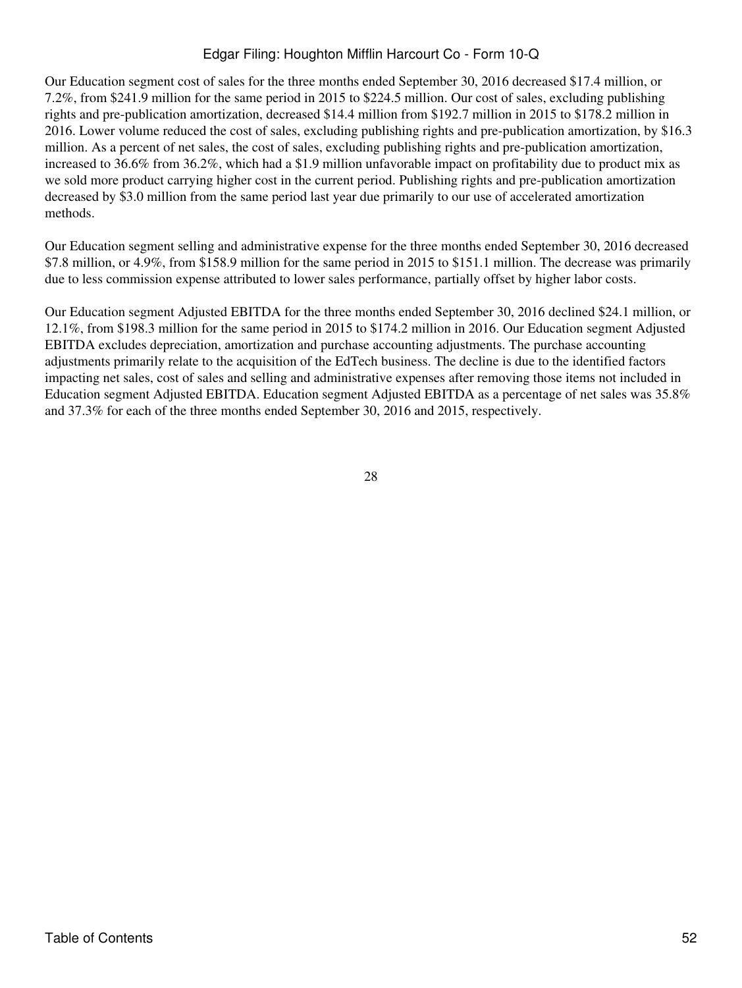Our Education segment cost of sales for the three months ended September 30, 2016 decreased \$17.4 million, or 7.2%, from \$241.9 million for the same period in 2015 to \$224.5 million. Our cost of sales, excluding publishing rights and pre-publication amortization, decreased \$14.4 million from \$192.7 million in 2015 to \$178.2 million in 2016. Lower volume reduced the cost of sales, excluding publishing rights and pre-publication amortization, by \$16.3 million. As a percent of net sales, the cost of sales, excluding publishing rights and pre-publication amortization, increased to 36.6% from 36.2%, which had a \$1.9 million unfavorable impact on profitability due to product mix as we sold more product carrying higher cost in the current period. Publishing rights and pre-publication amortization decreased by \$3.0 million from the same period last year due primarily to our use of accelerated amortization methods.

Our Education segment selling and administrative expense for the three months ended September 30, 2016 decreased \$7.8 million, or 4.9%, from \$158.9 million for the same period in 2015 to \$151.1 million. The decrease was primarily due to less commission expense attributed to lower sales performance, partially offset by higher labor costs.

Our Education segment Adjusted EBITDA for the three months ended September 30, 2016 declined \$24.1 million, or 12.1%, from \$198.3 million for the same period in 2015 to \$174.2 million in 2016. Our Education segment Adjusted EBITDA excludes depreciation, amortization and purchase accounting adjustments. The purchase accounting adjustments primarily relate to the acquisition of the EdTech business. The decline is due to the identified factors impacting net sales, cost of sales and selling and administrative expenses after removing those items not included in Education segment Adjusted EBITDA. Education segment Adjusted EBITDA as a percentage of net sales was 35.8% and 37.3% for each of the three months ended September 30, 2016 and 2015, respectively.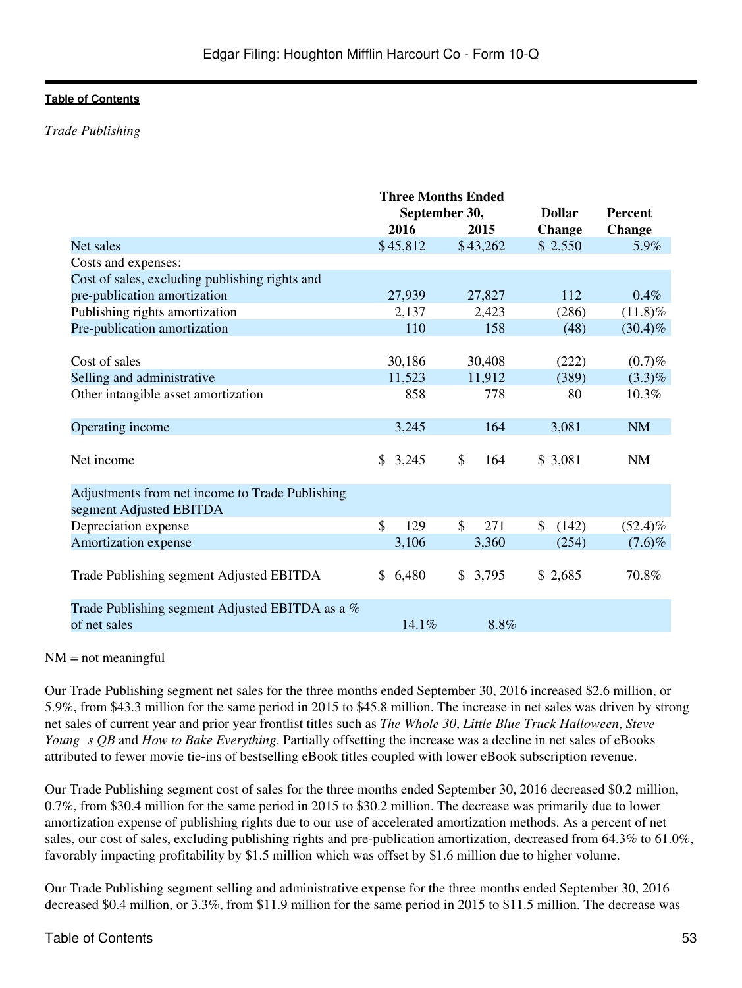### *Trade Publishing*

|                                                                            | <b>Three Months Ended</b> |           |               |                |
|----------------------------------------------------------------------------|---------------------------|-----------|---------------|----------------|
|                                                                            | September 30,             |           | <b>Dollar</b> | <b>Percent</b> |
|                                                                            | 2016                      | 2015      | <b>Change</b> | <b>Change</b>  |
| Net sales                                                                  | \$45,812                  | \$43,262  | \$2,550       | 5.9%           |
| Costs and expenses:                                                        |                           |           |               |                |
| Cost of sales, excluding publishing rights and                             |                           |           |               |                |
| pre-publication amortization                                               | 27,939                    | 27,827    | 112           | 0.4%           |
| Publishing rights amortization                                             | 2,137                     | 2,423     | (286)         | $(11.8)\%$     |
| Pre-publication amortization                                               | 110                       | 158       | (48)          | $(30.4)\%$     |
|                                                                            |                           |           |               |                |
| Cost of sales                                                              | 30,186                    | 30,408    | (222)         | (0.7)%         |
| Selling and administrative                                                 | 11,523                    | 11,912    | (389)         | $(3.3)\%$      |
| Other intangible asset amortization                                        | 858                       | 778       | 80            | 10.3%          |
| Operating income                                                           | 3,245                     | 164       | 3,081         | <b>NM</b>      |
| Net income                                                                 | \$3,245                   | \$<br>164 | \$3,081       | <b>NM</b>      |
| Adjustments from net income to Trade Publishing<br>segment Adjusted EBITDA |                           |           |               |                |
| Depreciation expense                                                       | $\mathbf{\$}$<br>129      | \$<br>271 | \$<br>(142)   | $(52.4)\%$     |
| Amortization expense                                                       | 3,106                     | 3,360     | (254)         | $(7.6)\%$      |
| Trade Publishing segment Adjusted EBITDA                                   | 6,480<br>\$.              | \$3,795   | \$2,685       | 70.8%          |
| Trade Publishing segment Adjusted EBITDA as a %                            |                           |           |               |                |
| of net sales                                                               | 14.1%                     | 8.8%      |               |                |

#### $NM = not meaningful$

Our Trade Publishing segment net sales for the three months ended September 30, 2016 increased \$2.6 million, or 5.9%, from \$43.3 million for the same period in 2015 to \$45.8 million. The increase in net sales was driven by strong net sales of current year and prior year frontlist titles such as *The Whole 30*, *Little Blue Truck Halloween*, *Steve Young s OB* and *How to Bake Everything*. Partially offsetting the increase was a decline in net sales of eBooks attributed to fewer movie tie-ins of bestselling eBook titles coupled with lower eBook subscription revenue.

Our Trade Publishing segment cost of sales for the three months ended September 30, 2016 decreased \$0.2 million, 0.7%, from \$30.4 million for the same period in 2015 to \$30.2 million. The decrease was primarily due to lower amortization expense of publishing rights due to our use of accelerated amortization methods. As a percent of net sales, our cost of sales, excluding publishing rights and pre-publication amortization, decreased from 64.3% to 61.0%, favorably impacting profitability by \$1.5 million which was offset by \$1.6 million due to higher volume.

Our Trade Publishing segment selling and administrative expense for the three months ended September 30, 2016 decreased \$0.4 million, or 3.3%, from \$11.9 million for the same period in 2015 to \$11.5 million. The decrease was

#### Table of Contents 53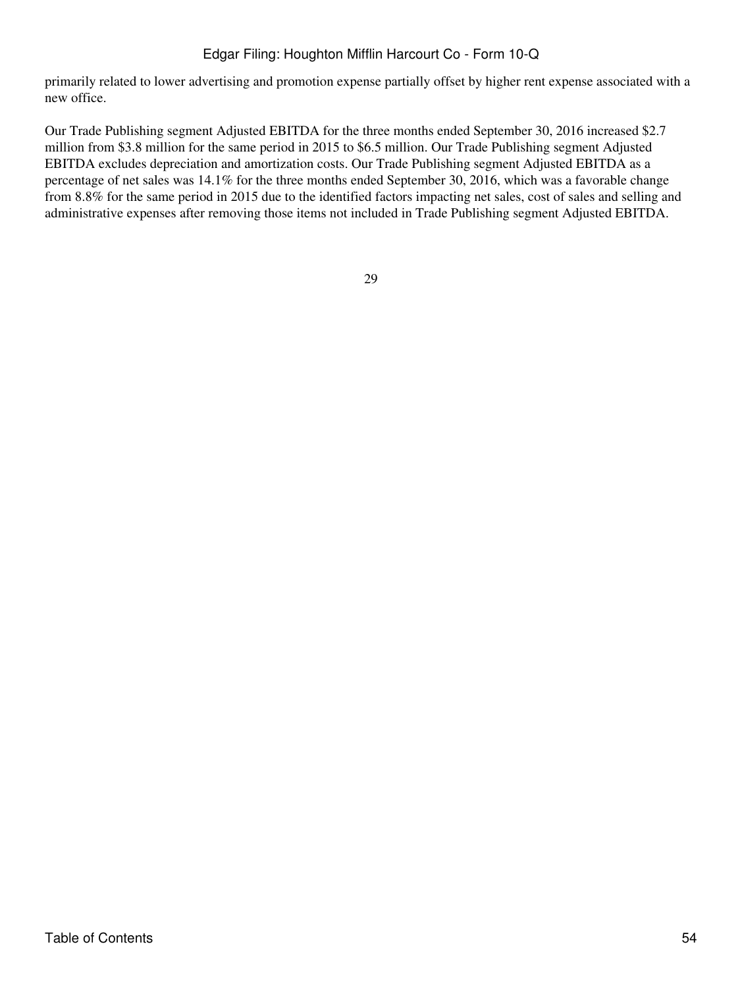primarily related to lower advertising and promotion expense partially offset by higher rent expense associated with a new office.

Our Trade Publishing segment Adjusted EBITDA for the three months ended September 30, 2016 increased \$2.7 million from \$3.8 million for the same period in 2015 to \$6.5 million. Our Trade Publishing segment Adjusted EBITDA excludes depreciation and amortization costs. Our Trade Publishing segment Adjusted EBITDA as a percentage of net sales was 14.1% for the three months ended September 30, 2016, which was a favorable change from 8.8% for the same period in 2015 due to the identified factors impacting net sales, cost of sales and selling and administrative expenses after removing those items not included in Trade Publishing segment Adjusted EBITDA.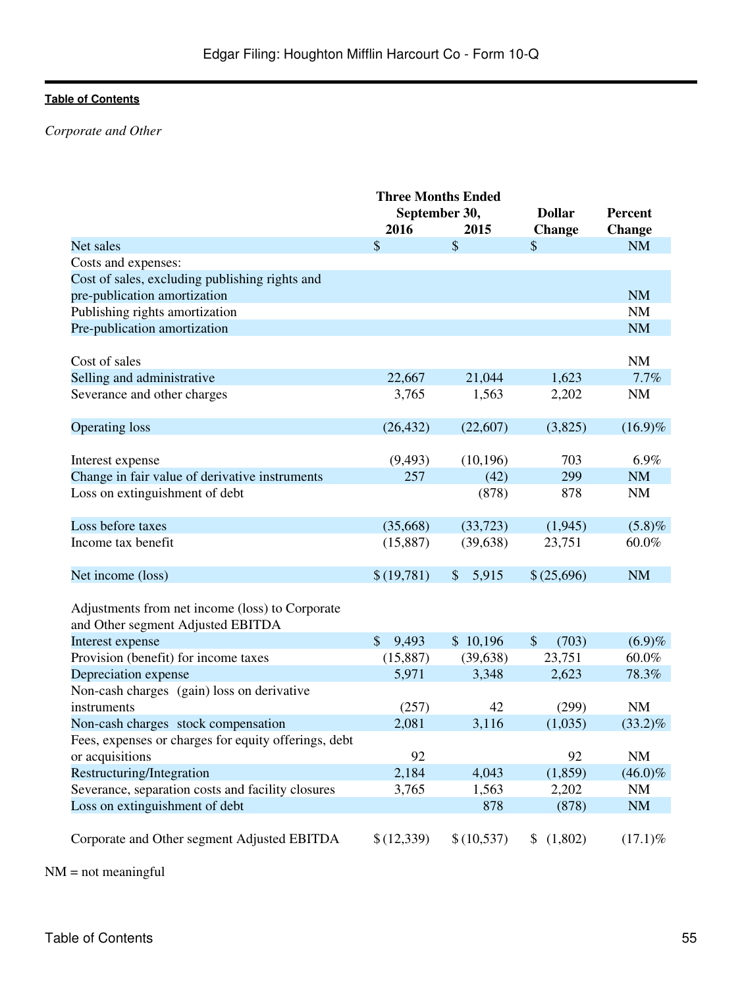# *Corporate and Other*

|                                                      | <b>Three Months Ended</b> |                        |                         |                |
|------------------------------------------------------|---------------------------|------------------------|-------------------------|----------------|
|                                                      | September 30,             |                        | <b>Dollar</b>           | <b>Percent</b> |
|                                                      | 2016                      | 2015                   | <b>Change</b>           | <b>Change</b>  |
| Net sales                                            | \$                        | \$                     | $\mathcal{S}$           | <b>NM</b>      |
| Costs and expenses:                                  |                           |                        |                         |                |
| Cost of sales, excluding publishing rights and       |                           |                        |                         |                |
| pre-publication amortization                         |                           |                        |                         | <b>NM</b>      |
| Publishing rights amortization                       |                           |                        |                         | NM             |
| Pre-publication amortization                         |                           |                        |                         | <b>NM</b>      |
|                                                      |                           |                        |                         |                |
| Cost of sales                                        |                           |                        |                         | NM             |
| Selling and administrative                           | 22,667                    | 21,044                 | 1,623                   | 7.7%           |
| Severance and other charges                          | 3,765                     | 1,563                  | 2,202                   | <b>NM</b>      |
|                                                      |                           |                        |                         |                |
| <b>Operating loss</b>                                | (26, 432)                 | (22,607)               | (3,825)                 | $(16.9)\%$     |
|                                                      |                           |                        |                         |                |
| Interest expense                                     | (9, 493)                  | (10, 196)              | 703                     | 6.9%           |
| Change in fair value of derivative instruments       | 257                       | (42)                   | 299                     | <b>NM</b>      |
| Loss on extinguishment of debt                       |                           | (878)                  | 878                     | <b>NM</b>      |
|                                                      |                           |                        |                         |                |
| Loss before taxes                                    | (35,668)                  | (33, 723)              | (1,945)                 | (5.8)%         |
| Income tax benefit                                   | (15, 887)                 | (39, 638)              | 23,751                  | 60.0%          |
|                                                      |                           |                        |                         |                |
| Net income (loss)                                    | \$(19,781)                | 5,915<br>$\frac{1}{2}$ | \$(25,696)              | <b>NM</b>      |
|                                                      |                           |                        |                         |                |
| Adjustments from net income (loss) to Corporate      |                           |                        |                         |                |
| and Other segment Adjusted EBITDA                    |                           |                        |                         |                |
| Interest expense                                     | $\mathcal{S}$<br>9,493    | \$10,196               | $\mathcal{S}$<br>(703)  | (6.9)%         |
| Provision (benefit) for income taxes                 | (15,887)                  | (39, 638)              | 23,751                  | 60.0%          |
| Depreciation expense                                 | 5,971                     | 3,348                  | 2,623                   | 78.3%          |
| Non-cash charges (gain) loss on derivative           |                           |                        |                         |                |
| instruments                                          | (257)                     | 42                     | (299)                   | <b>NM</b>      |
| Non-cash charges stock compensation                  | 2,081                     | 3,116                  | (1,035)                 | $(33.2)\%$     |
| Fees, expenses or charges for equity offerings, debt |                           |                        |                         |                |
| or acquisitions                                      | 92                        |                        | 92                      | $\mathrm{NM}$  |
| Restructuring/Integration                            | 2,184                     | 4,043                  | (1,859)                 | $(46.0)\%$     |
| Severance, separation costs and facility closures    | 3,765                     | 1,563                  | 2,202                   | <b>NM</b>      |
| Loss on extinguishment of debt                       |                           | 878                    | (878)                   | <b>NM</b>      |
|                                                      |                           |                        |                         |                |
|                                                      |                           |                        |                         |                |
| Corporate and Other segment Adjusted EBITDA          | \$(12,339)                | \$(10,537)             | (1,802)<br>$\mathbb{S}$ | $(17.1)\%$     |

NM = not meaningful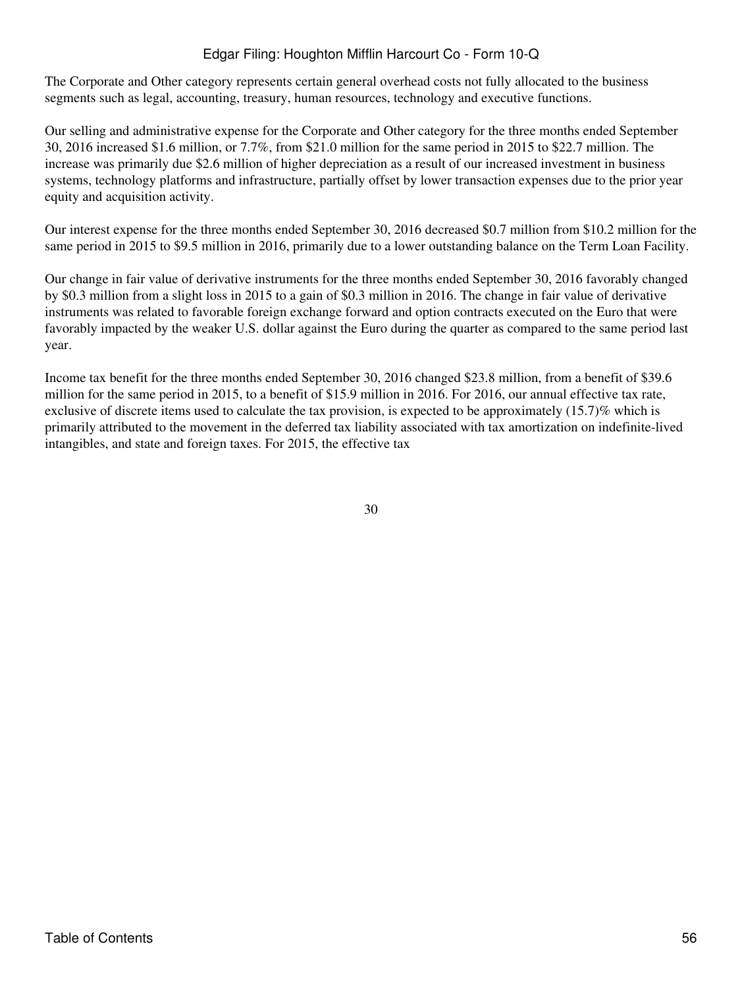The Corporate and Other category represents certain general overhead costs not fully allocated to the business segments such as legal, accounting, treasury, human resources, technology and executive functions.

Our selling and administrative expense for the Corporate and Other category for the three months ended September 30, 2016 increased \$1.6 million, or 7.7%, from \$21.0 million for the same period in 2015 to \$22.7 million. The increase was primarily due \$2.6 million of higher depreciation as a result of our increased investment in business systems, technology platforms and infrastructure, partially offset by lower transaction expenses due to the prior year equity and acquisition activity.

Our interest expense for the three months ended September 30, 2016 decreased \$0.7 million from \$10.2 million for the same period in 2015 to \$9.5 million in 2016, primarily due to a lower outstanding balance on the Term Loan Facility.

Our change in fair value of derivative instruments for the three months ended September 30, 2016 favorably changed by \$0.3 million from a slight loss in 2015 to a gain of \$0.3 million in 2016. The change in fair value of derivative instruments was related to favorable foreign exchange forward and option contracts executed on the Euro that were favorably impacted by the weaker U.S. dollar against the Euro during the quarter as compared to the same period last year.

Income tax benefit for the three months ended September 30, 2016 changed \$23.8 million, from a benefit of \$39.6 million for the same period in 2015, to a benefit of \$15.9 million in 2016. For 2016, our annual effective tax rate, exclusive of discrete items used to calculate the tax provision, is expected to be approximately (15.7)% which is primarily attributed to the movement in the deferred tax liability associated with tax amortization on indefinite-lived intangibles, and state and foreign taxes. For 2015, the effective tax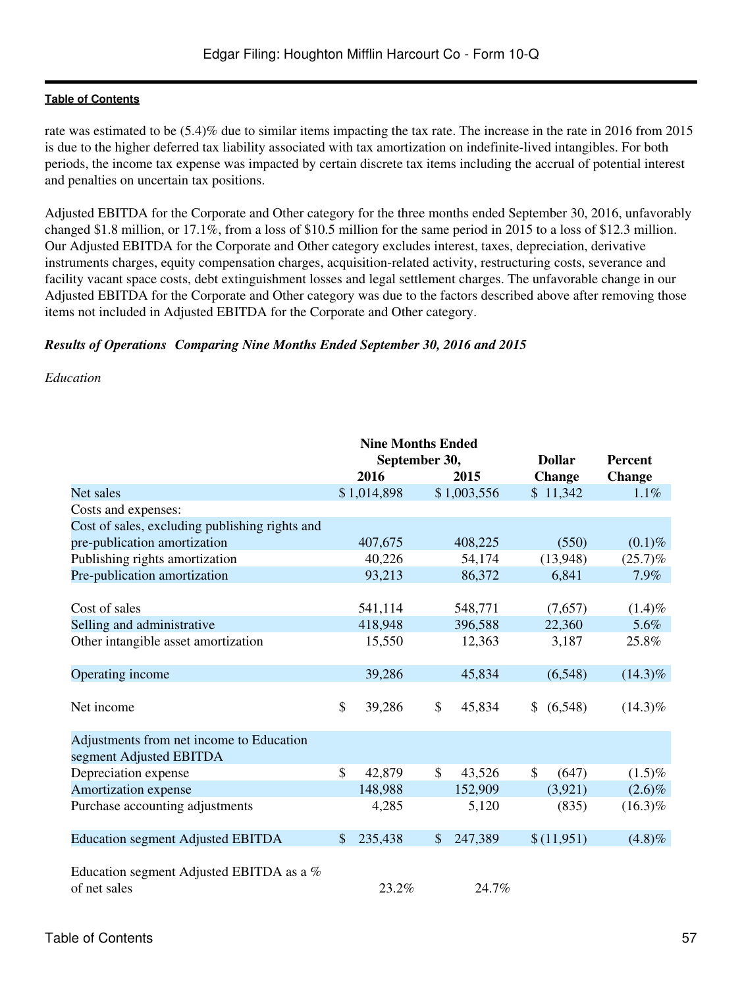rate was estimated to be (5.4)% due to similar items impacting the tax rate. The increase in the rate in 2016 from 2015 is due to the higher deferred tax liability associated with tax amortization on indefinite-lived intangibles. For both periods, the income tax expense was impacted by certain discrete tax items including the accrual of potential interest and penalties on uncertain tax positions.

Adjusted EBITDA for the Corporate and Other category for the three months ended September 30, 2016, unfavorably changed \$1.8 million, or 17.1%, from a loss of \$10.5 million for the same period in 2015 to a loss of \$12.3 million. Our Adjusted EBITDA for the Corporate and Other category excludes interest, taxes, depreciation, derivative instruments charges, equity compensation charges, acquisition-related activity, restructuring costs, severance and facility vacant space costs, debt extinguishment losses and legal settlement charges. The unfavorable change in our Adjusted EBITDA for the Corporate and Other category was due to the factors described above after removing those items not included in Adjusted EBITDA for the Corporate and Other category.

### *Results of OperationsComparing Nine Months Ended September 30, 2016 and 2015*

#### *Education*

|               |              |             |         |                                                          | <b>Percent</b> |                                                                                      |
|---------------|--------------|-------------|---------|----------------------------------------------------------|----------------|--------------------------------------------------------------------------------------|
|               | 2016         |             | 2015    |                                                          |                | <b>Change</b>                                                                        |
|               |              |             |         |                                                          |                | 1.1%                                                                                 |
|               |              |             |         |                                                          |                |                                                                                      |
|               |              |             |         |                                                          |                |                                                                                      |
|               | 407,675      |             | 408,225 |                                                          | (550)          | $(0.1)\%$                                                                            |
|               | 40,226       |             | 54,174  |                                                          |                | (25.7)%                                                                              |
|               | 93,213       |             | 86,372  |                                                          | 6,841          | 7.9%                                                                                 |
|               |              |             |         |                                                          |                |                                                                                      |
|               | 541,114      |             | 548,771 |                                                          | (7,657)        | $(1.4)\%$                                                                            |
|               | 418,948      |             | 396,588 |                                                          | 22,360         | 5.6%                                                                                 |
|               | 15,550       |             | 12,363  |                                                          | 3,187          | 25.8%                                                                                |
|               |              |             |         |                                                          |                |                                                                                      |
|               | 39,286       |             | 45,834  |                                                          | (6,548)        | $(14.3)\%$                                                                           |
|               |              |             |         |                                                          |                |                                                                                      |
| $\mathsf{\$}$ | 39,286       | \$          | 45,834  |                                                          | (6,548)        | $(14.3)\%$                                                                           |
|               |              |             |         |                                                          |                |                                                                                      |
|               |              |             |         |                                                          |                |                                                                                      |
|               |              |             |         |                                                          |                |                                                                                      |
|               | 42,879       | \$          | 43,526  | $\mathcal{S}$                                            | (647)          | $(1.5)\%$                                                                            |
|               | 148,988      |             | 152,909 |                                                          | (3,921)        | $(2.6)\%$                                                                            |
|               | 4,285        |             | 5,120   |                                                          | (835)          | $(16.3)\%$                                                                           |
|               |              |             |         |                                                          |                |                                                                                      |
| \$            | 235,438      | \$          | 247,389 |                                                          |                | (4.8)%                                                                               |
|               |              |             |         |                                                          |                |                                                                                      |
|               |              |             |         |                                                          |                |                                                                                      |
|               | 23.2%        |             | 24.7%   |                                                          |                |                                                                                      |
|               | $\mathbb{S}$ | \$1,014,898 |         | <b>Nine Months Ended</b><br>September 30,<br>\$1,003,556 |                | <b>Dollar</b><br><b>Change</b><br>\$11,342<br>(13,948)<br>$\mathbb{S}$<br>\$(11,951) |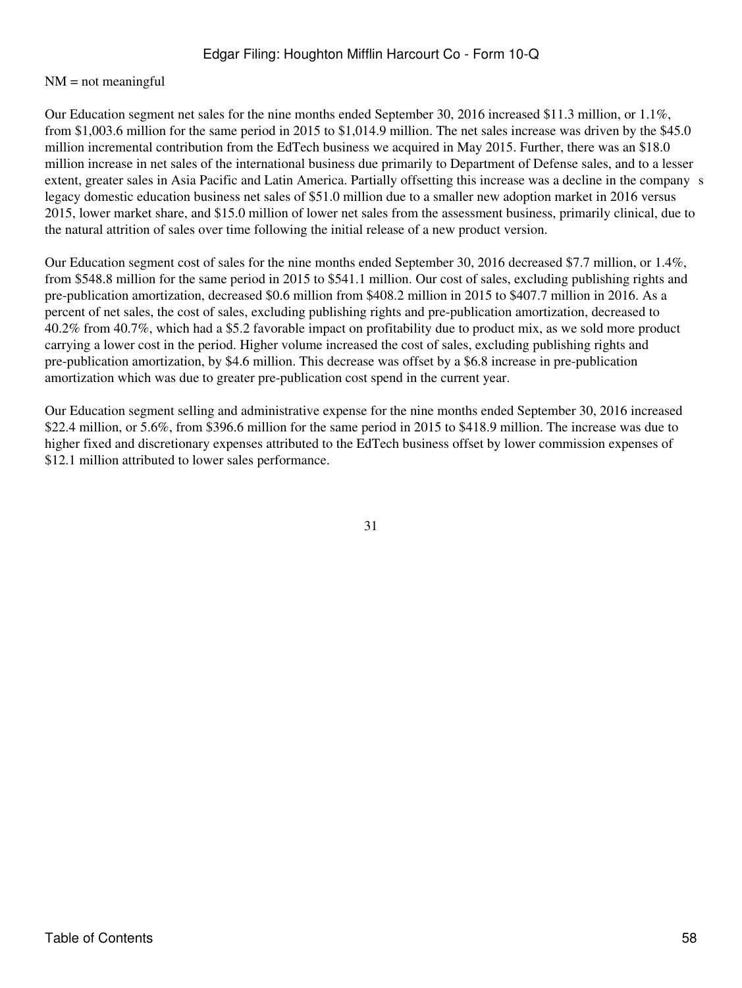#### $NM = not meaningful$

Our Education segment net sales for the nine months ended September 30, 2016 increased \$11.3 million, or 1.1%, from \$1,003.6 million for the same period in 2015 to \$1,014.9 million. The net sales increase was driven by the \$45.0 million incremental contribution from the EdTech business we acquired in May 2015. Further, there was an \$18.0 million increase in net sales of the international business due primarily to Department of Defense sales, and to a lesser extent, greater sales in Asia Pacific and Latin America. Partially offsetting this increase was a decline in the companys legacy domestic education business net sales of \$51.0 million due to a smaller new adoption market in 2016 versus 2015, lower market share, and \$15.0 million of lower net sales from the assessment business, primarily clinical, due to the natural attrition of sales over time following the initial release of a new product version.

Our Education segment cost of sales for the nine months ended September 30, 2016 decreased \$7.7 million, or 1.4%, from \$548.8 million for the same period in 2015 to \$541.1 million. Our cost of sales, excluding publishing rights and pre-publication amortization, decreased \$0.6 million from \$408.2 million in 2015 to \$407.7 million in 2016. As a percent of net sales, the cost of sales, excluding publishing rights and pre-publication amortization, decreased to 40.2% from 40.7%, which had a \$5.2 favorable impact on profitability due to product mix, as we sold more product carrying a lower cost in the period. Higher volume increased the cost of sales, excluding publishing rights and pre-publication amortization, by \$4.6 million. This decrease was offset by a \$6.8 increase in pre-publication amortization which was due to greater pre-publication cost spend in the current year.

Our Education segment selling and administrative expense for the nine months ended September 30, 2016 increased \$22.4 million, or 5.6%, from \$396.6 million for the same period in 2015 to \$418.9 million. The increase was due to higher fixed and discretionary expenses attributed to the EdTech business offset by lower commission expenses of \$12.1 million attributed to lower sales performance.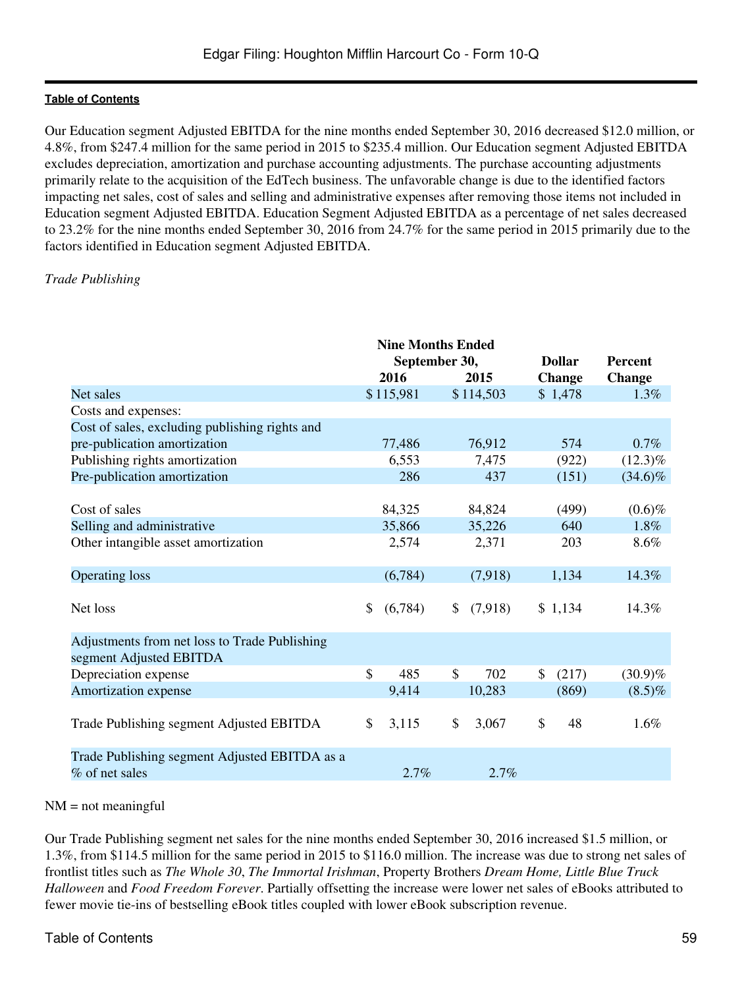Our Education segment Adjusted EBITDA for the nine months ended September 30, 2016 decreased \$12.0 million, or 4.8%, from \$247.4 million for the same period in 2015 to \$235.4 million. Our Education segment Adjusted EBITDA excludes depreciation, amortization and purchase accounting adjustments. The purchase accounting adjustments primarily relate to the acquisition of the EdTech business. The unfavorable change is due to the identified factors impacting net sales, cost of sales and selling and administrative expenses after removing those items not included in Education segment Adjusted EBITDA. Education Segment Adjusted EBITDA as a percentage of net sales decreased to 23.2% for the nine months ended September 30, 2016 from 24.7% for the same period in 2015 primarily due to the factors identified in Education segment Adjusted EBITDA.

# *Trade Publishing*

|                                                                          | <b>Nine Months Ended</b><br>September 30, |           |    | <b>Dollar</b> |    | <b>Percent</b> |               |
|--------------------------------------------------------------------------|-------------------------------------------|-----------|----|---------------|----|----------------|---------------|
|                                                                          |                                           | 2016      |    | 2015          |    | <b>Change</b>  | <b>Change</b> |
| Net sales                                                                |                                           | \$115,981 |    | \$114,503     |    | \$1,478        | 1.3%          |
| Costs and expenses:                                                      |                                           |           |    |               |    |                |               |
| Cost of sales, excluding publishing rights and                           |                                           |           |    |               |    |                |               |
| pre-publication amortization                                             |                                           | 77,486    |    | 76,912        |    | 574            | 0.7%          |
| Publishing rights amortization                                           |                                           | 6,553     |    | 7,475         |    | (922)          | $(12.3)\%$    |
| Pre-publication amortization                                             |                                           | 286       |    | 437           |    | (151)          | $(34.6)\%$    |
|                                                                          |                                           |           |    |               |    |                |               |
| Cost of sales                                                            |                                           | 84,325    |    | 84,824        |    | (499)          | $(0.6)\%$     |
| Selling and administrative                                               |                                           | 35,866    |    | 35,226        |    | 640            | 1.8%          |
| Other intangible asset amortization                                      |                                           | 2,574     |    | 2,371         |    | 203            | 8.6%          |
| <b>Operating loss</b>                                                    |                                           | (6,784)   |    | (7,918)       |    | 1,134          | 14.3%         |
|                                                                          |                                           |           |    |               |    |                |               |
| Net loss                                                                 | \$                                        | (6,784)   | \$ | (7,918)       |    | \$1,134        | 14.3%         |
| Adjustments from net loss to Trade Publishing<br>segment Adjusted EBITDA |                                           |           |    |               |    |                |               |
| Depreciation expense                                                     | $\mathcal{S}$                             | 485       | \$ | 702           | \$ | (217)          | $(30.9)\%$    |
| Amortization expense                                                     |                                           | 9,414     |    | 10,283        |    | (869)          | $(8.5)\%$     |
| Trade Publishing segment Adjusted EBITDA                                 | \$                                        | 3,115     | \$ | 3,067         | \$ | 48             | 1.6%          |
| Trade Publishing segment Adjusted EBITDA as a<br>% of net sales          |                                           | 2.7%      |    | 2.7%          |    |                |               |

#### $NM = not meaningful$

Our Trade Publishing segment net sales for the nine months ended September 30, 2016 increased \$1.5 million, or 1.3%, from \$114.5 million for the same period in 2015 to \$116.0 million. The increase was due to strong net sales of frontlist titles such as *The Whole 30*, *The Immortal Irishman*, Property Brothers *Dream Home, Little Blue Truck Halloween* and *Food Freedom Forever*. Partially offsetting the increase were lower net sales of eBooks attributed to fewer movie tie-ins of bestselling eBook titles coupled with lower eBook subscription revenue.

# Table of Contents 59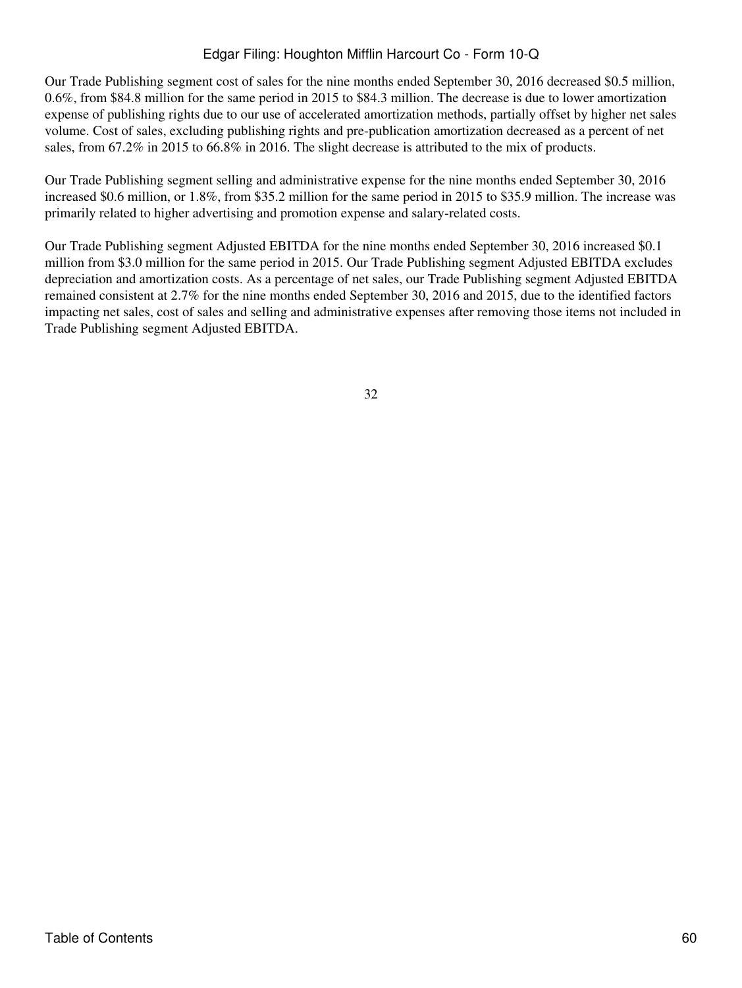Our Trade Publishing segment cost of sales for the nine months ended September 30, 2016 decreased \$0.5 million, 0.6%, from \$84.8 million for the same period in 2015 to \$84.3 million. The decrease is due to lower amortization expense of publishing rights due to our use of accelerated amortization methods, partially offset by higher net sales volume. Cost of sales, excluding publishing rights and pre-publication amortization decreased as a percent of net sales, from 67.2% in 2015 to 66.8% in 2016. The slight decrease is attributed to the mix of products.

Our Trade Publishing segment selling and administrative expense for the nine months ended September 30, 2016 increased \$0.6 million, or 1.8%, from \$35.2 million for the same period in 2015 to \$35.9 million. The increase was primarily related to higher advertising and promotion expense and salary-related costs.

Our Trade Publishing segment Adjusted EBITDA for the nine months ended September 30, 2016 increased \$0.1 million from \$3.0 million for the same period in 2015. Our Trade Publishing segment Adjusted EBITDA excludes depreciation and amortization costs. As a percentage of net sales, our Trade Publishing segment Adjusted EBITDA remained consistent at 2.7% for the nine months ended September 30, 2016 and 2015, due to the identified factors impacting net sales, cost of sales and selling and administrative expenses after removing those items not included in Trade Publishing segment Adjusted EBITDA.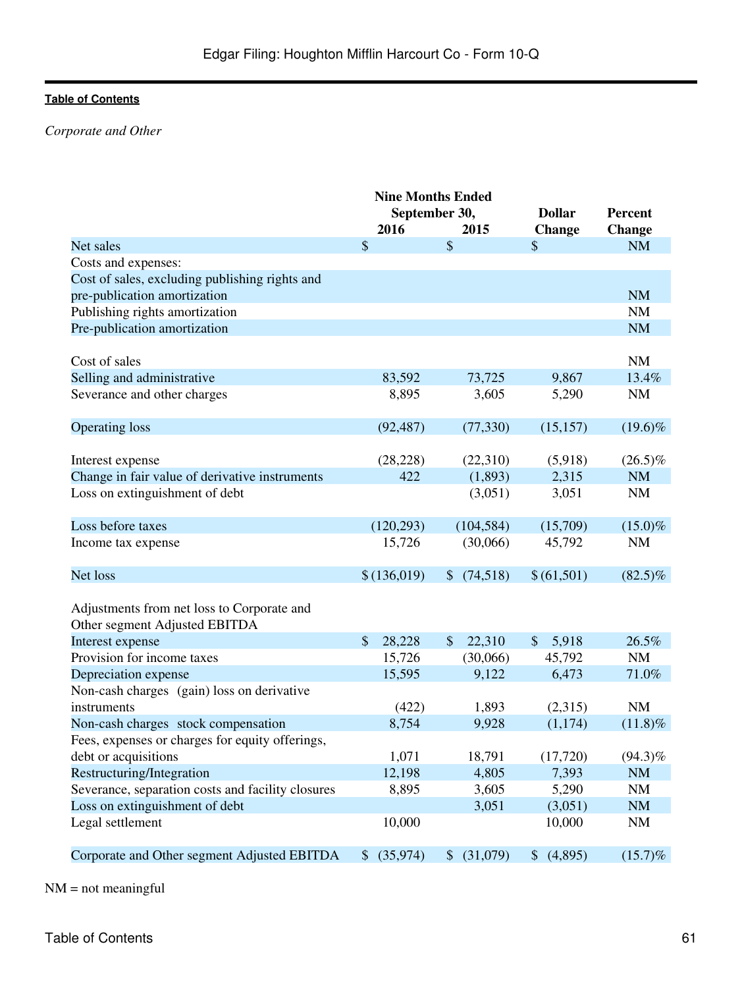# *Corporate and Other*

|                           |                           | <b>Dollar</b>                                                         | <b>Percent</b>                         |
|---------------------------|---------------------------|-----------------------------------------------------------------------|----------------------------------------|
| 2016                      | 2015                      | <b>Change</b>                                                         | <b>Change</b>                          |
| $\mathcal{S}$             | \$                        | $\mathcal{S}$                                                         | <b>NM</b>                              |
|                           |                           |                                                                       |                                        |
|                           |                           |                                                                       |                                        |
|                           |                           |                                                                       | <b>NM</b>                              |
|                           |                           |                                                                       | NM                                     |
|                           |                           |                                                                       | <b>NM</b>                              |
|                           |                           |                                                                       |                                        |
|                           |                           |                                                                       | NM                                     |
| 83,592                    | 73,725                    | 9,867                                                                 | 13.4%                                  |
| 8,895                     | 3,605                     | 5,290                                                                 | <b>NM</b>                              |
|                           |                           |                                                                       |                                        |
| (92, 487)                 | (77, 330)                 | (15, 157)                                                             | $(19.6)\%$                             |
|                           |                           |                                                                       |                                        |
| (28, 228)                 | (22,310)                  | (5,918)                                                               | $(26.5)\%$                             |
| 422                       | (1,893)                   | 2,315                                                                 | <b>NM</b>                              |
|                           | (3,051)                   | 3,051                                                                 | <b>NM</b>                              |
|                           |                           |                                                                       |                                        |
| (120, 293)                | (104, 584)                | (15,709)                                                              | $(15.0)\%$                             |
| 15,726                    | (30,066)                  | 45,792                                                                | <b>NM</b>                              |
|                           |                           |                                                                       |                                        |
| \$(136,019)               | (74,518)<br>$\mathcal{S}$ | \$(61,501)                                                            | $(82.5)\%$                             |
|                           |                           |                                                                       |                                        |
|                           |                           |                                                                       |                                        |
|                           |                           |                                                                       |                                        |
| $\mathcal{S}$<br>28,228   | 22,310<br>\$              | $\mathcal{S}$<br>5,918                                                | 26.5%                                  |
| 15,726                    | (30,066)                  | 45,792                                                                | <b>NM</b>                              |
| 15,595                    | 9,122                     |                                                                       | 71.0%                                  |
|                           |                           |                                                                       |                                        |
|                           |                           |                                                                       | <b>NM</b>                              |
| 8,754                     | 9,928                     | (1,174)                                                               | $(11.8)\%$                             |
|                           |                           |                                                                       |                                        |
|                           |                           |                                                                       | $(94.3)\%$                             |
| 12,198                    |                           | 7,393                                                                 | <b>NM</b>                              |
| 8,895                     | 3,605                     |                                                                       | <b>NM</b>                              |
|                           | 3,051                     | (3,051)                                                               | NM                                     |
| 10,000                    |                           | 10,000                                                                | <b>NM</b>                              |
|                           |                           |                                                                       |                                        |
| (35,974)<br>$\mathcal{S}$ | (31,079)<br>$\mathcal{S}$ | \$(4,895)                                                             | $(15.7)\%$                             |
|                           | (422)<br>1,071            | <b>Nine Months Ended</b><br>September 30,<br>1,893<br>18,791<br>4,805 | 6,473<br>(2,315)<br>(17, 720)<br>5,290 |

NM = not meaningful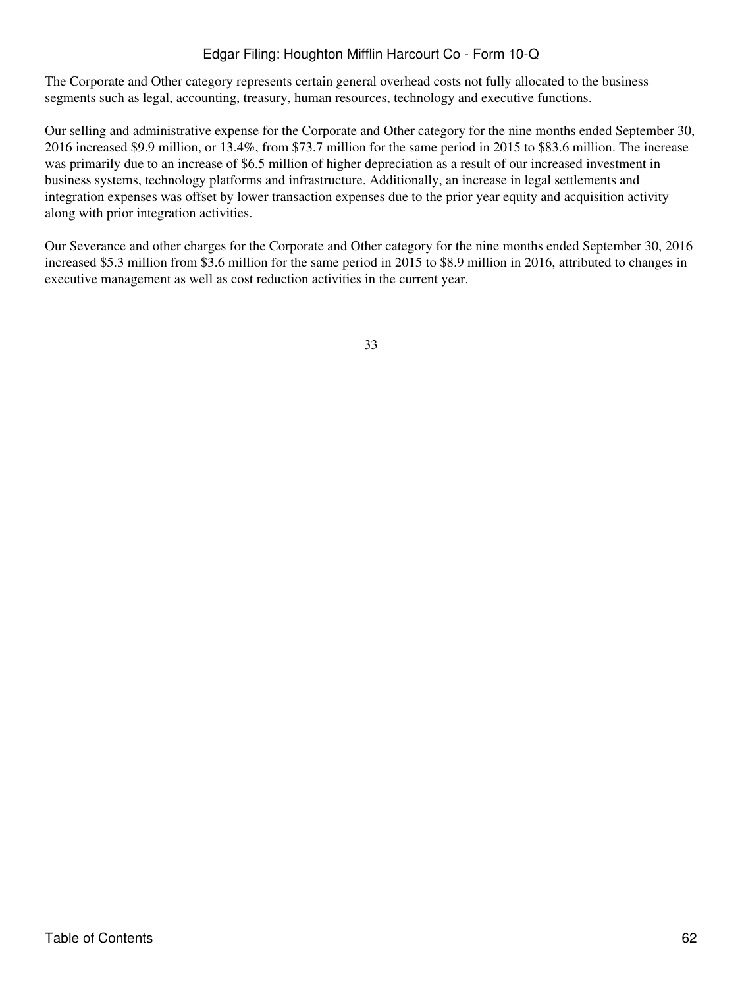The Corporate and Other category represents certain general overhead costs not fully allocated to the business segments such as legal, accounting, treasury, human resources, technology and executive functions.

Our selling and administrative expense for the Corporate and Other category for the nine months ended September 30, 2016 increased \$9.9 million, or 13.4%, from \$73.7 million for the same period in 2015 to \$83.6 million. The increase was primarily due to an increase of \$6.5 million of higher depreciation as a result of our increased investment in business systems, technology platforms and infrastructure. Additionally, an increase in legal settlements and integration expenses was offset by lower transaction expenses due to the prior year equity and acquisition activity along with prior integration activities.

Our Severance and other charges for the Corporate and Other category for the nine months ended September 30, 2016 increased \$5.3 million from \$3.6 million for the same period in 2015 to \$8.9 million in 2016, attributed to changes in executive management as well as cost reduction activities in the current year.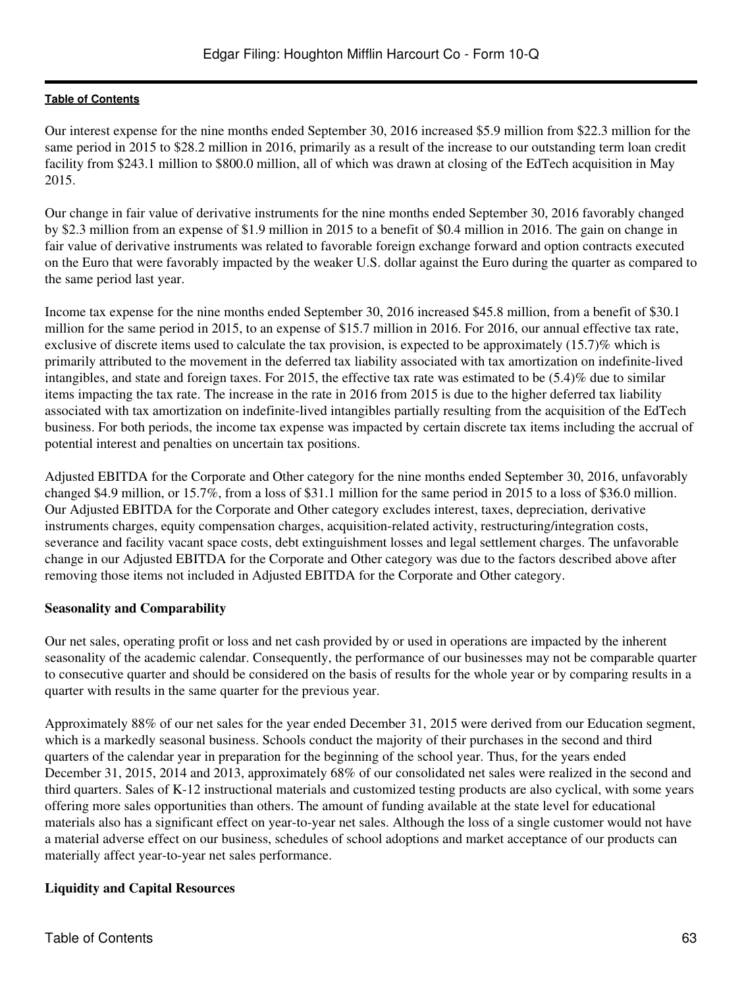Our interest expense for the nine months ended September 30, 2016 increased \$5.9 million from \$22.3 million for the same period in 2015 to \$28.2 million in 2016, primarily as a result of the increase to our outstanding term loan credit facility from \$243.1 million to \$800.0 million, all of which was drawn at closing of the EdTech acquisition in May 2015.

Our change in fair value of derivative instruments for the nine months ended September 30, 2016 favorably changed by \$2.3 million from an expense of \$1.9 million in 2015 to a benefit of \$0.4 million in 2016. The gain on change in fair value of derivative instruments was related to favorable foreign exchange forward and option contracts executed on the Euro that were favorably impacted by the weaker U.S. dollar against the Euro during the quarter as compared to the same period last year.

Income tax expense for the nine months ended September 30, 2016 increased \$45.8 million, from a benefit of \$30.1 million for the same period in 2015, to an expense of \$15.7 million in 2016. For 2016, our annual effective tax rate, exclusive of discrete items used to calculate the tax provision, is expected to be approximately (15.7)% which is primarily attributed to the movement in the deferred tax liability associated with tax amortization on indefinite-lived intangibles, and state and foreign taxes. For 2015, the effective tax rate was estimated to be (5.4)% due to similar items impacting the tax rate. The increase in the rate in 2016 from 2015 is due to the higher deferred tax liability associated with tax amortization on indefinite-lived intangibles partially resulting from the acquisition of the EdTech business. For both periods, the income tax expense was impacted by certain discrete tax items including the accrual of potential interest and penalties on uncertain tax positions.

Adjusted EBITDA for the Corporate and Other category for the nine months ended September 30, 2016, unfavorably changed \$4.9 million, or 15.7%, from a loss of \$31.1 million for the same period in 2015 to a loss of \$36.0 million. Our Adjusted EBITDA for the Corporate and Other category excludes interest, taxes, depreciation, derivative instruments charges, equity compensation charges, acquisition-related activity, restructuring/integration costs, severance and facility vacant space costs, debt extinguishment losses and legal settlement charges. The unfavorable change in our Adjusted EBITDA for the Corporate and Other category was due to the factors described above after removing those items not included in Adjusted EBITDA for the Corporate and Other category.

# **Seasonality and Comparability**

Our net sales, operating profit or loss and net cash provided by or used in operations are impacted by the inherent seasonality of the academic calendar. Consequently, the performance of our businesses may not be comparable quarter to consecutive quarter and should be considered on the basis of results for the whole year or by comparing results in a quarter with results in the same quarter for the previous year.

Approximately 88% of our net sales for the year ended December 31, 2015 were derived from our Education segment, which is a markedly seasonal business. Schools conduct the majority of their purchases in the second and third quarters of the calendar year in preparation for the beginning of the school year. Thus, for the years ended December 31, 2015, 2014 and 2013, approximately 68% of our consolidated net sales were realized in the second and third quarters. Sales of K-12 instructional materials and customized testing products are also cyclical, with some years offering more sales opportunities than others. The amount of funding available at the state level for educational materials also has a significant effect on year-to-year net sales. Although the loss of a single customer would not have a material adverse effect on our business, schedules of school adoptions and market acceptance of our products can materially affect year-to-year net sales performance.

# **Liquidity and Capital Resources**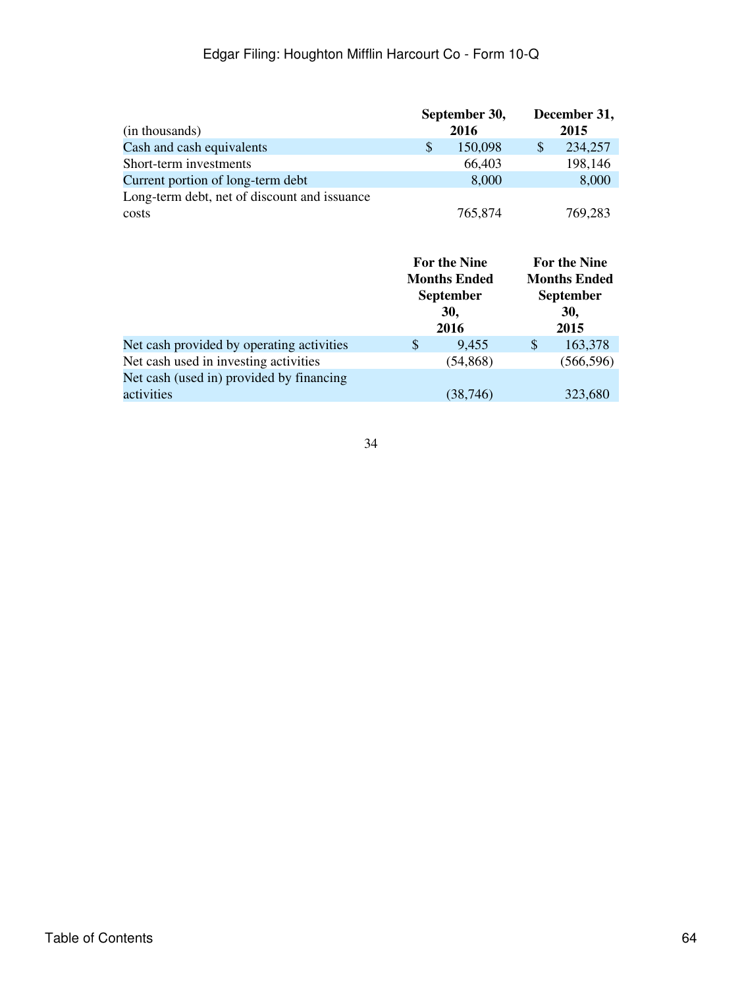|                                              |   | September 30, | December 31, |
|----------------------------------------------|---|---------------|--------------|
| (in thousands)                               |   | 2016          | 2015         |
| Cash and cash equivalents                    | S | 150,098       | 234,257      |
| Short-term investments                       |   | 66,403        | 198,146      |
| Current portion of long-term debt            |   | 8,000         | 8,000        |
| Long-term debt, net of discount and issuance |   |               |              |
| costs                                        |   | 765,874       | 769,283      |

|                                           | For the Nine<br><b>Months Ended</b><br><b>September</b><br>30,<br>2016 |           | <b>For the Nine</b><br><b>Months Ended</b><br><b>September</b><br>30,<br>2015 |            |
|-------------------------------------------|------------------------------------------------------------------------|-----------|-------------------------------------------------------------------------------|------------|
| Net cash provided by operating activities | \$                                                                     | 9,455     | $\mathcal{S}$                                                                 | 163,378    |
| Net cash used in investing activities     |                                                                        | (54, 868) |                                                                               | (566, 596) |
| Net cash (used in) provided by financing  |                                                                        |           |                                                                               |            |
| activities                                |                                                                        | (38, 746) |                                                                               | 323,680    |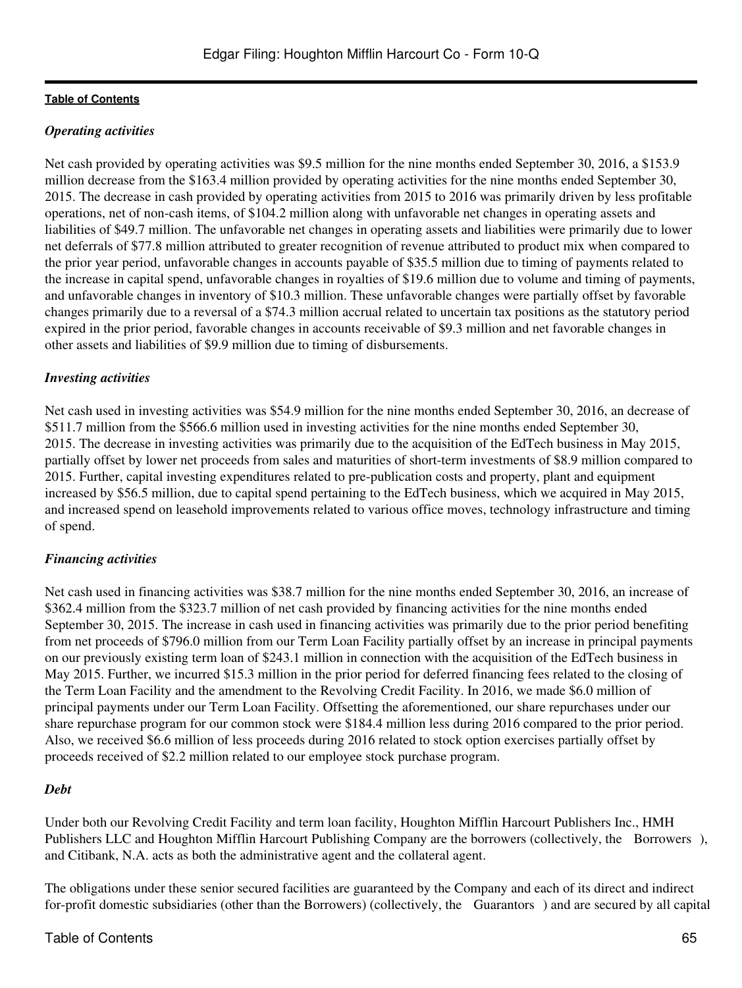# *Operating activities*

Net cash provided by operating activities was \$9.5 million for the nine months ended September 30, 2016, a \$153.9 million decrease from the \$163.4 million provided by operating activities for the nine months ended September 30, 2015. The decrease in cash provided by operating activities from 2015 to 2016 was primarily driven by less profitable operations, net of non-cash items, of \$104.2 million along with unfavorable net changes in operating assets and liabilities of \$49.7 million. The unfavorable net changes in operating assets and liabilities were primarily due to lower net deferrals of \$77.8 million attributed to greater recognition of revenue attributed to product mix when compared to the prior year period, unfavorable changes in accounts payable of \$35.5 million due to timing of payments related to the increase in capital spend, unfavorable changes in royalties of \$19.6 million due to volume and timing of payments, and unfavorable changes in inventory of \$10.3 million. These unfavorable changes were partially offset by favorable changes primarily due to a reversal of a \$74.3 million accrual related to uncertain tax positions as the statutory period expired in the prior period, favorable changes in accounts receivable of \$9.3 million and net favorable changes in other assets and liabilities of \$9.9 million due to timing of disbursements.

# *Investing activities*

Net cash used in investing activities was \$54.9 million for the nine months ended September 30, 2016, an decrease of \$511.7 million from the \$566.6 million used in investing activities for the nine months ended September 30, 2015. The decrease in investing activities was primarily due to the acquisition of the EdTech business in May 2015, partially offset by lower net proceeds from sales and maturities of short-term investments of \$8.9 million compared to 2015. Further, capital investing expenditures related to pre-publication costs and property, plant and equipment increased by \$56.5 million, due to capital spend pertaining to the EdTech business, which we acquired in May 2015, and increased spend on leasehold improvements related to various office moves, technology infrastructure and timing of spend.

# *Financing activities*

Net cash used in financing activities was \$38.7 million for the nine months ended September 30, 2016, an increase of \$362.4 million from the \$323.7 million of net cash provided by financing activities for the nine months ended September 30, 2015. The increase in cash used in financing activities was primarily due to the prior period benefiting from net proceeds of \$796.0 million from our Term Loan Facility partially offset by an increase in principal payments on our previously existing term loan of \$243.1 million in connection with the acquisition of the EdTech business in May 2015. Further, we incurred \$15.3 million in the prior period for deferred financing fees related to the closing of the Term Loan Facility and the amendment to the Revolving Credit Facility. In 2016, we made \$6.0 million of principal payments under our Term Loan Facility. Offsetting the aforementioned, our share repurchases under our share repurchase program for our common stock were \$184.4 million less during 2016 compared to the prior period. Also, we received \$6.6 million of less proceeds during 2016 related to stock option exercises partially offset by proceeds received of \$2.2 million related to our employee stock purchase program.

#### *Debt*

Under both our Revolving Credit Facility and term loan facility, Houghton Mifflin Harcourt Publishers Inc., HMH Publishers LLC and Houghton Mifflin Harcourt Publishing Company are the borrowers (collectively, the Borrowers), and Citibank, N.A. acts as both the administrative agent and the collateral agent.

The obligations under these senior secured facilities are guaranteed by the Company and each of its direct and indirect for-profit domestic subsidiaries (other than the Borrowers) (collectively, the Guarantors) and are secured by all capital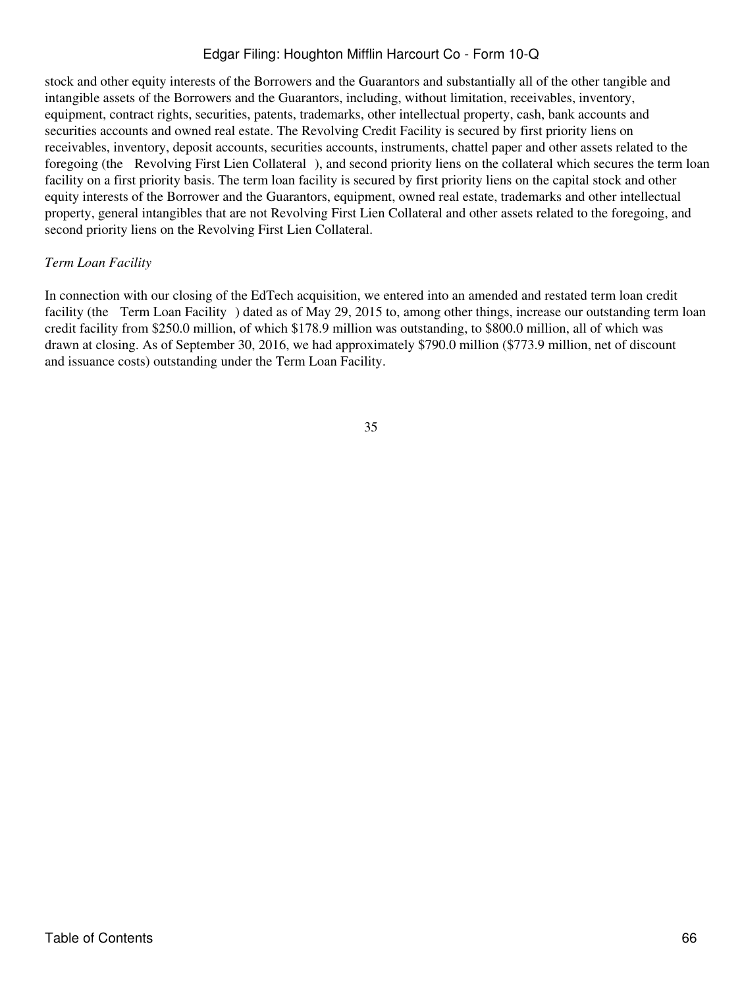stock and other equity interests of the Borrowers and the Guarantors and substantially all of the other tangible and intangible assets of the Borrowers and the Guarantors, including, without limitation, receivables, inventory, equipment, contract rights, securities, patents, trademarks, other intellectual property, cash, bank accounts and securities accounts and owned real estate. The Revolving Credit Facility is secured by first priority liens on receivables, inventory, deposit accounts, securities accounts, instruments, chattel paper and other assets related to the foregoing (the Revolving First Lien Collateral), and second priority liens on the collateral which secures the term loan facility on a first priority basis. The term loan facility is secured by first priority liens on the capital stock and other equity interests of the Borrower and the Guarantors, equipment, owned real estate, trademarks and other intellectual property, general intangibles that are not Revolving First Lien Collateral and other assets related to the foregoing, and second priority liens on the Revolving First Lien Collateral.

### *Term Loan Facility*

In connection with our closing of the EdTech acquisition, we entered into an amended and restated term loan credit facility (the Term Loan Facility) dated as of May 29, 2015 to, among other things, increase our outstanding term loan credit facility from \$250.0 million, of which \$178.9 million was outstanding, to \$800.0 million, all of which was drawn at closing. As of September 30, 2016, we had approximately \$790.0 million (\$773.9 million, net of discount and issuance costs) outstanding under the Term Loan Facility.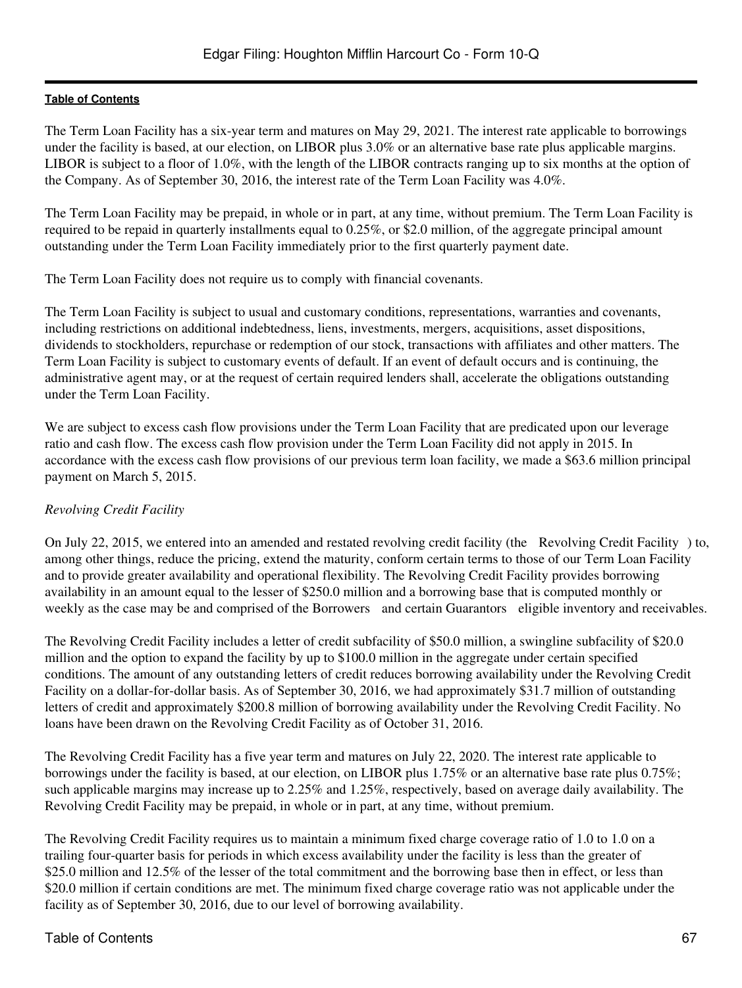The Term Loan Facility has a six-year term and matures on May 29, 2021. The interest rate applicable to borrowings under the facility is based, at our election, on LIBOR plus 3.0% or an alternative base rate plus applicable margins. LIBOR is subject to a floor of 1.0%, with the length of the LIBOR contracts ranging up to six months at the option of the Company. As of September 30, 2016, the interest rate of the Term Loan Facility was 4.0%.

The Term Loan Facility may be prepaid, in whole or in part, at any time, without premium. The Term Loan Facility is required to be repaid in quarterly installments equal to 0.25%, or \$2.0 million, of the aggregate principal amount outstanding under the Term Loan Facility immediately prior to the first quarterly payment date.

The Term Loan Facility does not require us to comply with financial covenants.

The Term Loan Facility is subject to usual and customary conditions, representations, warranties and covenants, including restrictions on additional indebtedness, liens, investments, mergers, acquisitions, asset dispositions, dividends to stockholders, repurchase or redemption of our stock, transactions with affiliates and other matters. The Term Loan Facility is subject to customary events of default. If an event of default occurs and is continuing, the administrative agent may, or at the request of certain required lenders shall, accelerate the obligations outstanding under the Term Loan Facility.

We are subject to excess cash flow provisions under the Term Loan Facility that are predicated upon our leverage ratio and cash flow. The excess cash flow provision under the Term Loan Facility did not apply in 2015. In accordance with the excess cash flow provisions of our previous term loan facility, we made a \$63.6 million principal payment on March 5, 2015.

# *Revolving Credit Facility*

On July 22, 2015, we entered into an amended and restated revolving credit facility (the Revolving Credit Facility) to, among other things, reduce the pricing, extend the maturity, conform certain terms to those of our Term Loan Facility and to provide greater availability and operational flexibility. The Revolving Credit Facility provides borrowing availability in an amount equal to the lesser of \$250.0 million and a borrowing base that is computed monthly or weekly as the case may be and comprised of the Borrowers and certain Guarantors eligible inventory and receivables.

The Revolving Credit Facility includes a letter of credit subfacility of \$50.0 million, a swingline subfacility of \$20.0 million and the option to expand the facility by up to \$100.0 million in the aggregate under certain specified conditions. The amount of any outstanding letters of credit reduces borrowing availability under the Revolving Credit Facility on a dollar-for-dollar basis. As of September 30, 2016, we had approximately \$31.7 million of outstanding letters of credit and approximately \$200.8 million of borrowing availability under the Revolving Credit Facility. No loans have been drawn on the Revolving Credit Facility as of October 31, 2016.

The Revolving Credit Facility has a five year term and matures on July 22, 2020. The interest rate applicable to borrowings under the facility is based, at our election, on LIBOR plus 1.75% or an alternative base rate plus 0.75%; such applicable margins may increase up to 2.25% and 1.25%, respectively, based on average daily availability. The Revolving Credit Facility may be prepaid, in whole or in part, at any time, without premium.

The Revolving Credit Facility requires us to maintain a minimum fixed charge coverage ratio of 1.0 to 1.0 on a trailing four-quarter basis for periods in which excess availability under the facility is less than the greater of \$25.0 million and 12.5% of the lesser of the total commitment and the borrowing base then in effect, or less than \$20.0 million if certain conditions are met. The minimum fixed charge coverage ratio was not applicable under the facility as of September 30, 2016, due to our level of borrowing availability.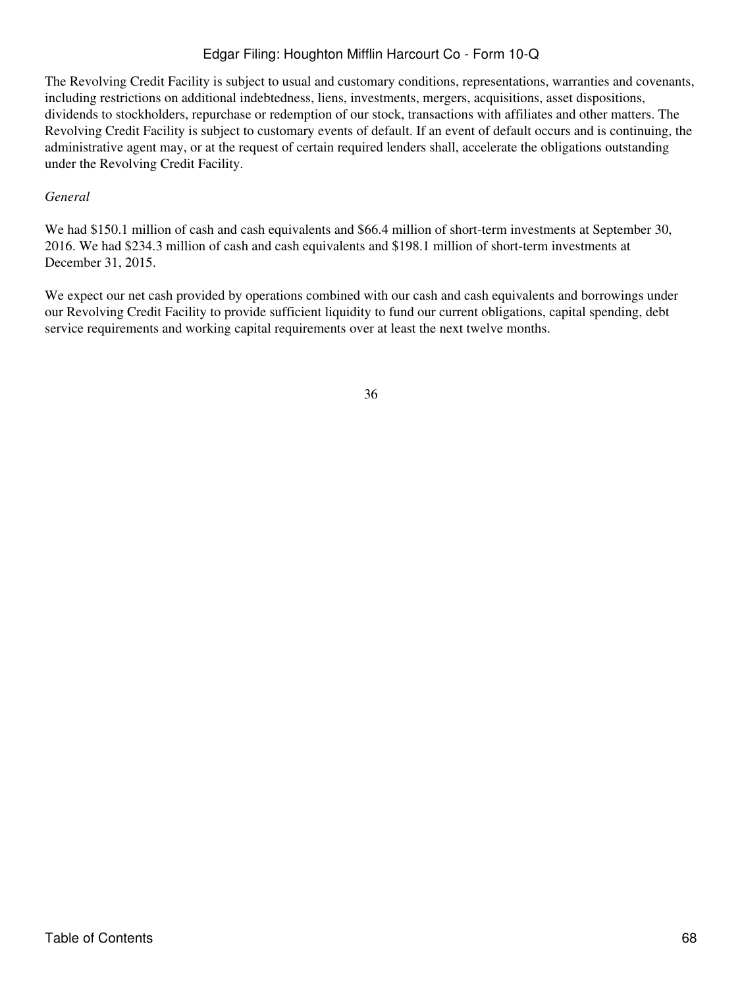The Revolving Credit Facility is subject to usual and customary conditions, representations, warranties and covenants, including restrictions on additional indebtedness, liens, investments, mergers, acquisitions, asset dispositions, dividends to stockholders, repurchase or redemption of our stock, transactions with affiliates and other matters. The Revolving Credit Facility is subject to customary events of default. If an event of default occurs and is continuing, the administrative agent may, or at the request of certain required lenders shall, accelerate the obligations outstanding under the Revolving Credit Facility.

### *General*

We had \$150.1 million of cash and cash equivalents and \$66.4 million of short-term investments at September 30, 2016. We had \$234.3 million of cash and cash equivalents and \$198.1 million of short-term investments at December 31, 2015.

We expect our net cash provided by operations combined with our cash and cash equivalents and borrowings under our Revolving Credit Facility to provide sufficient liquidity to fund our current obligations, capital spending, debt service requirements and working capital requirements over at least the next twelve months.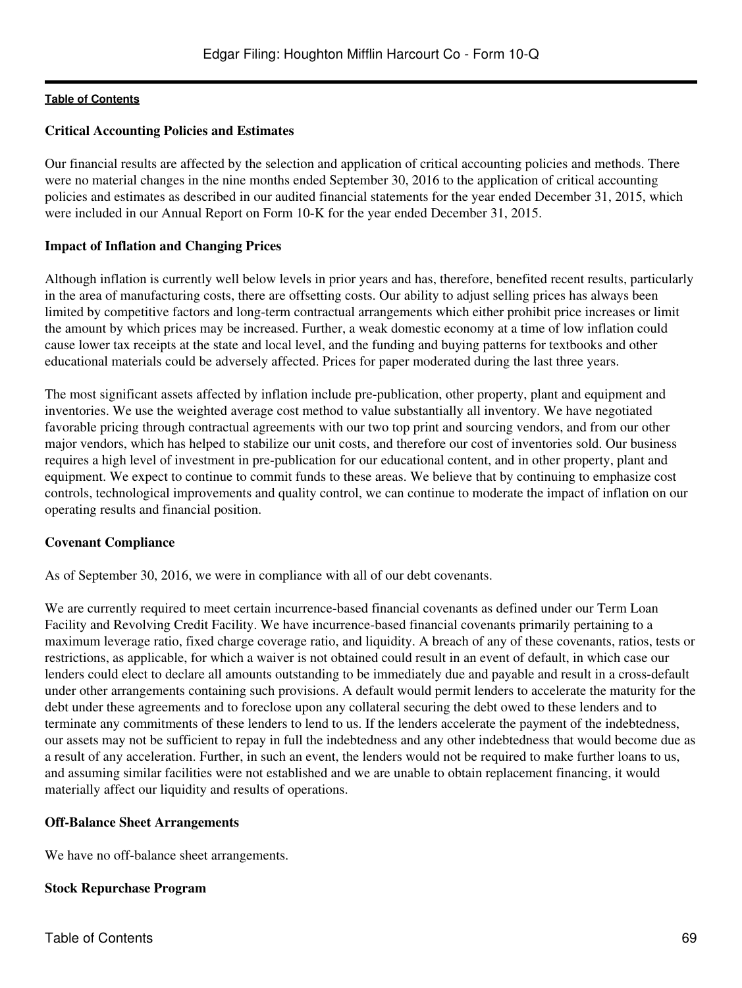### **Critical Accounting Policies and Estimates**

Our financial results are affected by the selection and application of critical accounting policies and methods. There were no material changes in the nine months ended September 30, 2016 to the application of critical accounting policies and estimates as described in our audited financial statements for the year ended December 31, 2015, which were included in our Annual Report on Form 10-K for the year ended December 31, 2015.

### **Impact of Inflation and Changing Prices**

Although inflation is currently well below levels in prior years and has, therefore, benefited recent results, particularly in the area of manufacturing costs, there are offsetting costs. Our ability to adjust selling prices has always been limited by competitive factors and long-term contractual arrangements which either prohibit price increases or limit the amount by which prices may be increased. Further, a weak domestic economy at a time of low inflation could cause lower tax receipts at the state and local level, and the funding and buying patterns for textbooks and other educational materials could be adversely affected. Prices for paper moderated during the last three years.

The most significant assets affected by inflation include pre-publication, other property, plant and equipment and inventories. We use the weighted average cost method to value substantially all inventory. We have negotiated favorable pricing through contractual agreements with our two top print and sourcing vendors, and from our other major vendors, which has helped to stabilize our unit costs, and therefore our cost of inventories sold. Our business requires a high level of investment in pre-publication for our educational content, and in other property, plant and equipment. We expect to continue to commit funds to these areas. We believe that by continuing to emphasize cost controls, technological improvements and quality control, we can continue to moderate the impact of inflation on our operating results and financial position.

#### **Covenant Compliance**

As of September 30, 2016, we were in compliance with all of our debt covenants.

We are currently required to meet certain incurrence-based financial covenants as defined under our Term Loan Facility and Revolving Credit Facility. We have incurrence-based financial covenants primarily pertaining to a maximum leverage ratio, fixed charge coverage ratio, and liquidity. A breach of any of these covenants, ratios, tests or restrictions, as applicable, for which a waiver is not obtained could result in an event of default, in which case our lenders could elect to declare all amounts outstanding to be immediately due and payable and result in a cross-default under other arrangements containing such provisions. A default would permit lenders to accelerate the maturity for the debt under these agreements and to foreclose upon any collateral securing the debt owed to these lenders and to terminate any commitments of these lenders to lend to us. If the lenders accelerate the payment of the indebtedness, our assets may not be sufficient to repay in full the indebtedness and any other indebtedness that would become due as a result of any acceleration. Further, in such an event, the lenders would not be required to make further loans to us, and assuming similar facilities were not established and we are unable to obtain replacement financing, it would materially affect our liquidity and results of operations.

#### **Off-Balance Sheet Arrangements**

We have no off-balance sheet arrangements.

# **Stock Repurchase Program**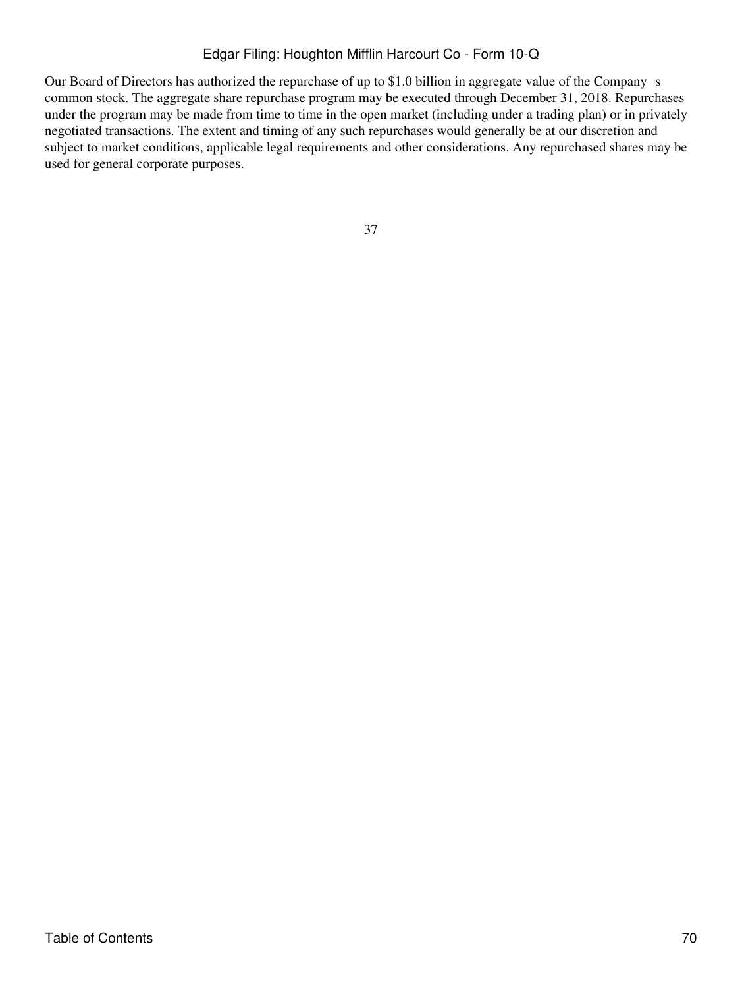Our Board of Directors has authorized the repurchase of up to \$1.0 billion in aggregate value of the Company s common stock. The aggregate share repurchase program may be executed through December 31, 2018. Repurchases under the program may be made from time to time in the open market (including under a trading plan) or in privately negotiated transactions. The extent and timing of any such repurchases would generally be at our discretion and subject to market conditions, applicable legal requirements and other considerations. Any repurchased shares may be used for general corporate purposes.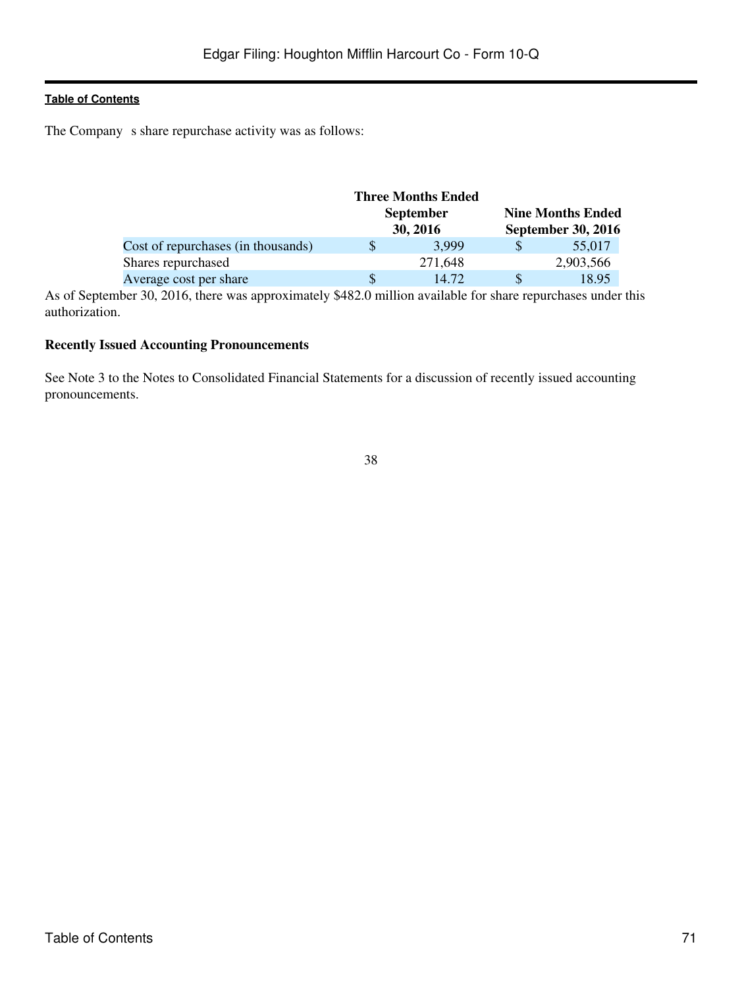The Company s share repurchase activity was as follows:

|                                    |                              | <b>Three Months Ended</b> |                          |                           |
|------------------------------------|------------------------------|---------------------------|--------------------------|---------------------------|
|                                    | <b>September</b><br>30, 2016 |                           | <b>Nine Months Ended</b> |                           |
|                                    |                              |                           |                          | <b>September 30, 2016</b> |
| Cost of repurchases (in thousands) |                              | 3.999                     |                          | 55,017                    |
| Shares repurchased                 |                              | 271,648                   |                          | 2,903,566                 |
| Average cost per share             |                              | 14.72                     |                          | 18.95                     |

As of September 30, 2016, there was approximately \$482.0 million available for share repurchases under this authorization.

### **Recently Issued Accounting Pronouncements**

See Note 3 to the Notes to Consolidated Financial Statements for a discussion of recently issued accounting pronouncements.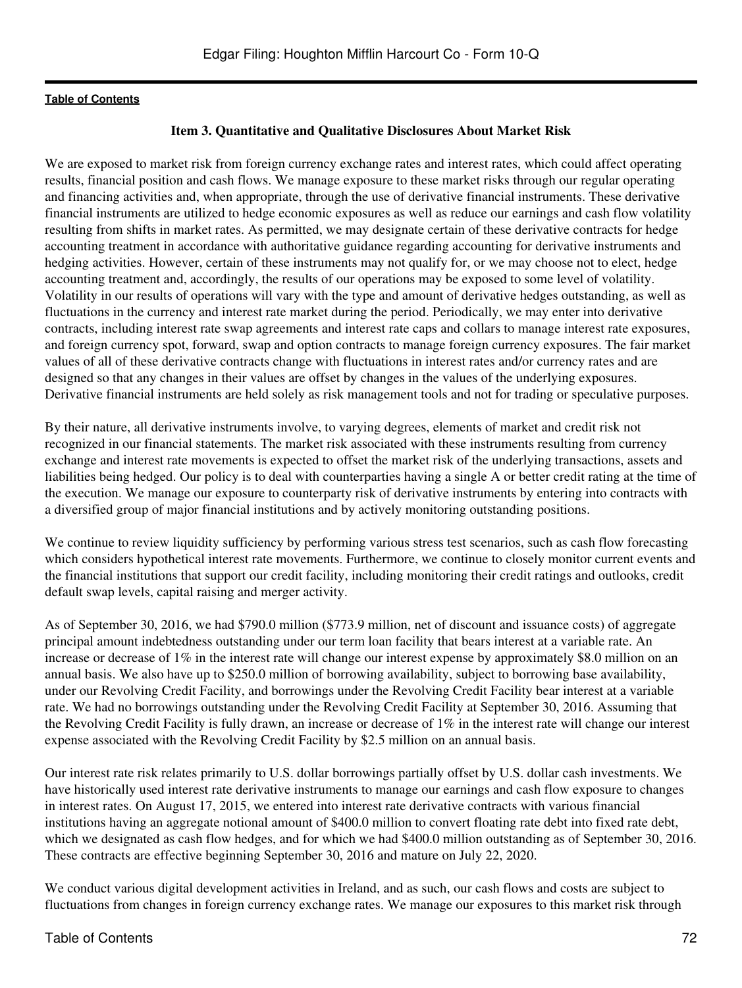# **Item 3. Quantitative and Qualitative Disclosures About Market Risk**

We are exposed to market risk from foreign currency exchange rates and interest rates, which could affect operating results, financial position and cash flows. We manage exposure to these market risks through our regular operating and financing activities and, when appropriate, through the use of derivative financial instruments. These derivative financial instruments are utilized to hedge economic exposures as well as reduce our earnings and cash flow volatility resulting from shifts in market rates. As permitted, we may designate certain of these derivative contracts for hedge accounting treatment in accordance with authoritative guidance regarding accounting for derivative instruments and hedging activities. However, certain of these instruments may not qualify for, or we may choose not to elect, hedge accounting treatment and, accordingly, the results of our operations may be exposed to some level of volatility. Volatility in our results of operations will vary with the type and amount of derivative hedges outstanding, as well as fluctuations in the currency and interest rate market during the period. Periodically, we may enter into derivative contracts, including interest rate swap agreements and interest rate caps and collars to manage interest rate exposures, and foreign currency spot, forward, swap and option contracts to manage foreign currency exposures. The fair market values of all of these derivative contracts change with fluctuations in interest rates and/or currency rates and are designed so that any changes in their values are offset by changes in the values of the underlying exposures. Derivative financial instruments are held solely as risk management tools and not for trading or speculative purposes.

By their nature, all derivative instruments involve, to varying degrees, elements of market and credit risk not recognized in our financial statements. The market risk associated with these instruments resulting from currency exchange and interest rate movements is expected to offset the market risk of the underlying transactions, assets and liabilities being hedged. Our policy is to deal with counterparties having a single A or better credit rating at the time of the execution. We manage our exposure to counterparty risk of derivative instruments by entering into contracts with a diversified group of major financial institutions and by actively monitoring outstanding positions.

We continue to review liquidity sufficiency by performing various stress test scenarios, such as cash flow forecasting which considers hypothetical interest rate movements. Furthermore, we continue to closely monitor current events and the financial institutions that support our credit facility, including monitoring their credit ratings and outlooks, credit default swap levels, capital raising and merger activity.

As of September 30, 2016, we had \$790.0 million (\$773.9 million, net of discount and issuance costs) of aggregate principal amount indebtedness outstanding under our term loan facility that bears interest at a variable rate. An increase or decrease of 1% in the interest rate will change our interest expense by approximately \$8.0 million on an annual basis. We also have up to \$250.0 million of borrowing availability, subject to borrowing base availability, under our Revolving Credit Facility, and borrowings under the Revolving Credit Facility bear interest at a variable rate. We had no borrowings outstanding under the Revolving Credit Facility at September 30, 2016. Assuming that the Revolving Credit Facility is fully drawn, an increase or decrease of 1% in the interest rate will change our interest expense associated with the Revolving Credit Facility by \$2.5 million on an annual basis.

Our interest rate risk relates primarily to U.S. dollar borrowings partially offset by U.S. dollar cash investments. We have historically used interest rate derivative instruments to manage our earnings and cash flow exposure to changes in interest rates. On August 17, 2015, we entered into interest rate derivative contracts with various financial institutions having an aggregate notional amount of \$400.0 million to convert floating rate debt into fixed rate debt, which we designated as cash flow hedges, and for which we had \$400.0 million outstanding as of September 30, 2016. These contracts are effective beginning September 30, 2016 and mature on July 22, 2020.

We conduct various digital development activities in Ireland, and as such, our cash flows and costs are subject to fluctuations from changes in foreign currency exchange rates. We manage our exposures to this market risk through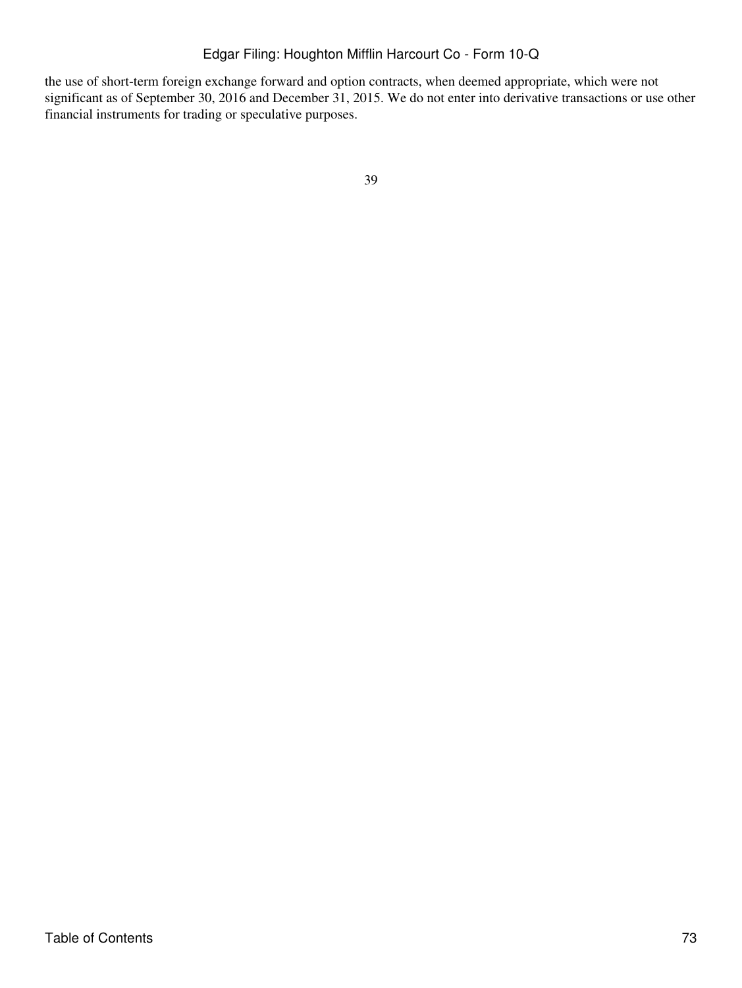the use of short-term foreign exchange forward and option contracts, when deemed appropriate, which were not significant as of September 30, 2016 and December 31, 2015. We do not enter into derivative transactions or use other financial instruments for trading or speculative purposes.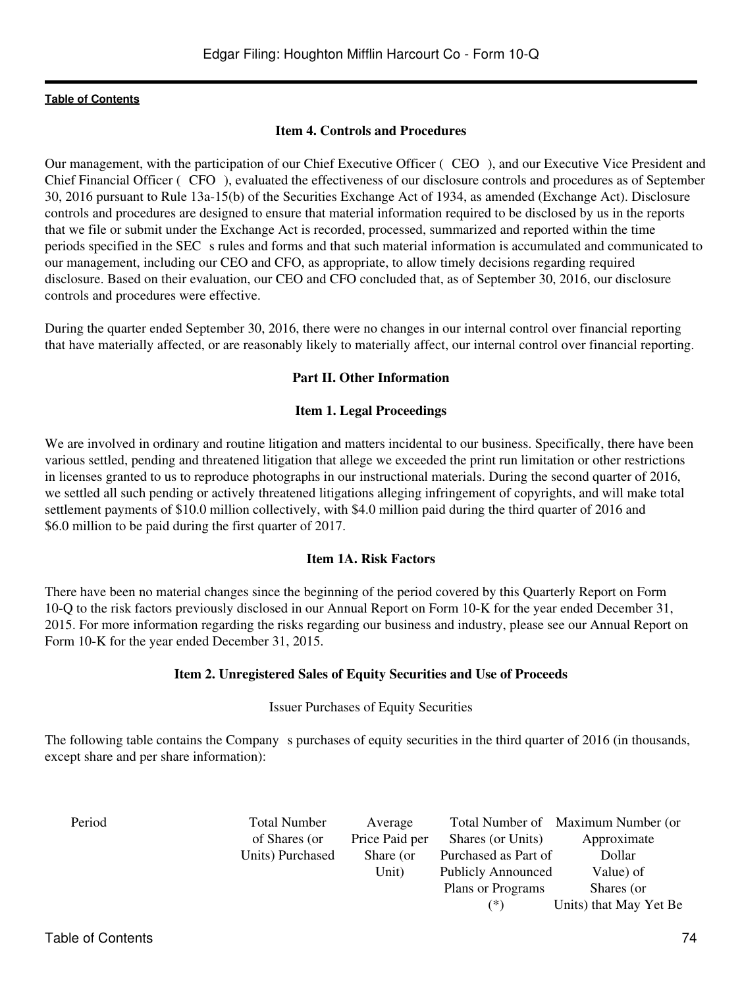## **[Table of Contents](#page-2-0)**

## **Item 4. Controls and Procedures**

Our management, with the participation of our Chief Executive Officer (CEO), and our Executive Vice President and Chief Financial Officer (CFO), evaluated the effectiveness of our disclosure controls and procedures as of September 30, 2016 pursuant to Rule 13a-15(b) of the Securities Exchange Act of 1934, as amended (Exchange Act). Disclosure controls and procedures are designed to ensure that material information required to be disclosed by us in the reports that we file or submit under the Exchange Act is recorded, processed, summarized and reported within the time periods specified in the SEC s rules and forms and that such material information is accumulated and communicated to our management, including our CEO and CFO, as appropriate, to allow timely decisions regarding required disclosure. Based on their evaluation, our CEO and CFO concluded that, as of September 30, 2016, our disclosure controls and procedures were effective.

During the quarter ended September 30, 2016, there were no changes in our internal control over financial reporting that have materially affected, or are reasonably likely to materially affect, our internal control over financial reporting.

# **Part II. Other Information**

## **Item 1. Legal Proceedings**

We are involved in ordinary and routine litigation and matters incidental to our business. Specifically, there have been various settled, pending and threatened litigation that allege we exceeded the print run limitation or other restrictions in licenses granted to us to reproduce photographs in our instructional materials. During the second quarter of 2016, we settled all such pending or actively threatened litigations alleging infringement of copyrights, and will make total settlement payments of \$10.0 million collectively, with \$4.0 million paid during the third quarter of 2016 and \$6.0 million to be paid during the first quarter of 2017.

## **Item 1A. Risk Factors**

There have been no material changes since the beginning of the period covered by this Quarterly Report on Form 10-Q to the risk factors previously disclosed in our Annual Report on Form 10-K for the year ended December 31, 2015. For more information regarding the risks regarding our business and industry, please see our Annual Report on Form 10-K for the year ended December 31, 2015.

## **Item 2. Unregistered Sales of Equity Securities and Use of Proceeds**

## Issuer Purchases of Equity Securities

The following table contains the Company s purchases of equity securities in the third quarter of 2016 (in thousands, except share and per share information):

| Period | <b>Total Number</b> | Average        |                           | Total Number of Maximum Number (or |
|--------|---------------------|----------------|---------------------------|------------------------------------|
|        | of Shares (or       | Price Paid per | Shares (or Units)         | Approximate                        |
|        | Units) Purchased    | Share (or      | Purchased as Part of      | Dollar                             |
|        |                     | Unit)          | <b>Publicly Announced</b> | Value) of                          |
|        |                     |                | Plans or Programs         | Shares (or                         |
|        |                     |                | (*)                       | Units) that May Yet Be             |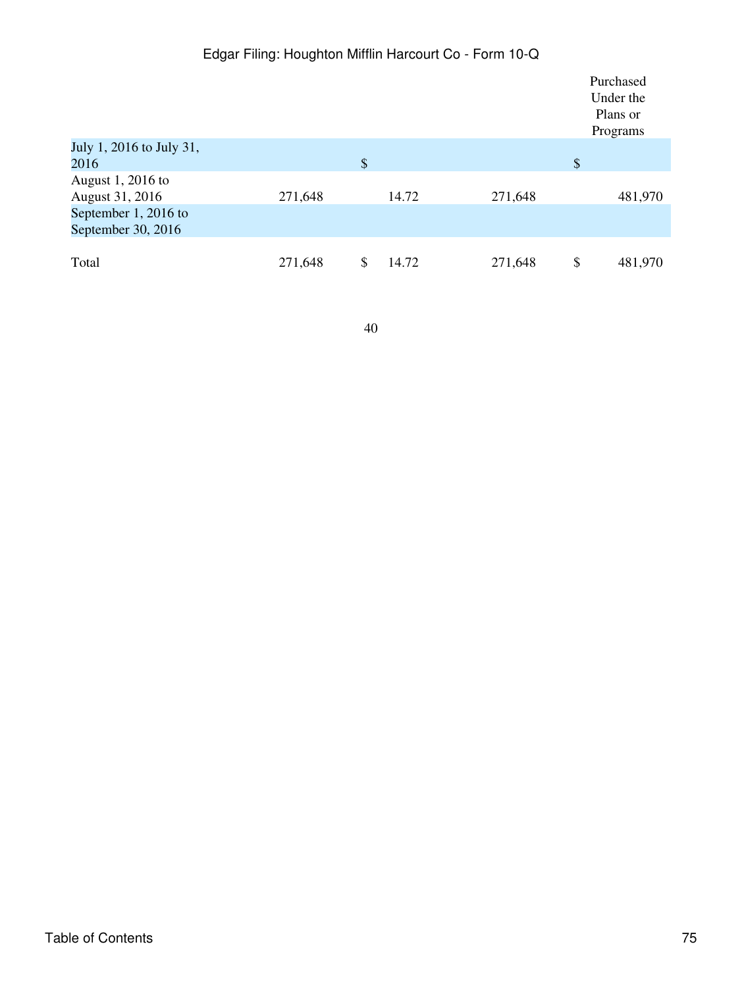|                                            |         |                           |       |         | Purchased<br>Under the<br>Plans or<br>Programs |
|--------------------------------------------|---------|---------------------------|-------|---------|------------------------------------------------|
| July 1, 2016 to July 31,<br>2016           |         | $\boldsymbol{\mathsf{S}}$ |       |         | \$                                             |
| August 1, 2016 to<br>August 31, 2016       | 271,648 |                           | 14.72 | 271,648 | 481,970                                        |
| September 1, 2016 to<br>September 30, 2016 |         |                           |       |         |                                                |
| Total                                      | 271,648 | \$                        | 14.72 | 271,648 | \$<br>481,970                                  |

# Edgar Filing: Houghton Mifflin Harcourt Co - Form 10-Q

40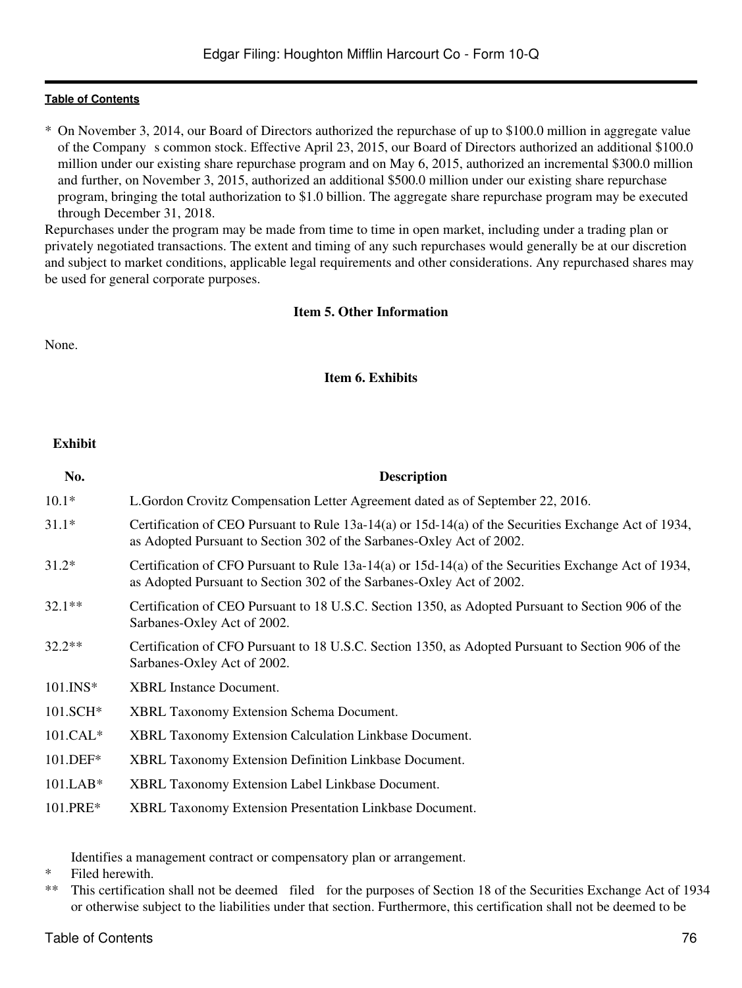## **[Table of Contents](#page-2-0)**

\* On November 3, 2014, our Board of Directors authorized the repurchase of up to \$100.0 million in aggregate value of the Company s common stock. Effective April 23, 2015, our Board of Directors authorized an additional \$100.0 million under our existing share repurchase program and on May 6, 2015, authorized an incremental \$300.0 million and further, on November 3, 2015, authorized an additional \$500.0 million under our existing share repurchase program, bringing the total authorization to \$1.0 billion. The aggregate share repurchase program may be executed through December 31, 2018.

Repurchases under the program may be made from time to time in open market, including under a trading plan or privately negotiated transactions. The extent and timing of any such repurchases would generally be at our discretion and subject to market conditions, applicable legal requirements and other considerations. Any repurchased shares may be used for general corporate purposes.

# **Item 5. Other Information**

None.

## **Item 6. Exhibits**

## **Exhibit**

| No.         | <b>Description</b>                                                                                                                                                            |
|-------------|-------------------------------------------------------------------------------------------------------------------------------------------------------------------------------|
| $10.1*$     | L. Gordon Crovitz Compensation Letter Agreement dated as of September 22, 2016.                                                                                               |
| $31.1*$     | Certification of CEO Pursuant to Rule 13a-14(a) or 15d-14(a) of the Securities Exchange Act of 1934,<br>as Adopted Pursuant to Section 302 of the Sarbanes-Oxley Act of 2002. |
| $31.2*$     | Certification of CFO Pursuant to Rule 13a-14(a) or 15d-14(a) of the Securities Exchange Act of 1934,<br>as Adopted Pursuant to Section 302 of the Sarbanes-Oxley Act of 2002. |
| $32.1**$    | Certification of CEO Pursuant to 18 U.S.C. Section 1350, as Adopted Pursuant to Section 906 of the<br>Sarbanes-Oxley Act of 2002.                                             |
| $32.2**$    | Certification of CFO Pursuant to 18 U.S.C. Section 1350, as Adopted Pursuant to Section 906 of the<br>Sarbanes-Oxley Act of 2002.                                             |
| $101.$ INS* | <b>XBRL</b> Instance Document.                                                                                                                                                |
| 101.SCH*    | <b>XBRL Taxonomy Extension Schema Document.</b>                                                                                                                               |
| $101.CAL*$  | <b>XBRL Taxonomy Extension Calculation Linkbase Document.</b>                                                                                                                 |
| 101.DEF*    | <b>XBRL Taxonomy Extension Definition Linkbase Document.</b>                                                                                                                  |
| $101.LAB*$  | <b>XBRL Taxonomy Extension Label Linkbase Document.</b>                                                                                                                       |
| $101.PRE*$  | <b>XBRL Taxonomy Extension Presentation Linkbase Document.</b>                                                                                                                |

Identifies a management contract or compensatory plan or arrangement.

- \* Filed herewith.
- \*\* This certification shall not be deemed filed for the purposes of Section 18 of the Securities Exchange Act of 1934 or otherwise subject to the liabilities under that section. Furthermore, this certification shall not be deemed to be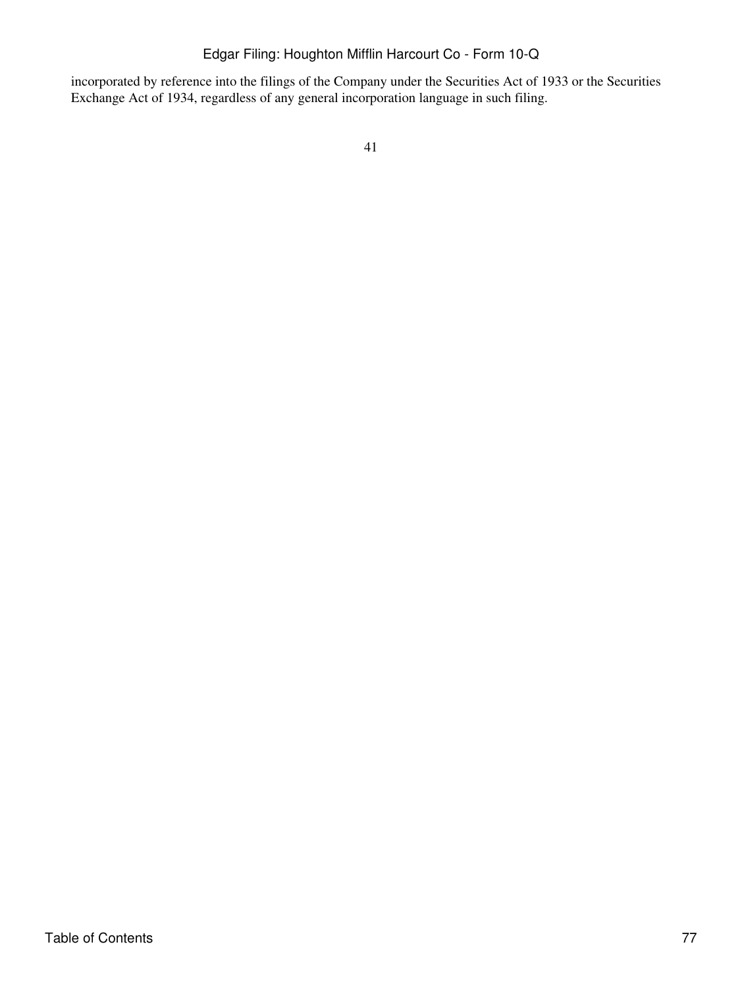incorporated by reference into the filings of the Company under the Securities Act of 1933 or the Securities Exchange Act of 1934, regardless of any general incorporation language in such filing.